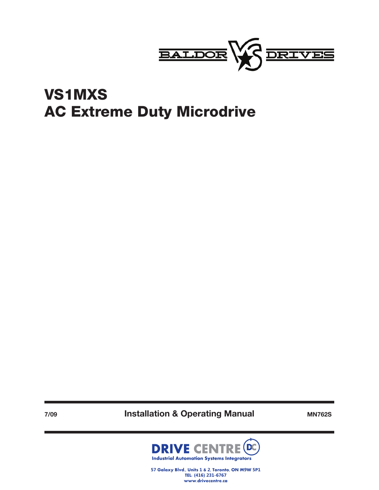

# **VS1MXS AC Extreme Duty Microdrive**

**7/09 <b>Installation & Operating Manual** MN762S



57 Galaxy Blvd., Units 1 & 2, Toronto, ON M9W 5P1 TEL: (416) 231-6767 www.drivecentre.ca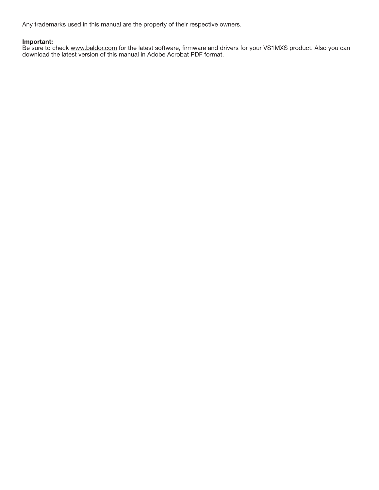Any trademarks used in this manual are the property of their respective owners.

#### **Important:**

Be sure to check www.baldor.com for the latest software, firmware and drivers for your VS1MXS product. Also you can download the latest version of this manual in Adobe Acrobat PDF format.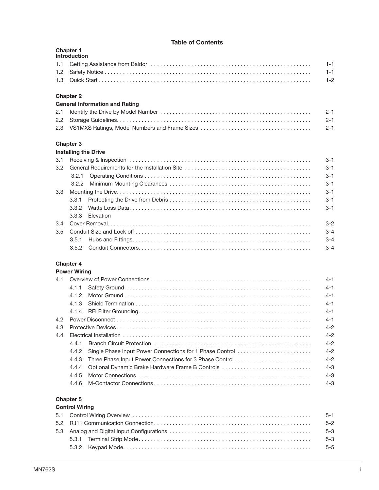# **Table of Contents**

|                  | <b>Chapter 1</b><br><b>Introduction</b> |         |  |  |
|------------------|-----------------------------------------|---------|--|--|
| 1.1              |                                         | $1 - 1$ |  |  |
| 1.2              |                                         | $1 - 1$ |  |  |
| 1.3              |                                         | $1 - 2$ |  |  |
|                  | <b>Chapter 2</b>                        |         |  |  |
|                  | <b>General Information and Rating</b>   |         |  |  |
| 2.1              |                                         | $2 - 1$ |  |  |
| 2.2 <sub>2</sub> |                                         | $2 - 1$ |  |  |
|                  |                                         | $2 - 1$ |  |  |
|                  | <b>Chapter 3</b>                        |         |  |  |
|                  | <b>Installing the Drive</b>             |         |  |  |
| 3.1              |                                         | $3 - 1$ |  |  |
| 3.2              |                                         | $3 - 1$ |  |  |
|                  | 3.2.1                                   | $3 - 1$ |  |  |
|                  | 3.2.2                                   | $3 - 1$ |  |  |
| 3.3              |                                         |         |  |  |
|                  | 3.3.1                                   | $3 - 1$ |  |  |
|                  | 3.3.2                                   | $3 - 1$ |  |  |
|                  | 3.3.3<br>Elevation                      |         |  |  |
| 3.4              |                                         | $3-2$   |  |  |
| 3.5              |                                         | $3 - 4$ |  |  |
|                  | 3.5.1                                   | $3 - 4$ |  |  |
|                  | 3.5.2                                   | $3 - 4$ |  |  |
|                  |                                         |         |  |  |

## **Chapter 4**

|     | <b>Power Wiring</b> |                                                          |         |  |
|-----|---------------------|----------------------------------------------------------|---------|--|
| 4.1 |                     |                                                          |         |  |
|     | 4.1.1               |                                                          | $4 - 1$ |  |
|     | 412                 |                                                          | $4 - 1$ |  |
|     | 4.1.3               |                                                          | $4 - 1$ |  |
|     |                     |                                                          | $4 - 1$ |  |
| 4.2 |                     |                                                          | $4 - 1$ |  |
| 4.3 |                     | $4 - 2$                                                  |         |  |
| 4.4 |                     |                                                          | $4 - 2$ |  |
|     | 4.4.1               |                                                          | $4 - 2$ |  |
|     | 4.4.2               | Single Phase Input Power Connections for 1 Phase Control | $4 - 2$ |  |
|     | 4.4.3               |                                                          | $4 - 2$ |  |
|     | 4.4.4               | Optional Dynamic Brake Hardware Frame B Controls         | $4 - 3$ |  |
|     | 4.4.5               |                                                          | $4 - 3$ |  |
|     | 4.4.6               |                                                          | $4 - 3$ |  |

# **Chapter 5**

| <b>Control Wiring</b> |         |  |  |
|-----------------------|---------|--|--|
|                       | $5 - 1$ |  |  |
| $5 - 2$               |         |  |  |
|                       | $5-3$   |  |  |
|                       | $5 - 3$ |  |  |
|                       |         |  |  |
|                       |         |  |  |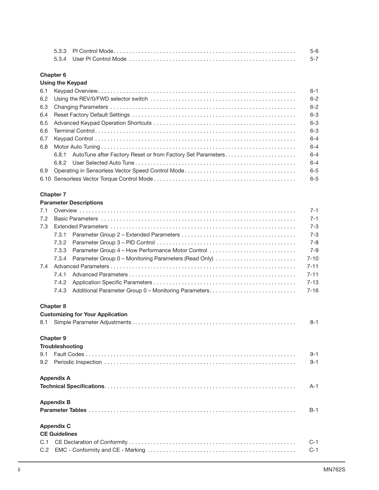|  | 5-6 |
|--|-----|
|  |     |

#### **Chapter 6 Using the Keypad**

|     | Using the Keypad |         |  |  |
|-----|------------------|---------|--|--|
|     |                  | $6 - 1$ |  |  |
|     |                  | $6-2$   |  |  |
|     |                  | $6-2$   |  |  |
| 6.4 |                  | $6 - 3$ |  |  |
|     |                  | $6 - 3$ |  |  |
| 6.6 |                  | $6 - 3$ |  |  |
| 6.7 |                  | $6 - 4$ |  |  |
| 6.8 |                  | $6 - 4$ |  |  |
|     |                  | $6 - 4$ |  |  |
|     |                  | $6 - 4$ |  |  |
|     |                  | $6 - 5$ |  |  |
|     | $6 - 5$          |         |  |  |

#### **Chapter 7**

|     |                        | <b>Parameter Descriptions</b>                         |          |  |  |  |
|-----|------------------------|-------------------------------------------------------|----------|--|--|--|
| 7.1 | $7 - 1$                |                                                       |          |  |  |  |
| 7.2 |                        |                                                       | $7 - 1$  |  |  |  |
| 7.3 |                        |                                                       | $7 - 3$  |  |  |  |
|     | 7.3.1                  |                                                       | $7 - 3$  |  |  |  |
|     | 7.3.2                  |                                                       | $7 - 8$  |  |  |  |
|     | 7.3.3                  | Parameter Group 4 – How Performance Motor Control     | $7 - 9$  |  |  |  |
|     | 7.3.4                  | Parameter Group 0 – Monitoring Parameters (Read Only) | $7 - 10$ |  |  |  |
| 7.4 |                        |                                                       |          |  |  |  |
|     | 7.4.1                  |                                                       | $7 - 11$ |  |  |  |
|     | 7.4.2                  |                                                       | $7 - 13$ |  |  |  |
|     | 7.4.3                  | Additional Parameter Group 0 - Monitoring Parameters  | $7 - 16$ |  |  |  |
|     | Chapter 8              |                                                       |          |  |  |  |
|     |                        | <b>Customizing for Your Application</b>               |          |  |  |  |
| 8.1 |                        |                                                       | $8 - 1$  |  |  |  |
|     | <b>Chapter 9</b>       |                                                       |          |  |  |  |
|     | <b>Troubleshooting</b> |                                                       |          |  |  |  |
| 9.1 |                        |                                                       | $9 - 1$  |  |  |  |
| 9.2 | $9 - 1$                |                                                       |          |  |  |  |

**Appendix A Technical Specifi cations**. . . . . . . . . . . . . . . . . . . . . . . . . . . . . . . . . . . . . . . . . . . . . . . . . . . . . . . . . . . . . . A-1 **Appendix B Parameter Tables** . . . . . . . . . . . . . . . . . . . . . . . . . . . . . . . . . . . . . . . . . . . . . . . . . . . . . . . . . . . . . . . . . . . B-1 **Appendix C CE Guidelines** C.1 CE Declaration of Conformity . . . . . . . . . . . . . . . . . . . . . . . . . . . . . . . . . . . . . . . . . . . . . . . . . . . . . . C-1

C.2 EMC - Conformity and CE - Marking . . . . . . . . . . . . . . . . . . . . . . . . . . . . . . . . . . . . . . . . . . . . . . . . C-1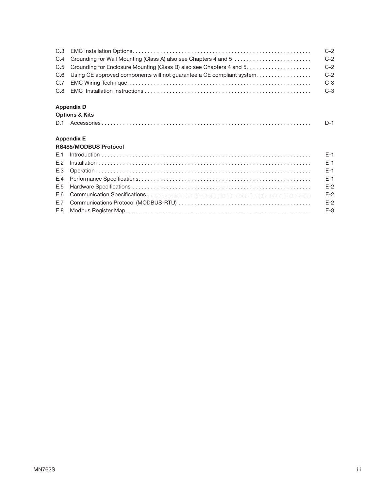|                                                                           | $C-2$ |
|---------------------------------------------------------------------------|-------|
| C.4 Grounding for Wall Mounting (Class A) also see Chapters 4 and 5       | $C-2$ |
| C.5 Grounding for Enclosure Mounting (Class B) also see Chapters 4 and 5  | $C-2$ |
| C.6 Using CE approved components will not quarantee a CE compliant system | $C-2$ |
|                                                                           | $C-3$ |
|                                                                           | $C-3$ |
|                                                                           |       |

# **Appendix D**

## **Options & Kits**

| D.1 |  |
|-----|--|
|     |  |

# **Appendix E**

# **RS485/MODBUS Protocol**

|  | $E-1$ |
|--|-------|
|  |       |
|  |       |
|  |       |
|  |       |
|  |       |
|  |       |
|  |       |
|  |       |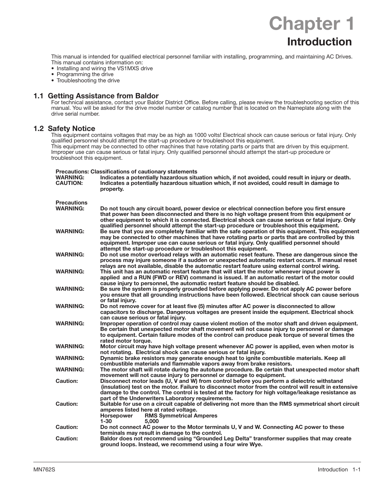**Chapter 1 Introduction** 

This manual is intended for qualified electrical personnel familiar with installing, programming, and maintaining AC Drives. This manual contains information on:

- Installing and wiring the VS1MXS drive
- Programming the drive
- Troubleshooting the drive

#### **1.1 Getting Assistance from Baldor**

For technical assistance, contact your Baldor District Office. Before calling, please review the troubleshooting section of this manual. You will be asked for the drive model number or catalog number that is located on the Nameplate along with the drive serial number.

#### **1.2 Safety Notice**

This equipment contains voltages that may be as high as 1000 volts! Electrical shock can cause serious or fatal injury. Only qualified personnel should attempt the start-up procedure or troubleshoot this equipment. This equipment may be connected to other machines that have rotating parts or parts that are driven by this equipment. Improper use can cause serious or fatal injury. Only qualified personnel should attempt the start-up procedure or troubleshoot this equipment.

| <b>Precautions: Classifications of cautionary statements</b> |                                                                                                                                                                                                                                                                                                                                                                                                  |  |  |
|--------------------------------------------------------------|--------------------------------------------------------------------------------------------------------------------------------------------------------------------------------------------------------------------------------------------------------------------------------------------------------------------------------------------------------------------------------------------------|--|--|
| <b>WARNING:</b><br><b>CAUTION:</b>                           | Indicates a potentially hazardous situation which, if not avoided, could result in injury or death.<br>Indicates a potentially hazardous situation which, if not avoided, could result in damage to                                                                                                                                                                                              |  |  |
|                                                              | property.                                                                                                                                                                                                                                                                                                                                                                                        |  |  |
| <b>Precautions</b>                                           |                                                                                                                                                                                                                                                                                                                                                                                                  |  |  |
| <b>WARNING:</b>                                              | Do not touch any circuit board, power device or electrical connection before you first ensure<br>that power has been disconnected and there is no high voltage present from this equipment or<br>other equipment to which it is connected. Electrical shock can cause serious or fatal injury. Only<br>qualified personnel should attempt the start-up procedure or troubleshoot this equipment. |  |  |
| <b>WARNING:</b>                                              | Be sure that you are completely familiar with the safe operation of this equipment. This equipment<br>may be connected to other machines that have rotating parts or parts that are controlled by this<br>equipment. Improper use can cause serious or fatal injury. Only qualified personnel should<br>attempt the start-up procedure or troubleshoot this equipment.                           |  |  |
| <b>WARNING:</b>                                              | Do not use motor overload relays with an automatic reset feature. These are dangerous since the<br>process may injure someone if a sudden or unexpected automatic restart occurs. If manual reset<br>relays are not available, disable the automatic restart feature using external control wiring.                                                                                              |  |  |
| <b>WARNING:</b>                                              | This unit has an automatic restart feature that will start the motor whenever input power is<br>applied and a RUN (FWD or REV) command is issued. If an automatic restart of the motor could<br>cause injury to personnel, the automatic restart feature should be disabled.                                                                                                                     |  |  |
| <b>WARNING:</b>                                              | Be sure the system is properly grounded before applying power. Do not apply AC power before<br>you ensure that all grounding instructions have been followed. Electrical shock can cause serious<br>or fatal iniurv.                                                                                                                                                                             |  |  |
| <b>WARNING:</b>                                              | Do not remove cover for at least five (5) minutes after AC power is disconnected to allow<br>capacitors to discharge. Dangerous voltages are present inside the equipment. Electrical shock<br>can cause serious or fatal injury.                                                                                                                                                                |  |  |
| <b>WARNING:</b>                                              | Improper operation of control may cause violent motion of the motor shaft and driven equipment.<br>Be certain that unexpected motor shaft movement will not cause injury to personnel or damage<br>to equipment. Certain failure modes of the control can produce peak torque of several times the<br>rated motor torque.                                                                        |  |  |
| <b>WARNING:</b>                                              | Motor circuit may have high voltage present whenever AC power is applied, even when motor is<br>not rotating. Electrical shock can cause serious or fatal injury.                                                                                                                                                                                                                                |  |  |
| <b>WARNING:</b>                                              | Dynamic brake resistors may generate enough heat to ignite combustible materials. Keep all<br>combustible materials and flammable vapors away from brake resistors.                                                                                                                                                                                                                              |  |  |
| <b>WARNING:</b>                                              | The motor shaft will rotate during the autotune procedure. Be certain that unexpected motor shaft<br>movement will not cause injury to personnel or damage to equipment.                                                                                                                                                                                                                         |  |  |
| Caution:                                                     | Disconnect motor leads (U, V and W) from control before you perform a dielectric withstand<br>(insulation) test on the motor. Failure to disconnect motor from the control will result in extensive<br>damage to the control. The control is tested at the factory for high voltage/leakage resistance as<br>part of the Underwriters Laboratory requirements.                                   |  |  |
| Caution:                                                     | Suitable for use on a circuit capable of delivering not more than the RMS symmetrical short circuit<br>amperes listed here at rated voltage.<br><b>RMS Symmetrical Amperes</b><br><b>Horsepower</b><br>$1 - 30$<br>5.000                                                                                                                                                                         |  |  |
| Caution:                                                     | Do not connect AC power to the Motor terminals U, V and W. Connecting AC power to these<br>terminals may result in damage to the control.                                                                                                                                                                                                                                                        |  |  |
| Caution:                                                     | Baldor does not recommend using "Grounded Leg Delta" transformer supplies that may create<br>ground loops. Instead, we recommend using a four wire Wye.                                                                                                                                                                                                                                          |  |  |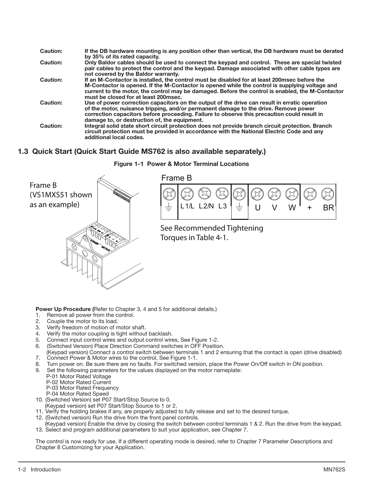| Caution: | If the DB hardware mounting is any position other than vertical, the DB hardware must be derated<br>by 35% of its rated capacity.                                                                                                                                                                                                            |
|----------|----------------------------------------------------------------------------------------------------------------------------------------------------------------------------------------------------------------------------------------------------------------------------------------------------------------------------------------------|
| Caution: | Only Baldor cables should be used to connect the keypad and control. These are special twisted<br>pair cables to protect the control and the keypad. Damage associated with other cable types are<br>not covered by the Baldor warranty.                                                                                                     |
| Caution: | If an M-Contactor is installed, the control must be disabled for at least 200 msec before the<br>M-Contactor is opened. If the M-Contactor is opened while the control is supplying voltage and<br>current to the motor, the control may be damaged. Before the control is enabled, the M-Contactor<br>must be closed for at least 200 msec. |
| Caution: | Use of power correction capacitors on the output of the drive can result in erratic operation<br>of the motor, nuisance tripping, and/or permanent damage to the drive. Remove power<br>correction capacitors before proceeding. Failure to observe this precaution could result in<br>damage to, or destruction of, the equipment.          |
| Caution: | Integral solid state short circuit protection does not provide branch circuit protection. Branch<br>circuit protection must be provided in accordance with the National Electric Code and any<br>additional local codes.                                                                                                                     |

# **1.3 Quick Start (Quick Start Guide MS762 is also available separately.)**



**Figure 1-1 Power & Motor Terminal Locations**

**Power Up Procedure (**Refer to Chapter 3, 4 and 5 for additional details.)

- 1. Remove all power from the control.
- 2. Couple the motor to its load.
- 3. Verify freedom of motion of motor shaft.
- 4. Verify the motor coupling is tight without backlash.
- 5. Connect input control wires and output control wires, See Figure 1-2.
- 6. (Switched Version) Place Direction Command switches in OFF Position.
- (Keypad version) Connect a control switch between terminals 1 and 2 ensuring that the contact is open (drive disabled) 7. Connect Power & Motor wires to the control, See Figure 1-1.
- 8. Turn power on. Be sure there are no faults. For switched version, place the Power On/Off switch in ON position.
- 9. Set the following parameters for the values displayed on the motor nameplate:
	- P-01 Motor Rated Voltage
	- P-02 Motor Rated Current
	- P-03 Motor Rated Frequency
	- P-04 Motor Rated Speed
- 10. (Switched Version) set P07 Start/Stop Source to 0. (Keypad version) set P07 Start/Stop Source to 1 or 2.
- 11. Verify the holding brakes if any, are properly adjusted to fully release and set to the desired torque.
- 12. (Switched version) Run the drive from the front panel controls.
- (Keypad version) Enable the drive by closing the switch between control terminals 1 & 2. Run the drive from the keypad. 13. Select and program additional parameters to suit your application, see Chapter 7.

The control is now ready for use. If a different operating mode is desired, refer to Chapter 7 Parameter Descriptions and Chapter 8 Customizing for your Application.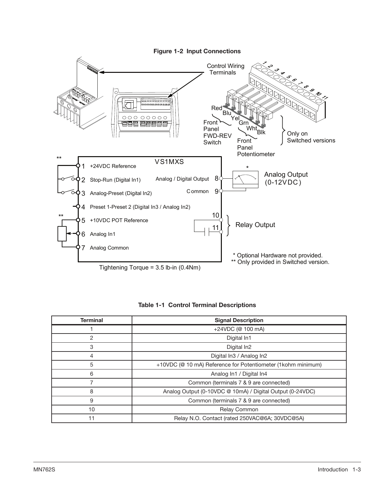**Figure 1-2 Input Connections**



|  |  |  | <b>Table 1-1 Control Terminal Descriptions</b> |
|--|--|--|------------------------------------------------|
|--|--|--|------------------------------------------------|

| <b>Terminal</b> | <b>Signal Description</b>                                    |
|-----------------|--------------------------------------------------------------|
|                 | +24VDC (@ 100 mA)                                            |
| 2               | Digital In1                                                  |
| 3               | Digital In <sub>2</sub>                                      |
|                 | Digital In3 / Analog In2                                     |
| 5               | +10VDC (@ 10 mA) Reference for Potentiometer (1kohm minimum) |
| 6               | Analog In1 / Digital In4                                     |
| 7               | Common (terminals 7 & 9 are connected)                       |
| 8               | Analog Output (0-10VDC @ 10mA) / Digital Output (0-24VDC)    |
| 9               | Common (terminals 7 & 9 are connected)                       |
| 10              | <b>Relay Common</b>                                          |
| 11              | Relay N.O. Contact (rated 250VAC@6A; 30VDC@5A)               |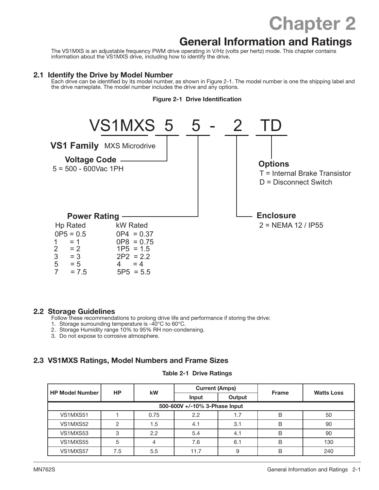# **Chapter 2**

# **General Information and Ratings**

The VS1MXS is an adjustable frequency PWM drive operating in V/Hz (volts per hertz) mode. This chapter contains information about the VS1MXS drive, including how to identify the drive.

## **2.1 Identify the Drive by Model Number**

Each drive can be identified by its model number, as shown in Figure 2-1. The model number is one the shipping label and the drive nameplate. The model number includes the drive and any options.

#### **Figure 2-1 Drive Identification**



## **2.2 Storage Guidelines**

Follow these recommendations to prolong drive life and performance if storing the drive:

- 1. Storage surrounding temperature is -40°C to 60°C.
- 2. Storage Humidity range 10% to 95% RH non-condensing.
- 3. Do not expose to corrosive atmosphere.

# **2.3 VS1MXS Ratings, Model Numbers and Frame Sizes**

#### **Table 2-1 Drive Ratings**

| <b>HP Model Number</b>        | HP          | kW   | <b>Current (Amps)</b> |        |              | <b>Watts Loss</b> |  |  |  |  |  |
|-------------------------------|-------------|------|-----------------------|--------|--------------|-------------------|--|--|--|--|--|
|                               |             |      | Input                 | Output | <b>Frame</b> |                   |  |  |  |  |  |
| 500-600V +/-10% 3-Phase Input |             |      |                       |        |              |                   |  |  |  |  |  |
| VS1MXS51                      |             | 0.75 | 2.2                   | 1.7    | B            | 50                |  |  |  |  |  |
| VS1MXS52                      |             | 1.5  | 4.1                   | 3.1    | B            | 90                |  |  |  |  |  |
| VS1MXS53                      | ◠           | 2.2  | 5.4                   | 4.1    | B            | 90                |  |  |  |  |  |
| VS1MXS55                      |             |      | 7.6                   | 6.1    | B            | 130               |  |  |  |  |  |
| VS1MXS57                      | $\sqrt{.5}$ | 5.5  | 11.7                  | 9      | B            | 240               |  |  |  |  |  |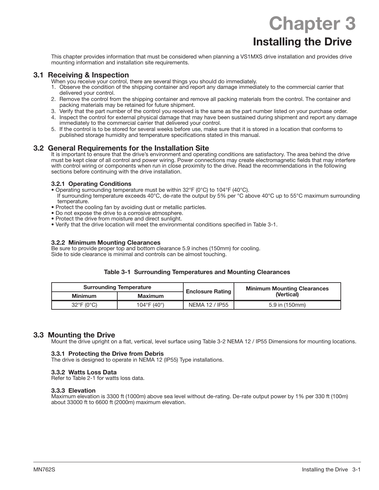# **Installing the Drive**

This chapter provides information that must be considered when planning a VS1MXS drive installation and provides drive mounting information and installation site requirements.

# **3.1 Receiving & Inspection**

When you receive your control, there are several things you should do immediately.

- 1. Observe the condition of the shipping container and report any damage immediately to the commercial carrier that delivered your control.
- 2. Remove the control from the shipping container and remove all packing materials from the control. The container and packing materials may be retained for future shipment.
- 3. Verify that the part number of the control you received is the same as the part number listed on your purchase order. 4. Inspect the control for external physical damage that may have been sustained during shipment and report any damage
- immediately to the commercial carrier that delivered your control. 5. If the control is to be stored for several weeks before use, make sure that it is stored in a location that conforms to
- published storage humidity and temperature specifications stated in this manual.

# **3.2 General Requirements for the Installation Site**

It is important to ensure that the drive's environment and operating conditions are satisfactory. The area behind the drive must be kept clear of all control and power wiring. Power connections may create electromagnetic fields that may interfere with control wiring or components when run in close proximity to the drive. Read the recommendations in the following sections before continuing with the drive installation.

#### **3.2.1 Operating Conditions**

- Operating surrounding temperature must be within 32°F (0°C) to 104°F (40°C).
- If surrounding temperature exceeds 40°C, de-rate the output by 5% per °C above 40°C up to 55°C maximum surrounding temperature.
- Protect the cooling fan by avoiding dust or metallic particles.
- Do not expose the drive to a corrosive atmosphere.
- Protect the drive from moisture and direct sunlight.
- Verify that the drive location will meet the environmental conditions specified in Table 3-1.

#### **3.2.2 Minimum Mounting Clearances**

Be sure to provide proper top and bottom clearance 5.9 inches (150mm) for cooling. Side to side clearance is minimal and controls can be almost touching.

#### **Table 3-1 Surrounding Temperatures and Mounting Clearances**

|                                 | <b>Surrounding Temperature</b> |                         | <b>Minimum Mounting Clearances</b> |  |
|---------------------------------|--------------------------------|-------------------------|------------------------------------|--|
| <b>Minimum</b>                  | <b>Maximum</b>                 | <b>Enclosure Rating</b> | (Vertical)                         |  |
| $32^{\circ}$ F (0 $^{\circ}$ C) | 104°F (40°)                    | NEMA 12 / IP55          | $5.9$ in (150mm)                   |  |

## **3.3 Mounting the Drive**

Mount the drive upright on a flat, vertical, level surface using Table 3-2 NEMA 12 / IP55 Dimensions for mounting locations.

#### **3.3.1 Protecting the Drive from Debris**

The drive is designed to operate in NEMA 12 (IP55) Type installations.

#### **3.3.2 Watts Loss Data**

Refer to Table 2-1 for watts loss data.

#### **3.3.3 Elevation**

Maximum elevation is 3300 ft (1000m) above sea level without de-rating. De-rate output power by 1% per 330 ft (100m) about 33000 ft to 6600 ft (2000m) maximum elevation.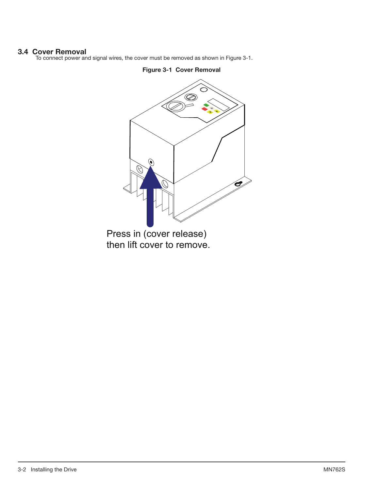# **3.4 Cover Removal**

To connect power and signal wires, the cover must be removed as shown in Figure 3-1.

**Figure 3-1 Cover Removal**



Press in (cover release) then lift cover to remove.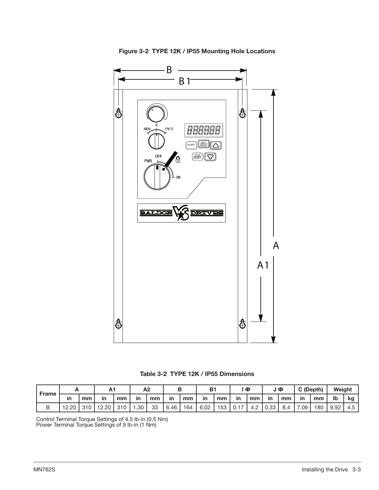

**Figure 3-2 TYPE 12K / IP55 Mounting Hole Locations**

**Table 3-2 TYPE 12K / IP55 Dimensions**

| Frame |       |     |       |     | -A2 |    |      |     |      |     | Φ      |                 |      | JΦ  |           | C (Depth) | Weight |     |
|-------|-------|-----|-------|-----|-----|----|------|-----|------|-----|--------|-----------------|------|-----|-----------|-----------|--------|-----|
|       | - In  | mm  | in    | mm  | in  | mm | in   | mm  | in   | mm  | in     | mm              | in   | mm  | <b>in</b> | mm        | lb     | kq  |
| ◡     | 12.20 | 310 | 12.20 | 310 | .30 | 33 | 6.46 | 164 | 6.02 | 153 | . 0.17 | $\Omega$<br>4.6 | 0.33 | 8.4 | .09       | 180       | 9.92   | 4.5 |

Control Terminal Torque Settings of 4.5 lb-in (0.5 Nm) Power Terminal Torque Settings of 9 lb-in (1 Nm)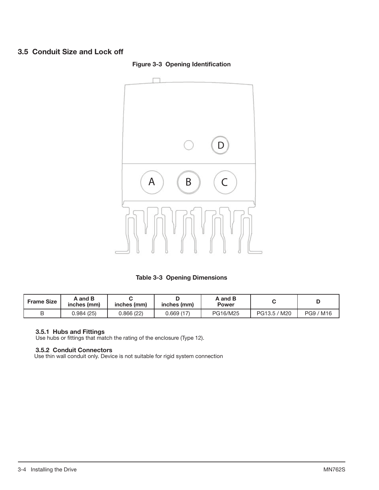# **3.5 Conduit Size and Lock off**



### **Figure 3-3 Opening Identification**

**Table 3-3 Opening Dimensions**

| <b>Frame Size</b> | A and B<br>inches (mm) | inches (mm) | inches (mm) | A and B<br><b>Power</b> |              |           |
|-------------------|------------------------|-------------|-------------|-------------------------|--------------|-----------|
|                   | 0.984(25)              | J.866 (22)  | 0.669 (17)  | PG16/M25                | PG13.5 / M20 | PG9 / M16 |

#### **3.5.1 Hubs and Fittings**

Use hubs or fittings that match the rating of the enclosure (Type 12).

#### **3.5.2 Conduit Connectors**

Use thin wall conduit only. Device is not suitable for rigid system connection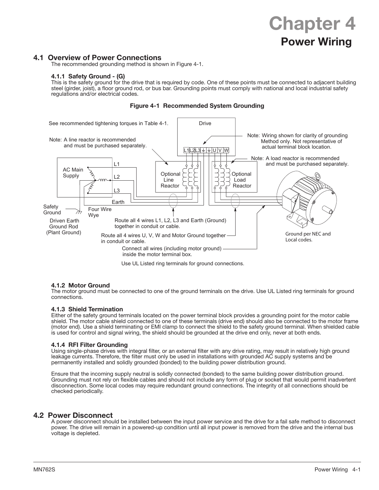# **4.1 Overview of Power Connections**

The recommended grounding method is shown in Figure 4-1.

#### **4.1.1 Safety Ground - (G)**

This is the safety ground for the drive that is required by code. One of these points must be connected to adjacent building steel (girder, joist), a floor ground rod, or bus bar. Grounding points must comply with national and local industrial safety regulations and/or electrical codes.



#### **Figure 4-1 Recommended System Grounding**

#### **4.1.2 Motor Ground**

The motor ground must be connected to one of the ground terminals on the drive. Use UL Listed ring terminals for ground connections.

#### **4.1.3 Shield Termination**

Either of the safety ground terminals located on the power terminal block provides a grounding point for the motor cable shield. The motor cable shield connected to one of these terminals (drive end) should also be connected to the motor frame (motor end). Use a shield terminating or EMI clamp to connect the shield to the safety ground terminal. When shielded cable is used for control and signal wiring, the shield should be grounded at the drive end only, never at both ends.

#### **4.1.4 RFI Filter Grounding**

Using single-phase drives with integral filter, or an external filter with any drive rating, may result in relatively high ground leakage currents. Therefore, the filter must only be used in installations with grounded AC supply systems and be permanently installed and solidly grounded (bonded) to the building power distribution ground.

Ensure that the incoming supply neutral is solidly connected (bonded) to the same building power distribution ground. Grounding must not rely on flexible cables and should not include any form of plug or socket that would permit inadvertent disconnection. Some local codes may require redundant ground connections. The integrity of all connections should be checked periodically.

#### **4.2 Power Disconnect**

A power disconnect should be installed between the input power service and the drive for a fail safe method to disconnect power. The drive will remain in a powered-up condition until all input power is removed from the drive and the internal bus voltage is depleted.

**Chapter 4**

**Power Wiring**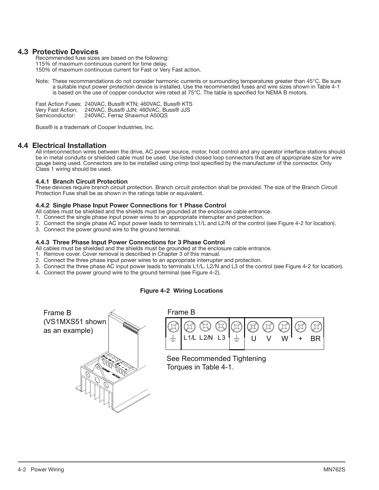# **4.3 Protective Devices**

Recommended fuse sizes are based on the following:

115% of maximum continuous current for time delay.

150% of maximum continuous current for Fast or Very Fast action.

Note: These recommendations do not consider harmonic currents or surrounding temperatures greater than 45°C. Be sure a suitable input power protection device is installed. Use the recommended fuses and wire sizes shown in Table 4-1 is based on the use of copper conductor wire rated at 75°C. The table is specified for NEMA B motors.

Fast Action Fuses: 240VAC, Buss® KTN; 460VAC, Buss® KTS Very Fast Action: 240VAC, Buss® JJN; 460VAC, Buss® JJS<br>Semiconductor: 240VAC, Ferraz Shawmut A50QS 240VAC, Ferraz Shawmut A50QS

Buss® is a trademark of Cooper Industries, Inc.

## **4.4 Electrical Installation**

All interconnection wires between the drive, AC power source, motor, host control and any operator interface stations should be in metal conduits or shielded cable must be used. Use listed closed loop connectors that are of appropriate size for wire gauge being used. Connectors are to be installed using crimp tool specified by the manufacturer of the connector. Only Class 1 wiring should be used.

#### **4.4.1 Branch Circuit Protection**

These devices require branch circuit protection. Branch circuit protection shall be provided. The size of the Branch Circuit Protection Fuse shall be as shown in the ratings table or equivalent.

#### **4.4.2 Single Phase Input Power Connections for 1 Phase Control**

- All cables must be shielded and the shields must be grounded at the enclosure cable entrance.
- 1. Connect the single phase input power wires to an appropriate interrupter and protection.
- 2. Connect the single phase AC input power leads to terminals L1/L and L2/N of the control (see Figure 4-2 for location).
- 3. Connect the power ground wire to the ground terminal.

#### **4.4.3 Three Phase Input Power Connections for 3 Phase Control**

All cables must be shielded and the shields must be grounded at the enclosure cable entrance.

- 1. Remove cover. Cover removal is described in Chapter 3 of this manual.
- 2. Connect the three phase input power wires to an appropriate interrupter and protection.
- 3. Connect the three phase AC input power leads to terminals L1/L. L2/N and L3 of the control (see Figure 4-2 for location).
- 4. Connect the power ground wire to the ground terminal (see Figure 4-2).







See Recommended Tightening Torques in Table 4-1.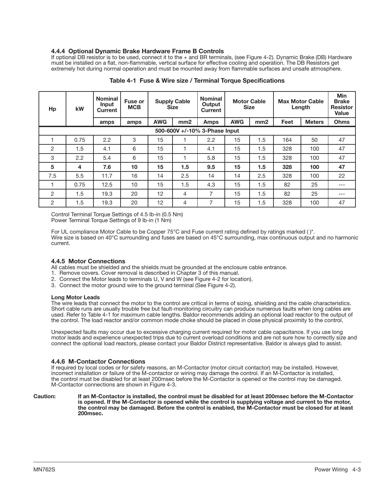#### **4.4.4 Optional Dynamic Brake Hardware Frame B Controls**

If optional DB resistor is to be used, connect it to the + and BR terminals, (see Figure 4-2). Dynamic Brake (DB) Hardware must be installed on a flat, non-flammable, vertical surface for effective cooling and operation. The DB Resistors get extremely hot during normal operation and must be mounted away from flammable surfaces and unsafe atmosphere.

| Hp                            | kW   | <b>Nominal</b><br>Input<br>Current | <b>Fuse or</b><br><b>MCB</b> |            | <b>Supply Cable</b><br><b>Size</b> | <b>Nominal</b><br>Output<br>Current | <b>Motor Cable</b><br><b>Size</b> |     | <b>Max Motor Cable</b><br>Length |               | <b>Min</b><br><b>Brake</b><br><b>Resistor</b><br><b>Value</b> |
|-------------------------------|------|------------------------------------|------------------------------|------------|------------------------------------|-------------------------------------|-----------------------------------|-----|----------------------------------|---------------|---------------------------------------------------------------|
|                               |      | amps                               | amps                         | <b>AWG</b> | mm2                                | Amps                                | <b>AWG</b>                        | mm2 | Feet                             | <b>Meters</b> | <b>Ohms</b>                                                   |
| 500-600V +/-10% 3-Phase Input |      |                                    |                              |            |                                    |                                     |                                   |     |                                  |               |                                                               |
|                               | 0.75 | 2.2                                | 3                            | 15         |                                    | $2.2\phantom{0}$                    | 15                                | 1.5 | 164                              | 50            | 47                                                            |
| 2                             | 1.5  | 4.1                                | 6                            | 15         |                                    | 4.1                                 | 15                                | 1.5 | 328                              | 100           | 47                                                            |
| 3                             | 2.2  | 5.4                                | 6                            | 15         |                                    | 5.8                                 | 15                                | 1.5 | 328                              | 100           | 47                                                            |
| 5                             | 4    | 7.6                                | 10                           | 15         | 1.5                                | 9.5                                 | 15                                | 1.5 | 328                              | 100           | 47                                                            |
| 7.5                           | 5.5  | 11.7                               | 16                           | 14         | 2.5                                | 14                                  | 14                                | 2.5 | 328                              | 100           | 22                                                            |
|                               | 0.75 | 12.5                               | 10                           | 15         | 1.5                                | 4.3                                 | 15                                | 1.5 | 82                               | 25            | ---                                                           |
| 2                             | 1.5  | 19.3                               | 20                           | 12         | 4                                  | 7                                   | 15                                | 1.5 | 82                               | 25            | ---                                                           |
| 2                             | 1.5  | 19.3                               | 20                           | 12         | 4                                  | $\overline{7}$                      | 15                                | 1.5 | 328                              | 100           | 47                                                            |

#### **Table 4-1 Fuse & Wire size / Terminal Torque Specifications**

Control Terminal Torque Settings of 4.5 lb-in (0.5 Nm) Power Terminal Torque Settings of 9 lb-in (1 Nm)

For UL compliance Motor Cable to be Copper 75°C and Fuse current rating defined by ratings marked ( $)$ \*. Wire size is based on 40°C surrounding and fuses are based on 45°C surrounding, max continuous output and no harmonic current.

#### **4.4.5 Motor Connections**

All cables must be shielded and the shields must be grounded at the enclosure cable entrance.

- 1. Remove covers. Cover removal is described in Chapter 3 of this manual.
- 2. Connect the Motor leads to terminals U, V and W (see Figure 4-2 for location).
- 3. Connect the motor ground wire to the ground terminal (See Figure 4-2).

#### **Long Motor Leads**

The wire leads that connect the motor to the control are critical in terms of sizing, shielding and the cable characteristics. Short cable runs are usually trouble free but fault-monitoring circuitry can produce numerous faults when long cables are used. Refer to Table 4-1 for maximum cable lengths. Baldor recommends adding an optional load reactor to the output of the control. The load reactor and/or common mode choke should be placed in close physical proximity to the control.

Unexpected faults may occur due to excessive charging current required for motor cable capacitance. If you use long motor leads and experience unexpected trips due to current overload conditions and are not sure how to correctly size and connect the optional load reactors, please contact your Baldor District representative. Baldor is always glad to assist.

#### **4.4.6 M-Contactor Connections**

If required by local codes or for safety reasons, an M-Contactor (motor circuit contactor) may be installed. However, incorrect installation or failure of the M-contactor or wiring may damage the control. If an M-Contactor is installed, the control must be disabled for at least 200msec before the M-Contactor is opened or the control may be damaged. M-Contactor connections are shown in Figure 4-3.

**Caution: If an M-Contactor is installed, the control must be disabled for at least 200msec before the M-Contactor is opened. If the M-Contactor is opened while the control is supplying voltage and current to the motor, the control may be damaged. Before the control is enabled, the M-Contactor must be closed for at least 200msec.**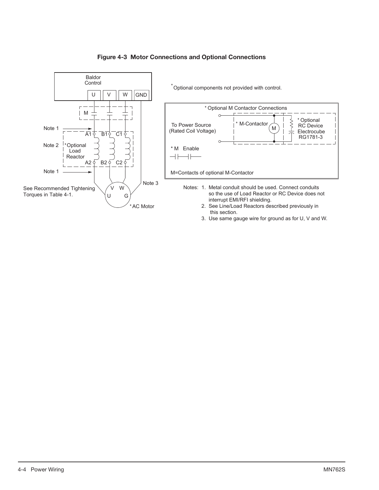## **Figure 4-3 Motor Connections and Optional Connections**



3. Use same gauge wire for ground as for U, V and W.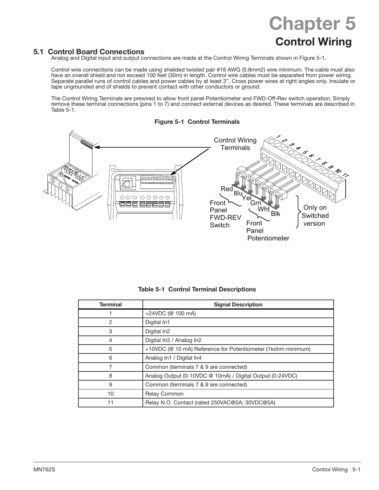# **Chapter 5 Control Wiring**

# **5.1 Control Board Connections**

Analog and Digital input and output connections are made at the Control Wiring Terminals shown in Figure 5-1.

Control wire connections can be made using shielded twisted pair #18 AWG (0.8mm2) wire minimum. The cable must also have an overall shield and not exceed 100 feet (30m) in length. Control wire cables must be separated from power wiring. Separate parallel runs of control cables and power cables by at least 3". Cross power wires at right angles only. Insulate or tape ungrounded end of shields to prevent contact with other conductors or ground.

The Control Wiring Terminals are prewired to allow front panel Potentiometer and FWD-Off-Rev switch operation. Simply remove these terminal connections (pins 1 to 7) and connect external devices as desired. These terminals are described in Table 5-1.

#### **Figure 5-1 Control Terminals**



|  |  |  | <b>Table 5-1 Control Terminal Descriptions</b> |
|--|--|--|------------------------------------------------|
|--|--|--|------------------------------------------------|

| <b>Terminal</b> | <b>Signal Description</b>                                    |
|-----------------|--------------------------------------------------------------|
|                 | +24VDC (@ 100 mA)                                            |
| 2               | Digital In1                                                  |
| 3               | Digital In <sub>2</sub>                                      |
| 4               | Digital In3 / Analog In2                                     |
| 5               | +10VDC (@ 10 mA) Reference for Potentiometer (1kohm minimum) |
| 6               | Analog In1 / Digital In4                                     |
|                 | Common (terminals 7 & 9 are connected)                       |
| 8               | Analog Output (0-10VDC @ 10mA) / Digital Output (0-24VDC)    |
| 9               | Common (terminals 7 & 9 are connected)                       |
| 10              | <b>Relay Common</b>                                          |
| 11              | Relay N.O. Contact (rated 250VAC@5A; 30VDC@5A)               |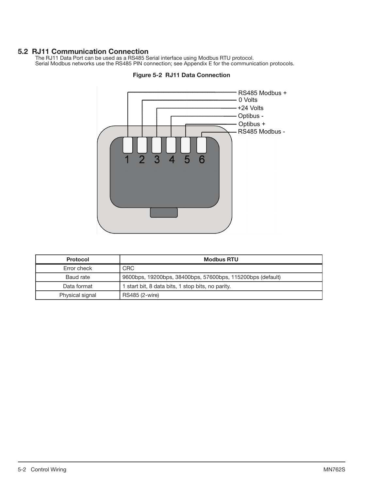# **5.2 RJ11 Communication Connection**

The RJ11 Data Port can be used as a RS485 Serial interface using Modbus RTU protocol. Serial Modbus networks use the RS485 PIN connection; see Appendix E for the communication protocols.



#### **Figure 5-2 RJ11 Data Connection**

| <b>Protocol</b> | <b>Modbus RTU</b>                                          |
|-----------------|------------------------------------------------------------|
| Error check     | CRC                                                        |
| Baud rate       | 9600bps, 19200bps, 38400bps, 57600bps, 115200bps (default) |
| Data format     | 1 start bit, 8 data bits, 1 stop bits, no parity.          |
| Physical signal | RS485 (2-wire)                                             |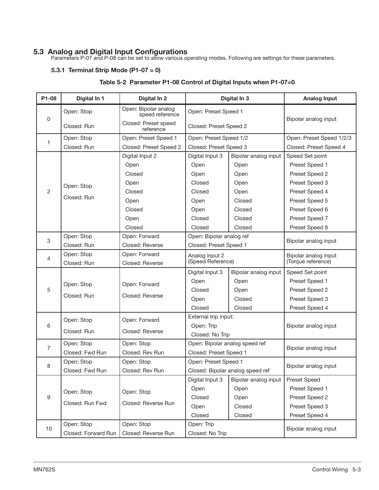# **5.3 Analog and Digital Input Configurations**

Parameters P-07 and P-08 can be set to allow various operating modes. Following are settings for these parameters.

## **5.3.1 Terminal Strip Mode (P1-07 = 0)**

## **Table 5-2 Parameter P1-08 Control of Digital Inputs when P1-07=0**

| P1-08            | Digital In 1        | Digital In 2                            |                                | Digital In 3                     | <b>Analog Input</b>      |  |
|------------------|---------------------|-----------------------------------------|--------------------------------|----------------------------------|--------------------------|--|
| 0                | Open: Stop          | Open: Bipolar analog<br>speed reference | Open: Preset Speed 1           |                                  |                          |  |
|                  | Closed: Run         | Closed: Preset speed<br>reference       | Closed: Preset Speed 2         |                                  | Bipolar analog input     |  |
| 1                | Open: Stop          | Open: Preset Speed 1                    | Open: Preset Speed 1/2         |                                  | Open: Preset Speed 1/2/3 |  |
|                  | Closed: Run         | Closed: Preset Speed 2                  | Closed: Preset Speed 3         |                                  | Closed: Preset Speed 4   |  |
|                  |                     | Digital Input 2                         | Digital Input 3                | Bipolar analog input             | Speed Set point          |  |
|                  |                     | Open                                    | Open                           | Open                             | Preset Speed 1           |  |
|                  |                     | Closed                                  | Open                           | Open                             | Preset Speed 2           |  |
|                  | Open: Stop          | Open                                    | Closed                         | Open                             | Preset Speed 3           |  |
| $\overline{2}$   |                     | Closed                                  | Closed                         | Open                             | Preset Speed 4           |  |
|                  | Closed: Run         | Open                                    | Open                           | Closed                           | Preset Speed 5           |  |
|                  |                     | Closed                                  | Open                           | Closed                           | Preset Speed 6           |  |
|                  |                     | Open                                    | Closed                         | Closed                           | Preset Speed 7           |  |
|                  |                     | Closed                                  | Closed                         | Closed                           | Preset Speed 8           |  |
|                  | Open: Stop          | Open: Forward                           | Open: Bipolar analog ref       |                                  |                          |  |
| 3                | Closed: Run         | Closed: Reverse                         | Closed: Preset Speed 1         |                                  | Bipolar analog input     |  |
|                  | Open: Stop          | Open: Forward                           | Analog input 2                 |                                  | Bipolar analog input     |  |
| 4                | Closed: Run         | Closed: Reverse                         | (Speed Reference)              |                                  | (Torque reference)       |  |
|                  |                     |                                         | Digital Input 3                | Bipolar analog input             | Speed Set point          |  |
|                  | Open: Stop          | Open: Forward                           | Open                           | Open                             | Preset Speed 1           |  |
| 5                |                     |                                         | Closed                         | Open                             | Preset Speed 2           |  |
|                  | Closed: Run         | Closed: Reverse                         | Open                           | Closed                           | Preset Speed 3           |  |
|                  |                     |                                         | Closed                         | Closed                           | Preset Speed 4           |  |
|                  | Open: Stop          | Open: Forward                           | External trip input:           |                                  |                          |  |
| 6                |                     |                                         | Open: Trip                     |                                  | Bipolar analog input     |  |
|                  | Closed: Run         | Closed: Reverse                         | Closed: No Trip                |                                  |                          |  |
|                  | Open: Stop          | Open: Stop                              | Open: Bipolar analog speed ref |                                  |                          |  |
| $\overline{7}$   | Closed: Fwd Run     | Closed: Rev Run                         | Closed: Preset Speed 1         |                                  | Bipolar analog input     |  |
|                  | Open: Stop          | Open: Stop                              | Open: Preset Speed 1           |                                  |                          |  |
| 8                | Closed: Fwd Run     | Closed: Rev Run                         |                                | Closed: Bipolar analog speed ref | Bipolar analog input     |  |
|                  |                     |                                         | Digital Input 3                | Bipolar analog input             | <b>Preset Speed</b>      |  |
|                  | Open: Stop          | Open: Stop                              | Open                           | Open                             | Preset Speed 1           |  |
| $\boldsymbol{9}$ |                     |                                         | Closed                         | Open                             | Preset Speed 2           |  |
|                  | Closed: Run Fwd     | Closed: Reverse Run                     | Open                           | Closed                           | Preset Speed 3           |  |
|                  |                     |                                         | Closed                         | Closed                           | Preset Speed 4           |  |
|                  | Open: Stop          | Open: Stop                              | Open: Trip                     |                                  |                          |  |
| 10 <sub>1</sub>  | Closed: Forward Run | Closed: Reverse Run                     | Closed: No Trip                |                                  | Bipolar analog input     |  |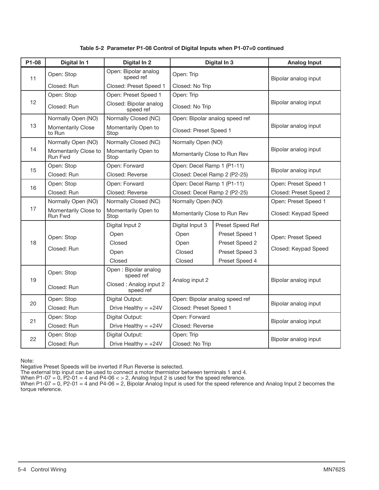| Table 5-2 Parameter P1-08 Control of Digital Inputs when P1-07=0 continued |
|----------------------------------------------------------------------------|
|----------------------------------------------------------------------------|

| P1-08           | Digital In 1                    | Digital In 2                        |                                | Digital In 3     | <b>Analog Input</b>    |  |
|-----------------|---------------------------------|-------------------------------------|--------------------------------|------------------|------------------------|--|
| 11              | Open: Stop                      | Open: Bipolar analog<br>speed ref   | Open: Trip                     |                  | Bipolar analog input   |  |
|                 | Closed: Run                     | Closed: Preset Speed 1              | Closed: No Trip                |                  |                        |  |
|                 | Open: Stop                      | Open: Preset Speed 1                | Open: Trip                     |                  |                        |  |
| 12 <sup>2</sup> | Closed: Run                     | Closed: Bipolar analog<br>speed ref | Closed: No Trip                |                  | Bipolar analog input   |  |
|                 | Normally Open (NO)              | Normally Closed (NC)                | Open: Bipolar analog speed ref |                  |                        |  |
| 13              | Momentarily Close<br>to Run     | Momentarily Open to<br>Stop         | Closed: Preset Speed 1         |                  | Bipolar analog input   |  |
|                 | Normally Open (NO)              | Normally Closed (NC)                | Normally Open (NO)             |                  |                        |  |
| 14              | Momentarily Close to<br>Run Fwd | Momentarily Open to<br>Stop         | Momentarily Close to Run Rev   |                  | Bipolar analog input   |  |
| 15              | Open: Stop                      | Open: Forward                       | Open: Decel Ramp 1 (P1-11)     |                  | Bipolar analog input   |  |
|                 | Closed: Run                     | Closed: Reverse                     | Closed: Decel Ramp 2 (P2-25)   |                  |                        |  |
| 16              | Open: Stop                      | Open: Forward                       | Open: Decel Ramp 1 (P1-11)     |                  | Open: Preset Speed 1   |  |
|                 | Closed: Run                     | Closed: Reverse                     | Closed: Decel Ramp 2 (P2-25)   |                  | Closed: Preset Speed 2 |  |
|                 | Normally Open (NO)              | Normally Closed (NC)                | Normally Open (NO)             |                  | Open: Preset Speed 1   |  |
| 17              | Momentarily Close to<br>Run Fwd | Momentarily Open to<br>Stop         | Momentarily Close to Run Rev   |                  | Closed: Keypad Speed   |  |
|                 |                                 | Digital Input 2                     | Digital Input 3                | Preset Speed Ref |                        |  |
|                 | Open: Stop                      | Open                                | Open                           | Preset Speed 1   | Open: Preset Speed     |  |
| 18              |                                 | Closed                              | Open                           | Preset Speed 2   |                        |  |
|                 | Closed: Run                     | Open                                | Closed                         | Preset Speed 3   | Closed: Keypad Speed   |  |
|                 |                                 | Closed                              | Closed                         | Preset Speed 4   |                        |  |
| 19              | Open: Stop                      | Open: Bipolar analog<br>speed ref   | Analog input 2                 |                  | Bipolar analog input   |  |
|                 | Closed: Run                     | Closed: Analog input 2<br>speed ref |                                |                  |                        |  |
| 20              | Open: Stop                      | Digital Output:                     | Open: Bipolar analog speed ref |                  | Bipolar analog input   |  |
|                 | Closed: Run                     | Drive Healthy = $+24V$              | Closed: Preset Speed 1         |                  |                        |  |
| 21              | Open: Stop                      | Digital Output:                     | Open: Forward                  |                  |                        |  |
|                 | Closed: Run                     | Drive Healthy = $+24V$              | Closed: Reverse                |                  | Bipolar analog input   |  |
| 22              | Open: Stop                      | Digital Output:                     | Open: Trip                     |                  | Bipolar analog input   |  |
|                 | Closed: Run                     | Drive Healthy = $+24V$              | Closed: No Trip                |                  |                        |  |

Note:

Negative Preset Speeds will be inverted if Run Reverse is selected.

The external trip input can be used to connect a motor thermistor between terminals 1 and 4.

When P1-07 = 0, P2-01 = 4 and P4-06  $<$  > 2, Analog Input 2 is used for the speed reference.

When P1-07 = 0, P2-01 = 4 and P4-06 = 2, Bipolar Analog Input is used for the speed reference and Analog Input 2 becomes the torque reference.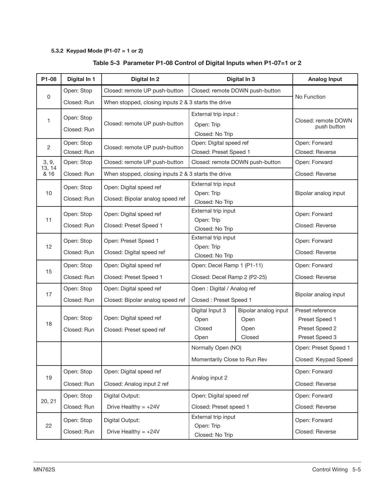# **5.3.2 Keypad Mode (P1-07 = 1 or 2)**

# **Table 5-3 Parameter P1-08 Control of Digital Inputs when P1-07=1 or 2**

| P1-08           | Digital In 1 | Digital In 2                                        | Digital In 3                           |                                 | <b>Analog Input</b>                    |
|-----------------|--------------|-----------------------------------------------------|----------------------------------------|---------------------------------|----------------------------------------|
|                 | Open: Stop   | Closed: remote UP push-button                       |                                        | Closed: remote DOWN push-button |                                        |
| 0               | Closed: Run  | When stopped, closing inputs 2 & 3 starts the drive |                                        |                                 | No Function                            |
|                 | Open: Stop   |                                                     | External trip input :                  |                                 | Closed: remote DOWN<br>push button     |
| 1               | Closed: Run  | Closed: remote UP push-button                       | Open: Trip                             |                                 |                                        |
|                 |              |                                                     | Closed: No Trip                        |                                 |                                        |
| $\overline{c}$  | Open: Stop   | Closed: remote UP push-button                       | Open: Digital speed ref                |                                 | Open: Forward                          |
|                 | Closed: Run  |                                                     | Closed: Preset Speed 1                 |                                 | Closed: Reverse                        |
| 3, 9,<br>13, 14 | Open: Stop   | Closed: remote UP push-button                       |                                        | Closed: remote DOWN push-button | Open: Forward                          |
| 816             | Closed: Run  | When stopped, closing inputs 2 & 3 starts the drive |                                        |                                 | Closed: Reverse                        |
|                 | Open: Stop   | Open: Digital speed ref                             | External trip input                    |                                 |                                        |
| 10              | Closed: Run  | Closed: Bipolar analog speed ref                    | Open: Trip                             |                                 | Bipolar analog input                   |
|                 |              |                                                     | Closed: No Trip<br>External trip input |                                 |                                        |
| 11              | Open: Stop   | Open: Digital speed ref                             | Open: Trip                             |                                 | Open: Forward                          |
|                 | Closed: Run  | Closed: Preset Speed 1                              | Closed: No Trip                        |                                 | Closed: Reverse                        |
|                 | Open: Stop   | Open: Preset Speed 1                                | External trip input<br>Open: Trip      |                                 | Open: Forward                          |
| 12              | Closed: Run  | Closed: Digital speed ref                           |                                        |                                 | Closed: Reverse                        |
|                 |              |                                                     | Closed: No Trip                        |                                 |                                        |
| 15              | Open: Stop   | Open: Digital speed ref                             | Open: Decel Ramp 1 (P1-11)             |                                 | Open: Forward                          |
|                 | Closed: Run  | Closed: Preset Speed 1                              | Closed: Decel Ramp 2 (P2-25)           |                                 | Closed: Reverse                        |
| 17              | Open: Stop   | Open: Digital speed ref                             | Open: Digital / Analog ref             |                                 | Bipolar analog input                   |
|                 | Closed: Run  | Closed: Bipolar analog speed ref                    | Closed: Preset Speed 1                 |                                 |                                        |
|                 |              |                                                     | Digital Input 3                        | Bipolar analog input            | Preset reference                       |
| 18              | Open: Stop   | Open: Digital speed ref                             | Open                                   | Open                            | Preset Speed 1                         |
|                 | Closed: Run  | Closed: Preset speed ref                            | Closed                                 | Open                            | Preset Speed 2                         |
|                 |              |                                                     | Closed<br>Open                         |                                 | Preset Speed 3<br>Open: Preset Speed 1 |
|                 |              |                                                     | Normally Open (NO)                     |                                 |                                        |
|                 |              |                                                     | Momentarily Close to Run Rev           |                                 | Closed: Keypad Speed                   |
| 19              | Open: Stop   | Open: Digital speed ref                             | Analog input 2                         |                                 | Open: Forward                          |
|                 | Closed: Run  | Closed: Analog input 2 ref                          |                                        |                                 | Closed: Reverse                        |
|                 | Open: Stop   | Digital Output:                                     | Open: Digital speed ref                |                                 | Open: Forward                          |
| 20, 21          | Closed: Run  | Drive Healthy = $+24V$<br>Closed: Preset speed 1    |                                        | Closed: Reverse                 |                                        |
|                 | Open: Stop   | Digital Output:                                     | External trip input                    |                                 | Open: Forward                          |
| 22              | Closed: Run  | Drive Healthy = $+24V$                              | Open: Trip<br>Closed: No Trip          |                                 | Closed: Reverse                        |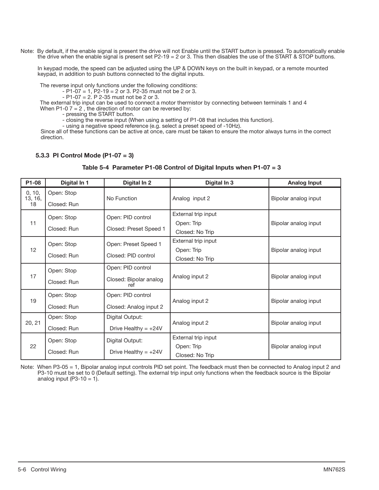Note: By default, if the enable signal is present the drive will not Enable until the START button is pressed. To automatically enable the drive when the enable signal is present set P2-19 = 2 or 3. This then disables the use of the START & STOP buttons.

 In keypad mode, the speed can be adjusted using the UP & DOWN keys on the built in keypad, or a remote mounted keypad, in addition to push buttons connected to the digital inputs.

The reverse input only functions under the following conditions:

- P1-07 = 1, P2-19 = 2 or 3. P2-35 must not be 2 or 3.

- P1-07 = 2. P 2-35 must not be 2 or 3.

 The external trip input can be used to connect a motor thermistor by connecting between terminals 1 and 4 When P1-0  $7 = 2$ , the direction of motor can be reversed by:

- pressing the START button.

- closing the reverse input (When using a setting of P1-08 that includes this function).

- using a negative speed reference (e.g. select a preset speed of -10Hz).

 Since all of these functions can be active at once, care must be taken to ensure the motor always turns in the correct direction.

#### **5.3.3 PI Control Mode (P1-07 = 3)**

| P1-08                   | Digital In 1              | Digital In 2                                       | Digital In 3                                                                 | <b>Analog Input</b>  |
|-------------------------|---------------------------|----------------------------------------------------|------------------------------------------------------------------------------|----------------------|
| 0, 10,<br>13, 16,<br>18 | Open: Stop<br>Closed: Run | No Function                                        | Analog input 2                                                               | Bipolar analog input |
| 11                      | Open: Stop<br>Closed: Run | Open: PID control<br>Closed: Preset Speed 1        | External trip input<br>Open: Trip<br>Bipolar analog input<br>Closed: No Trip |                      |
| 12                      | Open: Stop<br>Closed: Run | Open: Preset Speed 1<br>Closed: PID control        | External trip input<br>Open: Trip<br>Closed: No Trip                         | Bipolar analog input |
| 17                      | Open: Stop<br>Closed: Run | Open: PID control<br>Closed: Bipolar analog<br>ref | Analog input 2                                                               | Bipolar analog input |
| 19                      | Open: Stop<br>Closed: Run | Open: PID control<br>Closed: Analog input 2        | Analog input 2                                                               | Bipolar analog input |
| 20, 21                  | Open: Stop<br>Closed: Run | Digital Output:<br>Drive Healthy = $+24V$          | Analog input 2                                                               | Bipolar analog input |
| 22                      | Open: Stop<br>Closed: Run | Digital Output:<br>Drive Healthy = $+24V$          | External trip input<br>Open: Trip<br>Closed: No Trip                         | Bipolar analog input |

Note: When P3-05 = 1, Bipolar analog input controls PID set point. The feedback must then be connected to Analog input 2 and P3-10 must be set to 0 (Default setting). The external trip input only functions when the feedback source is the Bipolar analog input  $(P3-10=1)$ .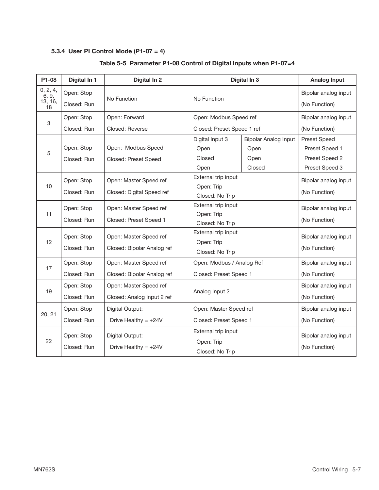# **5.3.4 User PI Control Mode (P1-07 = 4)**

| P1-08                              | Digital In 1              | Digital In 2                                         | Digital In 3                                         | <b>Analog Input</b>                                   |                                                                           |
|------------------------------------|---------------------------|------------------------------------------------------|------------------------------------------------------|-------------------------------------------------------|---------------------------------------------------------------------------|
| 0, 2, 4,<br>6, 9,<br>13, 16,<br>18 | Open: Stop<br>Closed: Run | No Function                                          | No Function                                          | Bipolar analog input<br>(No Function)                 |                                                                           |
| $\ensuremath{\mathsf{3}}$          | Open: Stop                | Open: Forward                                        | Open: Modbus Speed ref                               |                                                       | Bipolar analog input                                                      |
|                                    | Closed: Run               | Closed: Reverse                                      | Closed: Preset Speed 1 ref                           |                                                       | (No Function)                                                             |
| $\sqrt{5}$                         | Open: Stop<br>Closed: Run | Open: Modbus Speed<br>Closed: Preset Speed           | Digital Input 3<br>Open<br>Closed<br>Open            | <b>Bipolar Analog Input</b><br>Open<br>Open<br>Closed | <b>Preset Speed</b><br>Preset Speed 1<br>Preset Speed 2<br>Preset Speed 3 |
| 10                                 | Open: Stop<br>Closed: Run | Open: Master Speed ref<br>Closed: Digital Speed ref  | External trip input<br>Open: Trip<br>Closed: No Trip |                                                       | Bipolar analog input<br>(No Function)                                     |
| 11                                 | Open: Stop<br>Closed: Run | Open: Master Speed ref<br>Closed: Preset Speed 1     | External trip input<br>Open: Trip<br>Closed: No Trip |                                                       | Bipolar analog input<br>(No Function)                                     |
| 12                                 | Open: Stop<br>Closed: Run | Open: Master Speed ref<br>Closed: Bipolar Analog ref | External trip input<br>Open: Trip<br>Closed: No Trip |                                                       | Bipolar analog input<br>(No Function)                                     |
| 17                                 | Open: Stop                | Open: Master Speed ref                               | Open: Modbus / Analog Ref                            |                                                       | Bipolar analog input                                                      |
|                                    | Closed: Run               | Closed: Bipolar Analog ref                           | Closed: Preset Speed 1                               |                                                       | (No Function)                                                             |
| 19                                 | Open: Stop<br>Closed: Run | Open: Master Speed ref<br>Closed: Analog Input 2 ref | Analog Input 2                                       |                                                       | Bipolar analog input<br>(No Function)                                     |
|                                    | Open: Stop                | Digital Output:                                      | Open: Master Speed ref                               |                                                       | Bipolar analog input                                                      |
| 20, 21                             | Closed: Run               | Drive Healthy = $+24V$                               | Closed: Preset Speed 1                               |                                                       | (No Function)                                                             |
| 22                                 | Open: Stop<br>Closed: Run | Digital Output:<br>Drive Healthy = $+24V$            | External trip input<br>Open: Trip<br>Closed: No Trip |                                                       | Bipolar analog input<br>(No Function)                                     |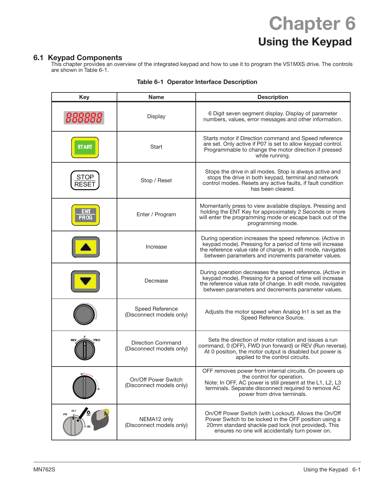# **Chapter 6 Using the Keypad**

# **6.1 Keypad Components**

This chapter provides an overview of the integrated keypad and how to use it to program the VS1MXS drive. The controls are shown in Table 6-1.

| <b>Key</b>        | <b>Name</b>                                          | <b>Description</b>                                                                                                                                                                                                                            |
|-------------------|------------------------------------------------------|-----------------------------------------------------------------------------------------------------------------------------------------------------------------------------------------------------------------------------------------------|
|                   | Display                                              | 6 Digit seven segment display. Display of parameter<br>numbers, values, error messages and other information.                                                                                                                                 |
| STARI             | Start                                                | Starts motor if Direction command and Speed reference<br>are set. Only active if P07 is set to allow keypad control.<br>Programmable to change the motor direction if pressed<br>while running.                                               |
|                   | Stop / Reset                                         | Stops the drive in all modes. Stop is always active and<br>stops the drive in both keypad, terminal and network<br>control modes. Resets any active faults, if fault condition<br>has been cleared.                                           |
| ЦÆ<br><b>PROG</b> | Enter / Program                                      | Momentarily press to view available displays. Pressing and<br>holding the ENT Key for approximately 2 Seconds or more<br>will enter the programming mode or escape back out of the<br>programming mode.                                       |
|                   | Increase                                             | During operation increases the speed reference. (Active in<br>keypad mode). Pressing for a period of time will increase<br>the reference value rate of change. In edit mode, navigates<br>between parameters and increments parameter values. |
|                   | Decrease                                             | During operation decreases the speed reference. (Active in<br>keypad mode). Pressing for a period of time will increase<br>the reference value rate of change. In edit mode, navigates<br>between parameters and decrements parameter values. |
|                   | Speed Reference<br>(Disconnect models only)          | Adjusts the motor speed when Analog In1 is set as the<br>Speed Reference Source.                                                                                                                                                              |
| FW D              | <b>Direction Command</b><br>(Disconnect models only) | Sets the direction of motor rotation and issues a run<br>command, 0 (OFF), FWD (run forward) or REV (Run reverse).<br>At 0 position, the motor output is disabled but power is<br>applied to the control circuits.                            |
| o≓⊧ L             | On/Off Power Switch<br>(Disconnect models only)      | OFF removes power from internal circuits. On powers up<br>the control for operation.<br>Note: In OFF, AC power is still present at the L1, L2, L3<br>terminals. Separate disconnect required to remove AC<br>power from drive terminals.      |
| PW                | NEMA12 only<br>(Disconnect models only)              | On/Off Power Switch (with Lockout). Allows the On/Off<br>Power Switch to be locked in the OFF position using a<br>20mm standard shackle pad lock (not provided). This<br>ensures no one will accidentally turn power on.                      |

#### **Table 6-1 Operator Interface Description**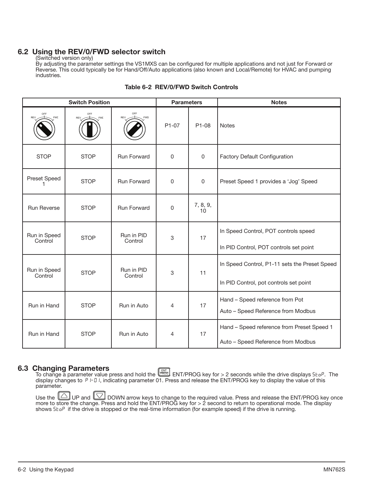# **6.2 Using the REV/0/FWD selector switch**

#### (Switched version only)

By adjusting the parameter settings the VS1MXS can be configured for multiple applications and not just for Forward or Reverse. This could typically be for Hand/Off/Auto applications (also known and Local/Remote) for HVAC and pumping industries.

|                         |                   | <b>Parameters</b>     |                    | <b>Notes</b>   |                                                                                         |
|-------------------------|-------------------|-----------------------|--------------------|----------------|-----------------------------------------------------------------------------------------|
| OFF<br><b>FWD</b>       | OFF<br><b>FWC</b> | OFF<br><b>FWD</b>     | P <sub>1</sub> -07 | P1-08          | <b>Notes</b>                                                                            |
| <b>STOP</b>             | <b>STOP</b>       | <b>Run Forward</b>    | $\Omega$           | $\mathbf{0}$   | <b>Factory Default Configuration</b>                                                    |
| Preset Speed<br>1.      | <b>STOP</b>       | <b>Run Forward</b>    | 0                  | 0              | Preset Speed 1 provides a 'Jog' Speed                                                   |
| <b>Run Reverse</b>      | <b>STOP</b>       | <b>Run Forward</b>    | $\Omega$           | 7, 8, 9,<br>10 |                                                                                         |
| Run in Speed<br>Control | <b>STOP</b>       | Run in PID<br>Control | 3                  | 17             | In Speed Control, POT controls speed<br>In PID Control, POT controls set point          |
| Run in Speed<br>Control | <b>STOP</b>       | Run in PID<br>Control | 3                  | 11             | In Speed Control, P1-11 sets the Preset Speed<br>In PID Control, pot controls set point |
| Run in Hand             | <b>STOP</b>       | Run in Auto           | $\overline{4}$     | 17             | Hand - Speed reference from Pot<br>Auto - Speed Reference from Modbus                   |
| Run in Hand             | <b>STOP</b>       | Run in Auto           | 4                  | 17             | Hand - Speed reference from Preset Speed 1<br>Auto - Speed Reference from Modbus        |

### **Table 6-2 REV/0/FWD Switch Controls**

# **6.3 Changing Parameters**

To change a parameter value press and hold the  $\sqrt{2\pi\omega}$  ENT/PROG key for > 2 seconds while the drive displays 5EoP. The display changes to  $P_1$ - $B_1$ , indicating parameter 01. Press and release the ENT/PROG key to display the value of this parameter. ENT<br>PROG

Use the US JUP and US DOWN arrow keys to change to the required value. Press and release the ENT/PROG key once more to store the change. Press and hold the ENT/PROG key for > 2 second to return to operational mode. The display shows 5toP if the drive is stopped or the real-time information (for example speed) if the drive is running.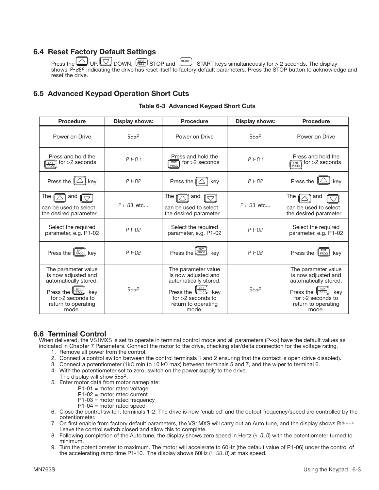# **6.4 Reset Factory Default Settings**

Press the UP, UP, DOWN,  $\frac{1}{1000}$  STOP and START keys simultaneously for > 2 seconds. The display shows P-dEF indicating the drive has reset itself to factory default parameters. Press the STOP button to acknowledge and reset the drive.  $\frac{\text{STOP}}{\text{ResET}}$  STOP and  $\left.\right|$  START

# **6.5 Advanced Keypad Operation Short Cuts**

## **Table 6-3 Advanced Keypad Short Cuts**

| <b>Procedure</b>                                                                                                                                                                       | <b>Display shows:</b><br><b>Procedure</b>                              |                                                                                                                                                             | <b>Display shows:</b> | <b>Procedure</b>                                                                                                                                                               |
|----------------------------------------------------------------------------------------------------------------------------------------------------------------------------------------|------------------------------------------------------------------------|-------------------------------------------------------------------------------------------------------------------------------------------------------------|-----------------------|--------------------------------------------------------------------------------------------------------------------------------------------------------------------------------|
| Power on Drive                                                                                                                                                                         | <b>SEOP</b>                                                            | Power on Drive                                                                                                                                              | <b>SEOP</b>           | Power on Drive                                                                                                                                                                 |
| Press and hold the<br>for $>2$ seconds<br>$\boxed{\frac{\text{ENT}}{\text{PROG}}}$                                                                                                     | Press and hold the<br>$P I - \Pi I$<br>for $>2$ seconds<br>ENT<br>PROG |                                                                                                                                                             | $P I - Q I$           | Press and hold the<br>for >2 seconds<br>$\frac{ENT}{PROG}$                                                                                                                     |
| Press the $[\triangle]$ key                                                                                                                                                            | P 1-02                                                                 | Press the $\Box$<br>key                                                                                                                                     | P 1-02                | Press the<br>kev                                                                                                                                                               |
| The (<br>and<br>can be used to select<br>the desired parameter                                                                                                                         | $P = \Pi$ etc                                                          | The j<br>and<br>can be used to select<br>the desired parameter                                                                                              | $P = \Pi$ etc         | The<br>and<br>can be used to select<br>the desired parameter                                                                                                                   |
| Select the required<br>parameter, e.g. P1-02                                                                                                                                           | Select the required<br>P 1-02<br>parameter, e.g. P1-02                 |                                                                                                                                                             | P 1-02                | Select the required<br>parameter, e.g. P1-02                                                                                                                                   |
| Press the $\left[\frac{ENT}{PROG}\right]$ key<br>$P - 3P$                                                                                                                              |                                                                        | Press the $\left[\frac{ENT}{PROG}\right]$ key                                                                                                               | $P + 2P$              | Press the $\left[\frac{ENT}{PROG}\right]$<br>kev                                                                                                                               |
| The parameter value<br>is now adjusted and<br>automatically stored.<br>SEOP<br>Press the $\left[\frac{ENT}{PROG}\right]$<br>kev<br>for $>2$ seconds to<br>return to operating<br>mode. |                                                                        | The parameter value<br>is now adjusted and<br>automatically stored.<br>Press the <b>LEROG</b><br>kev<br>for $>2$ seconds to<br>return to operating<br>mode. | SEOP                  | The parameter value<br>is now adjusted and<br>automatically stored.<br>Press the $\left[\frac{ENT}{PROG}\right]$<br>key<br>for $>2$ seconds to<br>return to operating<br>mode. |

# **6.6 Terminal Control**

When delivered, the VS1MXS is set to operate in terminal control mode and all parameters (P-xx) have the default values as indicated in Chapter 7 Parameters. Connect the motor to the drive, checking star/delta connection for the voltage rating.

- 1. Remove all power from the control.
- 2. Connect a control switch between the control terminals 1 and 2 ensuring that the contact is open (drive disabled).
- 3. Connect a potentiometer (1kΩ min to 10 kΩ max) between terminals 5 and 7, and the wiper to terminal 6.
- 4. With the potentiometer set to zero, switch on the power supply to the drive.
- The display will show 5toP.
- 5. Enter motor data from motor nameplate:
	- P1-01 = motor rated voltage
	- P1-02 = motor rated current
	- P1-03 = motor rated frequency
	- P1-04 = motor rated speed
- 6. Close the control switch, terminals 1-2. The drive is now 'enabled' and the output frequency/speed are controlled by the potentiometer.
- 7. On first enable from factory default parameters, the VS1MXS will carry out an Auto tune, and the display shows RUE<sub>0</sub>-E. Leave the control switch closed and allow this to complete.
- 8. Following completion of the Auto tune, the display shows zero speed in Hertz ( $H I L I$ ) with the potentiometer turned to minimum.
- 9. Turn the potentiometer to maximum. The motor will accelerate to 60Hz (the default value of P1-06) under the control of the accelerating ramp time P1-10. The display shows 60Hz  $(H 60.0)$  at max speed.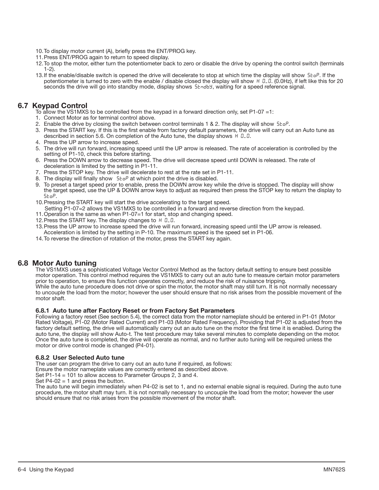- 10. To display motor current (A), briefly press the ENT/PROG key.
- 11. Press ENT/PROG again to return to speed display.
- 12. To stop the motor, either turn the potentiometer back to zero or disable the drive by opening the control switch (terminals 1-2).
- 13. If the enable/disable switch is opened the drive will decelerate to stop at which time the display will show  $5t_0P$ . If the potentiometer is turned to zero with the enable / disable closed the display will show H  $0.0$ . (0.0Hz), if left like this for 20 seconds the drive will go into standby mode, display shows  $5$ *thdb*y, waiting for a speed reference signal.

# **6.7 Keypad Control**

To allow the VS1MXS to be controlled from the keypad in a forward direction only, set P1-07 =1:

- 1. Connect Motor as for terminal control above.
- 2. Enable the drive by closing the switch between control terminals 1 & 2. The display will show 5toP.
- 3. Press the START key. If this is the first enable from factory default parameters, the drive will carry out an Auto tune as described in section 5.6. On completion of the Auto tune, the display shows  $H$  0.0.
- 4. Press the UP arrow to increase speed.
- 5. The drive will run forward, increasing speed until the UP arrow is released. The rate of acceleration is controlled by the setting of P1-10, check this before starting.
- 6. Press the DOWN arrow to decrease speed. The drive will decrease speed until DOWN is released. The rate of deceleration is limited by the setting in P1-11.
- 7. Press the STOP key. The drive will decelerate to rest at the rate set in P1-11.
- 8. The display will finally show  $5E_0P$  at which point the drive is disabled.
- 9. To preset a target speed prior to enable, press the DOWN arrow key while the drive is stopped. The display will show the target speed, use the UP & DOWN arrow keys to adjust as required then press the STOP key to return the display to StoP.
- 10. Pressing the START key will start the drive accelerating to the target speed.
- Setting P1-07=2 allows the VS1MXS to be controlled in a forward and reverse direction from the keypad.
- 11. Operation is the same as when P1-07=1 for start, stop and changing speed.
- 12. Press the START key. The display changes to H 0.0.
- 13. Press the UP arrow to increase speed the drive will run forward, increasing speed until the UP arrow is released. Acceleration is limited by the setting in P-10. The maximum speed is the speed set in P1-06.
- 14. To reverse the direction of rotation of the motor, press the START key again.

## **6.8 Motor Auto tuning**

The VS1MXS uses a sophisticated Voltage Vector Control Method as the factory default setting to ensure best possible motor operation. This control method requires the VS1MXS to carry out an auto tune to measure certain motor parameters prior to operation, to ensure this function operates correctly, and reduce the risk of nuisance tripping. While the auto tune procedure does not drive or spin the motor, the motor shaft may still turn. It is not normally necessary to uncouple the load from the motor; however the user should ensure that no risk arises from the possible movement of the motor shaft.

#### **6.8.1 Auto tune after Factory Reset or from Factory Set Parameters**

Following a factory reset (See section 5.4), the correct data from the motor nameplate should be entered in P1-01 (Motor Rated Voltage), P1-02 (Motor Rated Current) and P1-03 (Motor Rated Frequency). Providing that P1-02 is adjusted from the factory default setting, the drive will automatically carry out an auto tune on the motor the first time it is enabled. During the auto tune, the display will show Auto-t. The test procedure may take several minutes to complete depending on the motor. Once the auto tune is completed, the drive will operate as normal, and no further auto tuning will be required unless the motor or drive control mode is changed (P4-01).

#### **6.8.2 User Selected Auto tune**

The user can program the drive to carry out an auto tune if required, as follows:

Ensure the motor nameplate values are correctly entered as described above.

Set P1-14 = 101 to allow access to Parameter Groups 2, 3 and 4.

Set  $P4-02 = 1$  and press the button.

The auto tune will begin immediately when P4-02 is set to 1, and no external enable signal is required. During the auto tune procedure, the motor shaft may turn. It is not normally necessary to uncouple the load from the motor; however the user should ensure that no risk arises from the possible movement of the motor shaft.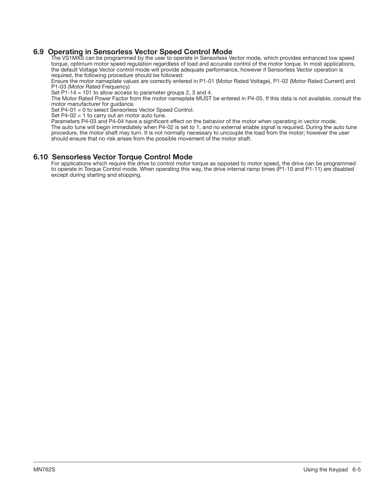# **6.9 Operating in Sensorless Vector Speed Control Mode**

The VS1MXS can be programmed by the user to operate in Sensorless Vector mode, which provides enhanced low speed torque, optimum motor speed regulation regardless of load and accurate control of the motor torque. In most applications, the default Voltage Vector control mode will provide adequate performance, however if Sensorless Vector operation is required, the following procedure should be followed:

Ensure the motor nameplate values are correctly entered in P1-01 (Motor Rated Voltage), P1-02 (Motor Rated Current) and P1-03 (Motor Rated Frequency)

Set P1-14 = 101 to allow access to parameter groups 2, 3 and 4.

The Motor Rated Power Factor from the motor nameplate MUST be entered in P4-05. If this data is not available, consult the motor manufacturer for guidance.

Set P4-01 = 0 to select Sensorless Vector Speed Control.

Set P4-02 = 1 to carry out an motor auto tune.

Parameters P4-03 and P4-04 have a significant effect on the behavior of the motor when operating in vector mode. The auto tune will begin immediately when P4-02 is set to 1, and no external enable signal is required. During the auto tune procedure, the motor shaft may turn. It is not normally necessary to uncouple the load from the motor; however the user should ensure that no risk arises from the possible movement of the motor shaft.

## **6.10 Sensorless Vector Torque Control Mode**

For applications which require the drive to control motor torque as opposed to motor speed, the drive can be programmed to operate in Torque Control mode. When operating this way, the drive internal ramp times (P1-10 and P1-11) are disabled except during starting and stopping.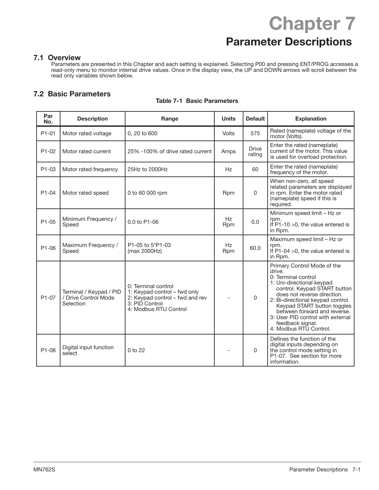# **Chapter 7 Parameter Descriptions**

# **7.1 Overview**

Parameters are presented in this Chapter and each setting is explained. Selecting P00 and pressing ENT/PROG accesses a read-only menu to monitor internal drive values. Once in the display view, the UP and DOWN arrows will scroll between the read only variables shown below.

# **7.2 Basic Parameters**

# **Table 7-1 Basic Parameters**

| Par<br>No.         | <b>Description</b>                                           | Range                                                                                                                             | <b>Units</b>      | <b>Default</b>         | <b>Explanation</b>                                                                                                                                                                                                                                                                                                                              |
|--------------------|--------------------------------------------------------------|-----------------------------------------------------------------------------------------------------------------------------------|-------------------|------------------------|-------------------------------------------------------------------------------------------------------------------------------------------------------------------------------------------------------------------------------------------------------------------------------------------------------------------------------------------------|
| P <sub>1</sub> -01 | Motor rated voltage                                          | 0, 20 to 600                                                                                                                      | Volts             | 575                    | Rated (nameplate) voltage of the<br>motor (Volts).                                                                                                                                                                                                                                                                                              |
| P <sub>1</sub> -02 | Motor rated current                                          | 25% -100% of drive rated current                                                                                                  | Amps              | <b>Drive</b><br>rating | Enter the rated (nameplate)<br>current of the motor. This value<br>is used for overload protection.                                                                                                                                                                                                                                             |
| P1-03              | Motor rated frequency                                        | 25Hz to 2000Hz                                                                                                                    | Hz                | 60                     | Enter the rated (nameplate)<br>frequency of the motor.                                                                                                                                                                                                                                                                                          |
| $P1 - 04$          | Motor rated speed                                            | 0 to 60 000 rpm                                                                                                                   | <b>Rpm</b>        | 0                      | When non-zero, all speed<br>related parameters are displayed<br>in rpm. Enter the motor rated<br>(nameplate) speed if this is<br>required.                                                                                                                                                                                                      |
| P1-05              | Minimum Frequency /<br>Speed                                 | 0.0 to P1-06                                                                                                                      | Hz<br><b>Rpm</b>  | 0.0                    | Minimum speed limit - Hz or<br>rpm.<br>If $P1-10 > 0$ , the value entered is<br>in Rpm.                                                                                                                                                                                                                                                         |
| P <sub>1</sub> -06 | Maximum Frequency /<br>Speed                                 | P1-05 to 5*P1-03<br>(max 2000Hz)                                                                                                  | Hz.<br><b>Rpm</b> | 60.0                   | Maximum speed limit - Hz or<br>rpm.<br>If $P1-04 > 0$ , the value entered is<br>in Rpm.                                                                                                                                                                                                                                                         |
| P1-07              | Terminal / Keypad / PID<br>/ Drive Control Mode<br>Selection | 0: Terminal control<br>1: Keypad control - fwd only<br>2: Keypad control - fwd and rev<br>3: PID Control<br>4: Modbus RTU Control |                   | $\mathsf 0$            | Primary Control Mode of the<br>drive.<br>0: Terminal control<br>1: Uni-directional keypad<br>control. Keypad START button<br>does not reverse direction.<br>2: Bi-directional keypad control.<br>Keypad START button toggles<br>between forward and reverse.<br>3: User PID control with external<br>feedback signal.<br>4: Modbus RTU Control. |
| P1-08              | Digital input function<br>select                             | 0 to 22                                                                                                                           |                   | 0                      | Defines the function of the<br>digital inputs depending on<br>the control mode setting in<br>P1-07. See section for more<br>information.                                                                                                                                                                                                        |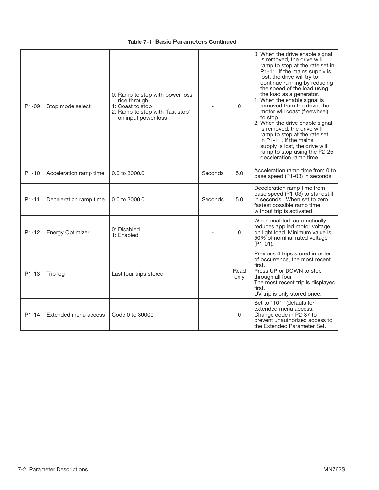# **Table 7-1 Basic Parameters Continued**

| P1-09     | Stop mode select        | 0: Ramp to stop with power loss<br>ride through<br>1: Coast to stop<br>2: Ramp to stop with 'fast stop'<br>on input power loss |         | $\Omega$     | 0: When the drive enable signal<br>is removed, the drive will<br>ramp to stop at the rate set in<br>P1-11. If the mains supply is<br>lost, the drive will try to<br>continue running by reducing<br>the speed of the load using<br>the load as a generator.<br>1: When the enable signal is<br>removed from the drive, the<br>motor will coast (freewheel)<br>to stop.<br>2: When the drive enable signal<br>is removed, the drive will<br>ramp to stop at the rate set<br>in P1-11. If the mains<br>supply is lost, the drive will<br>ramp to stop using the P2-25<br>deceleration ramp time. |
|-----------|-------------------------|--------------------------------------------------------------------------------------------------------------------------------|---------|--------------|------------------------------------------------------------------------------------------------------------------------------------------------------------------------------------------------------------------------------------------------------------------------------------------------------------------------------------------------------------------------------------------------------------------------------------------------------------------------------------------------------------------------------------------------------------------------------------------------|
| $P1 - 10$ | Acceleration ramp time  | 0.0 to 3000.0                                                                                                                  | Seconds | 5.0          | Acceleration ramp time from 0 to<br>base speed (P1-03) in seconds                                                                                                                                                                                                                                                                                                                                                                                                                                                                                                                              |
| P1-11     | Deceleration ramp time  | 0.0 to 3000.0                                                                                                                  | Seconds | 5.0          | Deceleration ramp time from<br>base speed (P1-03) to standstill<br>in seconds. When set to zero.<br>fastest possible ramp time<br>without trip is activated.                                                                                                                                                                                                                                                                                                                                                                                                                                   |
| $P1-12$   | <b>Energy Optimizer</b> | 0: Disabled<br>1: Enabled                                                                                                      |         | $\Omega$     | When enabled, automatically<br>reduces applied motor voltage<br>on light load. Minimum value is<br>50% of nominal rated voltage<br>$(P1-01)$ .                                                                                                                                                                                                                                                                                                                                                                                                                                                 |
| P1-13     | Trip log                | Last four trips stored                                                                                                         |         | Read<br>only | Previous 4 trips stored in order<br>of occurrence, the most recent<br>first.<br>Press UP or DOWN to step<br>through all four.<br>The most recent trip is displayed<br>first.<br>UV trip is only stored once.                                                                                                                                                                                                                                                                                                                                                                                   |
| $P1 - 14$ | Extended menu access    | Code 0 to 30000                                                                                                                |         | 0            | Set to "101" (default) for<br>extended menu access.<br>Change code in P2-37 to<br>prevent unauthorized access to<br>the Extended Parameter Set.                                                                                                                                                                                                                                                                                                                                                                                                                                                |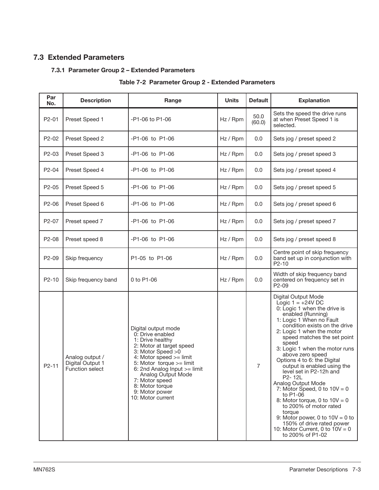# **7.3 Extended Parameters**

# **7.3.1 Parameter Group 2 – Extended Parameters**

# **Table 7-2 Parameter Group 2 - Extended Parameters**

| Par<br>No.         | <b>Description</b>                                            | Range                                                                                                                                                                                                                                                                                                    | <b>Units</b> | <b>Default</b> | <b>Explanation</b>                                                                                                                                                                                                                                                                                                                                                                                                                                                                                                                                                                                                                                               |
|--------------------|---------------------------------------------------------------|----------------------------------------------------------------------------------------------------------------------------------------------------------------------------------------------------------------------------------------------------------------------------------------------------------|--------------|----------------|------------------------------------------------------------------------------------------------------------------------------------------------------------------------------------------------------------------------------------------------------------------------------------------------------------------------------------------------------------------------------------------------------------------------------------------------------------------------------------------------------------------------------------------------------------------------------------------------------------------------------------------------------------------|
| P <sub>2</sub> -01 | Preset Speed 1                                                | -P1-06 to P1-06                                                                                                                                                                                                                                                                                          | Hz / Rpm     | 50.0<br>(60.0) | Sets the speed the drive runs<br>at when Preset Speed 1 is<br>selected.                                                                                                                                                                                                                                                                                                                                                                                                                                                                                                                                                                                          |
| P2-02              | Preset Speed 2                                                | -P1-06 to P1-06                                                                                                                                                                                                                                                                                          | Hz / Rpm     | 0.0            | Sets jog / preset speed 2                                                                                                                                                                                                                                                                                                                                                                                                                                                                                                                                                                                                                                        |
| P2-03              | Preset Speed 3                                                | -P1-06 to P1-06                                                                                                                                                                                                                                                                                          | Hz / Rpm     | 0.0            | Sets jog / preset speed 3                                                                                                                                                                                                                                                                                                                                                                                                                                                                                                                                                                                                                                        |
| P <sub>2</sub> -04 | Preset Speed 4                                                | -P1-06 to P1-06                                                                                                                                                                                                                                                                                          | Hz / Rpm     | 0.0            | Sets jog / preset speed 4                                                                                                                                                                                                                                                                                                                                                                                                                                                                                                                                                                                                                                        |
| P2-05              | Preset Speed 5                                                | -P1-06 to P1-06                                                                                                                                                                                                                                                                                          | Hz / Rpm     | 0.0            | Sets jog / preset speed 5                                                                                                                                                                                                                                                                                                                                                                                                                                                                                                                                                                                                                                        |
| P2-06              | Preset Speed 6                                                | -P1-06 to P1-06                                                                                                                                                                                                                                                                                          | Hz / Rpm     | 0.0            | Sets jog / preset speed 6                                                                                                                                                                                                                                                                                                                                                                                                                                                                                                                                                                                                                                        |
| P <sub>2</sub> -07 | Preset speed 7                                                | -P1-06 to P1-06                                                                                                                                                                                                                                                                                          | Hz / Rpm     | 0.0            | Sets jog / preset speed 7                                                                                                                                                                                                                                                                                                                                                                                                                                                                                                                                                                                                                                        |
| P2-08              | Preset speed 8                                                | -P1-06 to P1-06                                                                                                                                                                                                                                                                                          | Hz / Rpm     | 0.0            | Sets jog / preset speed 8                                                                                                                                                                                                                                                                                                                                                                                                                                                                                                                                                                                                                                        |
| P <sub>2</sub> -09 | Skip frequency                                                | P1-05 to P1-06                                                                                                                                                                                                                                                                                           | Hz / Rpm     | 0.0            | Centre point of skip frequency<br>band set up in conjunction with<br>$P2-10$                                                                                                                                                                                                                                                                                                                                                                                                                                                                                                                                                                                     |
| P2-10              | Skip frequency band                                           | 0 to P1-06                                                                                                                                                                                                                                                                                               | Hz / Rpm     | 0.0            | Width of skip frequency band<br>centered on frequency set in<br>P <sub>2</sub> -09                                                                                                                                                                                                                                                                                                                                                                                                                                                                                                                                                                               |
| P2-11              | Analog output /<br>Digital Output 1<br><b>Function select</b> | Digital output mode<br>0: Drive enabled<br>1: Drive healthy<br>2: Motor at target speed<br>3: Motor Speed > 0<br>4: Motor speed >= limit<br>5: Motor torque $>=$ limit<br>6: 2nd Analog Input >= limit<br>Analog Output Mode<br>7: Motor speed<br>8: Motor torque<br>9: Motor power<br>10: Motor current |              | $\overline{7}$ | Digital Output Mode<br>Logic $1 = +24V$ DC<br>0: Logic 1 when the drive is<br>enabled (Running)<br>1: Logic 1 When no Fault<br>condition exists on the drive<br>2: Logic 1 when the motor<br>speed matches the set point<br>speed<br>3: Logic 1 when the motor runs<br>above zero speed<br>Options 4 to 6: the Digital<br>output is enabled using the<br>level set in P2-12h and<br>P2-12L<br>Analog Output Mode<br>7: Motor Speed, 0 to $10V = 0$<br>to P1-06<br>8: Motor torque, 0 to $10V = 0$<br>to 200% of motor rated<br>torque<br>9: Motor power, 0 to $10V = 0$ to<br>150% of drive rated power<br>10: Motor Current, 0 to $10V = 0$<br>to 200% of P1-02 |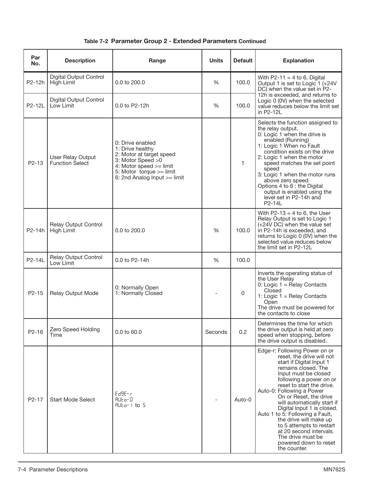# **Table 7-2 Parameter Group 2 - Extended Parameters Continued**

| Par<br>No.          | <b>Description</b>                   | Range                                                                                                                                                                           | <b>Units</b> | <b>Default</b> | <b>Explanation</b>                                                                                                                                                                                                                                                                                                                                                                                                                                                                                  |
|---------------------|--------------------------------------|---------------------------------------------------------------------------------------------------------------------------------------------------------------------------------|--------------|----------------|-----------------------------------------------------------------------------------------------------------------------------------------------------------------------------------------------------------------------------------------------------------------------------------------------------------------------------------------------------------------------------------------------------------------------------------------------------------------------------------------------------|
| P2-12h              | Digital Output Control<br>High Limit | $0.0$ to $200.0$                                                                                                                                                                | $\%$         | 100.0          | With $P2-11 = 4$ to 6, Digital<br>Output 1 is set to Logic 1 (+24V<br>DC) when the value set in P2-                                                                                                                                                                                                                                                                                                                                                                                                 |
| P2-12L              | Digital Output Control<br>Low Limit  | 0.0 to P2-12h                                                                                                                                                                   | %            | 100.0          | 12h is exceeded, and returns to<br>Logic 0 (0V) when the selected<br>value reduces below the limit set<br>in P2-12L                                                                                                                                                                                                                                                                                                                                                                                 |
| P2-13               | User Relay Output<br>Function Select | 0: Drive enabled<br>1: Drive healthy<br>2: Motor at target speed<br>3: Motor Speed > 0<br>4: Motor speed >= limit<br>5: Motor torque >= limit<br>6: 2nd Analog Input $>=$ limit |              | $\mathbf{1}$   | Selects the function assigned to<br>the relay output.<br>0: Logic 1 when the drive is<br>enabled (Running)<br>1: Logic 1 When no Fault<br>condition exists on the drive<br>2: Logic 1 when the motor<br>speed matches the set point<br>speed<br>3: Logic 1 when the motor runs<br>above zero speed<br>Options 4 to 6 : the Digital<br>output is enabled using the<br>level set in P2-14h and<br>P <sub>2</sub> -14I                                                                                 |
| P <sub>2</sub> -14h | Relay Output Control<br>High Limit   | 0.0 to 200.0                                                                                                                                                                    | %            | 100.0          | With $P2-13 = 4$ to 6, the User<br>Relay Output is set to Logic 1<br>(+24V DC) when the value set<br>in P2-14h is exceeded, and<br>returns to Logic 0 (0V) when the<br>selected value reduces below<br>the limit set in P2-12L                                                                                                                                                                                                                                                                      |
| P2-14L              | Relay Output Control<br>Low Limit    | 0.0 to P2-14h                                                                                                                                                                   | $\%$         | 100.0          |                                                                                                                                                                                                                                                                                                                                                                                                                                                                                                     |
| $P2-15$             | Relay Output Mode                    | 0: Normally Open<br>1: Normally Closed                                                                                                                                          |              | 0              | Inverts the operating status of<br>the User Relay<br>0: Logic $1 =$ Relay Contacts<br>Closed<br>1: Logic $1 =$ Relay Contacts<br>Open<br>The drive must be powered for<br>the contacts to close                                                                                                                                                                                                                                                                                                     |
| P2-16               | Zero Speed Holding<br>Time           | 0.0 to 60.0                                                                                                                                                                     | Seconds      | 0.2            | Determines the time for which<br>the drive output is held at zero<br>speed when stopping, before<br>the drive output is disabled.                                                                                                                                                                                                                                                                                                                                                                   |
| P <sub>2</sub> -17  | <b>Start Mode Select</b>             | $Ed9E-r$<br>RUE o- O<br>RUE <sub>o</sub> - I to 5                                                                                                                               |              | Auto-0         | Edge-r: Following Power on or<br>reset, the drive will not<br>start if Digital Input 1<br>remains closed. The<br>Input must be closed<br>following a power on or<br>reset to start the drive.<br>Auto-0: Following a Power<br>On or Reset, the drive<br>will automatically start if<br>Digital Input 1 is closed.<br>Auto 1 to 5: Following a Fault,<br>the drive will make up<br>to 5 attempts to restart<br>at 20 second intervals.<br>The drive must be<br>powered down to reset<br>the counter. |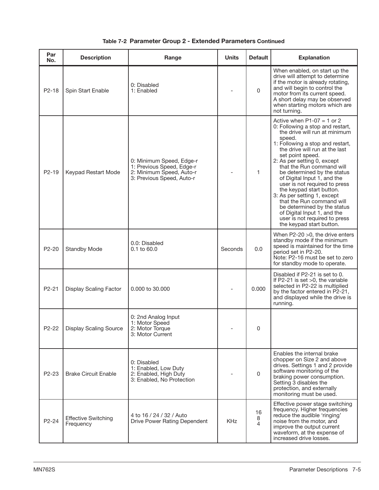| Par<br>No.         | <b>Description</b>                      | Range                                                                                                          | <b>Units</b> | <b>Default</b> | <b>Explanation</b>                                                                                                                                                                                                                                                                                                                                                                                                                                                                                                                                                                  |
|--------------------|-----------------------------------------|----------------------------------------------------------------------------------------------------------------|--------------|----------------|-------------------------------------------------------------------------------------------------------------------------------------------------------------------------------------------------------------------------------------------------------------------------------------------------------------------------------------------------------------------------------------------------------------------------------------------------------------------------------------------------------------------------------------------------------------------------------------|
| $P2-18$            | Spin Start Enable                       | 0: Disabled<br>1: Enabled                                                                                      |              | $\mathbf 0$    | When enabled, on start up the<br>drive will attempt to determine<br>if the motor is already rotating,<br>and will begin to control the<br>motor from its current speed.<br>A short delay may be observed<br>when starting motors which are<br>not turning.                                                                                                                                                                                                                                                                                                                          |
| P2-19              | Keypad Restart Mode                     | 0: Minimum Speed, Edge-r<br>1: Previous Speed, Edge-r<br>2: Minimum Speed, Auto-r<br>3: Previous Speed, Auto-r |              | 1              | Active when $P1-07 = 1$ or 2<br>0: Following a stop and restart,<br>the drive will run at minimum<br>speed.<br>1: Following a stop and restart,<br>the drive will run at the last<br>set point speed.<br>2: As per setting 0, except<br>that the Run command will<br>be determined by the status<br>of Digital Input 1, and the<br>user is not required to press<br>the keypad start button.<br>3: As per setting 1, except<br>that the Run command will<br>be determined by the status<br>of Digital Input 1, and the<br>user is not required to press<br>the keypad start button. |
| P <sub>2</sub> -20 | <b>Standby Mode</b>                     | 0.0: Disabled<br>0.1 to 60.0                                                                                   | Seconds      | 0.0            | When P2-20 > 0, the drive enters<br>standby mode if the minimum<br>speed is maintained for the time<br>period set in P2-20.<br>Note: P2-16 must be set to zero<br>for standby mode to operate.                                                                                                                                                                                                                                                                                                                                                                                      |
| P <sub>2</sub> -21 | <b>Display Scaling Factor</b>           | 0.000 to 30.000                                                                                                |              | 0.000          | Disabled if P2-21 is set to 0.<br>If $P2-21$ is set $>0$ , the variable<br>selected in P2-22 is multiplied<br>by the factor entered in P2-21,<br>and displayed while the drive is<br>running.                                                                                                                                                                                                                                                                                                                                                                                       |
| P2-22              | <b>Display Scaling Source</b>           | 0: 2nd Analog Input<br>1: Motor Speed<br>2: Motor Torque<br>3: Motor Current                                   |              | 0              |                                                                                                                                                                                                                                                                                                                                                                                                                                                                                                                                                                                     |
| P2-23              | <b>Brake Circuit Enable</b>             | 0: Disabled<br>1: Enabled, Low Duty<br>2: Enabled, High Duty<br>3: Enabled, No Protection                      |              | 0              | Enables the internal brake<br>chopper on Size 2 and above<br>drives. Settings 1 and 2 provide<br>software monitoring of the<br>braking power consumption.<br>Setting 3 disables the<br>protection, and externally<br>monitoring must be used.                                                                                                                                                                                                                                                                                                                                       |
| P2-24              | <b>Effective Switching</b><br>Frequency | 4 to 16 / 24 / 32 / Auto<br>Drive Power Rating Dependent                                                       | <b>KHz</b>   | 16<br>8<br>4   | Effective power stage switching<br>frequency. Higher frequencies<br>reduce the audible 'ringing'<br>noise from the motor, and<br>improve the output current<br>waveform, at the expense of<br>increased drive losses.                                                                                                                                                                                                                                                                                                                                                               |

# **Table 7-2 Parameter Group 2 - Extended Parameters Continued**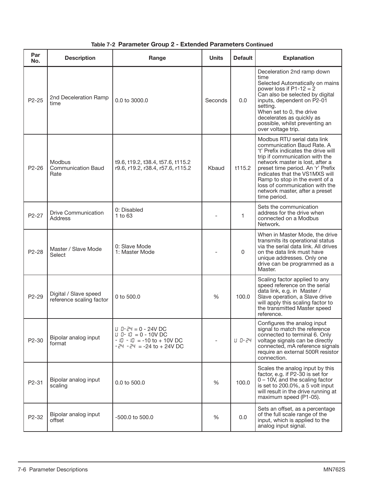|  |  |  |  | Table 7-2 Parameter Group 2 - Extended Parameters Continued |  |
|--|--|--|--|-------------------------------------------------------------|--|
|--|--|--|--|-------------------------------------------------------------|--|

| Par<br>No. | <b>Description</b>                                 | Range                                                                                                                         | Units   | <b>Default</b> | <b>Explanation</b>                                                                                                                                                                                                                                                                                                                                                 |
|------------|----------------------------------------------------|-------------------------------------------------------------------------------------------------------------------------------|---------|----------------|--------------------------------------------------------------------------------------------------------------------------------------------------------------------------------------------------------------------------------------------------------------------------------------------------------------------------------------------------------------------|
| P2-25      | 2nd Deceleration Ramp<br>time                      | 0.0 to 3000.0                                                                                                                 | Seconds | 0.0            | Deceleration 2nd ramp down<br>time<br>Selected Automatically on mains<br>power loss if $P1-12 = 2$<br>Can also be selected by digital<br>inputs, dependent on P2-01<br>setting.<br>When set to 0, the drive<br>decelerates as quickly as<br>possible, whilst preventing an<br>over voltage trip.                                                                   |
| P2-26      | <b>Modbus</b><br><b>Communication Baud</b><br>Rate | t9.6, t19.2, t38.4, t57.6, t115.2<br>r9.6, r19.2, r38.4, r57.6, r115.2                                                        | Kbaud   | t115.2         | Modbus RTU serial data link<br>communication Baud Rate, A<br>'t' Prefix indicates the drive will<br>trip if communication with the<br>network master is lost, after a<br>preset time period. An 'r' Prefix<br>indicates that the VS1MXS will<br>Ramp to stop in the event of a<br>loss of communication with the<br>network master, after a preset<br>time period. |
| P2-27      | Drive Communication<br>Address                     | 0: Disabled<br>$1$ to $63$                                                                                                    |         | 1              | Sets the communication<br>address for the drive when<br>connected on a Modbus<br>Network.                                                                                                                                                                                                                                                                          |
| P2-28      | Master / Slave Mode<br>Select                      | 0: Slave Mode<br>1: Master Mode                                                                                               |         | $\mathbf{0}$   | When in Master Mode, the drive<br>transmits its operational status<br>via the serial data link. All drives<br>on the data link must have<br>unique addresses. Only one<br>drive can be programmed as a<br>Master.                                                                                                                                                  |
| P2-29      | Digital / Slave speed<br>reference scaling factor  | 0 to 500.0                                                                                                                    | %       | 100.0          | Scaling factor applied to any<br>speed reference on the serial<br>data link, e.g. in Master /<br>Slave operation, a Slave drive<br>will apply this scaling factor to<br>the transmitted Master speed<br>reference.                                                                                                                                                 |
| P2-30      | Bipolar analog input<br>format                     | $U \ D - 24 = 0 - 24V \ D C$<br>$U$ 0- $I$ 0 = 0 - 10V DC<br>$-10 - 10 = -10$ to $+ 10V$ DC<br>$-24 - 24 = -24$ to $+ 24V$ DC |         | $U$ 0-24       | Configures the analog input<br>signal to match the reference<br>connected to terminal 6. Only<br>voltage signals can be directly<br>connected, mA reference signals<br>require an external 500R resistor<br>connection.                                                                                                                                            |
| P2-31      | Bipolar analog input<br>scaling                    | 0.0 to 500.0                                                                                                                  | %       | 100.0          | Scales the analog input by this<br>factor, e.g. if P2-30 is set for<br>$0 - 10V$ , and the scaling factor<br>is set to 200.0%, a 5 volt input<br>will result in the drive running at<br>maximum speed (P1-05).                                                                                                                                                     |
| P2-32      | Bipolar analog input<br>offset                     | -500.0 to 500.0                                                                                                               | %       | 0.0            | Sets an offset, as a percentage<br>of the full scale range of the<br>input, which is applied to the<br>analog input signal.                                                                                                                                                                                                                                        |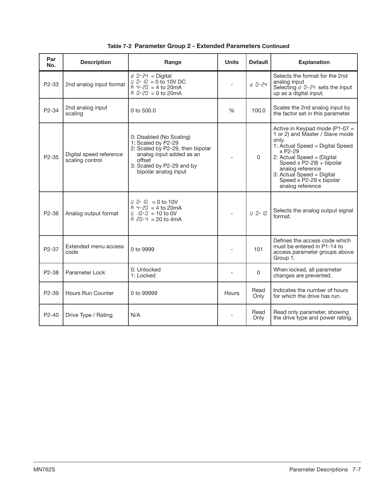| Par<br>No.         | <b>Description</b>                         | Range                                                                                                                                                                         | <b>Units</b> | <b>Default</b> | <b>Explanation</b>                                                                                                                                                                                                                                                                    |
|--------------------|--------------------------------------------|-------------------------------------------------------------------------------------------------------------------------------------------------------------------------------|--------------|----------------|---------------------------------------------------------------------------------------------------------------------------------------------------------------------------------------------------------------------------------------------------------------------------------------|
| P <sub>2</sub> -33 | 2nd analog input format                    | $d \theta$ -24 = Digital<br>$U = 0 = 0$ to 10V DC<br>$A + 20 = 4$ to 20mA<br>$H \quad I - 2I = 0$ to 20 m A                                                                   |              | $d - D - 24$   | Selects the format for the 2nd<br>analog input<br>Selecting $d \theta$ $d^2$ sets the input<br>up as a digital input.                                                                                                                                                                 |
| P2-34              | 2nd analog input<br>scaling                | 0 to 500.0                                                                                                                                                                    | %            | 100.0          | Scales the 2nd analog input by<br>the factor set in this parameter.                                                                                                                                                                                                                   |
| P2-35              | Digital speed reference<br>scaling control | 0: Disabled (No Scaling)<br>1: Scaled by P2-29<br>2: Scaled by P2-29, then bipolar<br>analog input added as an<br>offset<br>3: Scaled by P2-29 and by<br>bipolar analog input |              | $\mathbf 0$    | Active in Keypad mode (P1-07 =<br>1 or 2) and Master / Slave mode<br>only.<br>1: Actual Speed = Digital Speed<br>x P2-29<br>2: Actual Speed = (Digital<br>Speed x $P2-29$ ) + bipolar<br>analog reference<br>3: Actual Speed = Digital<br>Speed x P2-29 x bipolar<br>analog reference |
| P2-36              | Analog output format                       | $U = 10 = 0$ to 10V<br>$A + 20 = 4$ to 20 mA<br>$U$ $10 - 0 = 10$ to 0V<br>$H \cdot 20 - 4 = 20$ to 4mA                                                                       |              | $U = U - UU$   | Selects the analog output signal<br>format.                                                                                                                                                                                                                                           |
| P2-37              | <b>Extended menu access</b><br>code        | 0 to 9999                                                                                                                                                                     |              | 101            | Defines the access code which<br>must be entered in P1-14 to<br>access parameter groups above<br>Group 1.                                                                                                                                                                             |
| P <sub>2</sub> -38 | Parameter Lock                             | 0: Unlocked<br>1: Locked                                                                                                                                                      |              | $\mathbf{0}$   | When locked, all parameter<br>changes are prevented.                                                                                                                                                                                                                                  |
| P2-39              | Hours Run Counter                          | 0 to 99999                                                                                                                                                                    | <b>Hours</b> | Read<br>Only   | Indicates the number of hours<br>for which the drive has run.                                                                                                                                                                                                                         |
| P2-40              | Drive Type / Rating                        | N/A                                                                                                                                                                           |              | Read<br>Only   | Read only parameter, showing<br>the drive type and power rating.                                                                                                                                                                                                                      |

|  |  |  |  | Table 7-2 Parameter Group 2 - Extended Parameters Continued |  |
|--|--|--|--|-------------------------------------------------------------|--|
|--|--|--|--|-------------------------------------------------------------|--|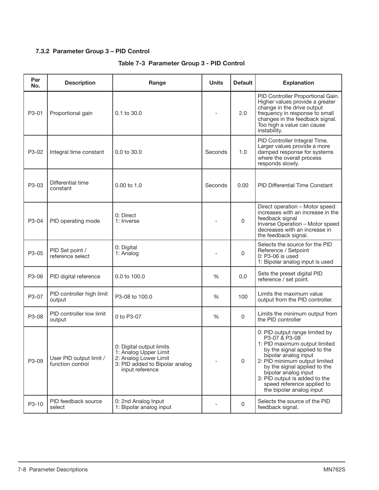## **7.3.2 Parameter Group 3 – PID Control**

# **Table 7-3 Parameter Group 3 - PID Control**

| Par<br>No.                     | <b>Description</b>                          | Range                                                                                                                           | Units   | <b>Default</b> | <b>Explanation</b>                                                                                                                                                                                                                                                                                                           |
|--------------------------------|---------------------------------------------|---------------------------------------------------------------------------------------------------------------------------------|---------|----------------|------------------------------------------------------------------------------------------------------------------------------------------------------------------------------------------------------------------------------------------------------------------------------------------------------------------------------|
| P3-01                          | Proportional gain                           | 0.1 to 30.0                                                                                                                     |         | 2.0            | PID Controller Proportional Gain.<br>Higher values provide a greater<br>change in the drive output<br>frequency in response to small<br>changes in the feedback signal.<br>Too high a value can cause<br>instability.                                                                                                        |
| P3-02                          | Integral time constant                      | $0.0$ to $30.0$                                                                                                                 | Seconds | 1.0            | PID Controller Integral Time.<br>Larger values provide a more<br>damped response for systems<br>where the overall process<br>responds slowly.                                                                                                                                                                                |
| P <sub>3</sub> -0 <sub>3</sub> | Differential time<br>constant               | 0.00 to 1.0                                                                                                                     | Seconds | 0.00           | <b>PID Differential Time Constant</b>                                                                                                                                                                                                                                                                                        |
| P3-04                          | PID operating mode                          | 0: Direct<br>1: Inverse                                                                                                         |         | $\mathbf 0$    | Direct operation - Motor speed<br>increases with an increase in the<br>feedback signal<br>Inverse Operation - Motor speed<br>decreases with an increase in<br>the feedback signal.                                                                                                                                           |
| P3-05                          | PID Set point /<br>reference select         | 0: Digital<br>1: Analog                                                                                                         |         | 0              | Selects the source for the PID<br>Reference / Setpoint<br>0: P3-06 is used<br>1: Bipolar analog input is used                                                                                                                                                                                                                |
| P3-06                          | PID digital reference                       | 0.0 to 100.0                                                                                                                    | %       | 0.0            | Sets the preset digital PID<br>reference / set point.                                                                                                                                                                                                                                                                        |
| P3-07                          | PID controller high limit<br>output         | P3-08 to 100.0                                                                                                                  | %       | 100            | Limits the maximum value<br>output from the PID controller.                                                                                                                                                                                                                                                                  |
| P3-08                          | PID controller low limit<br>output          | 0 to P3-07                                                                                                                      | %       | $\mathbf 0$    | Limits the minimum output from<br>the PID controller                                                                                                                                                                                                                                                                         |
| P3-09                          | User PID output limit /<br>function control | 0: Digital output limits<br>1: Analog Upper Limit<br>2: Analog Lower Limit<br>3: PID added to Bipolar analog<br>input reference |         | $\mathbf 0$    | 0: PID output range limited by<br>P3-07 & P3-08<br>1: PID maximum output limited<br>by the signal applied to the<br>bipolar analog input<br>2: PID minimum output limited<br>by the signal applied to the<br>bipolar analog input<br>3: PID output is added to the<br>speed reference applied to<br>the bipolar analog input |
| P3-10                          | PID feedback source<br>select               | 0: 2nd Analog Input<br>1: Bipolar analog input                                                                                  |         | 0              | Selects the source of the PID<br>feedback signal.                                                                                                                                                                                                                                                                            |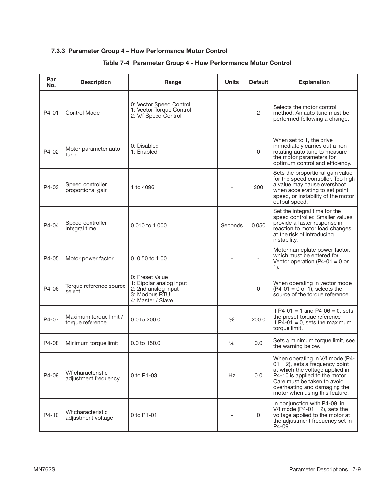## **7.3.3 Parameter Group 4 – How Performance Motor Control**

| Par<br>No. | <b>Description</b>                         | Range                                                                                                   | <b>Units</b> | <b>Default</b>        | <b>Explanation</b>                                                                                                                                                                                                                          |
|------------|--------------------------------------------|---------------------------------------------------------------------------------------------------------|--------------|-----------------------|---------------------------------------------------------------------------------------------------------------------------------------------------------------------------------------------------------------------------------------------|
| P4-01      | <b>Control Mode</b>                        | 0: Vector Speed Control<br>1: Vector Torque Control<br>2: V/f Speed Control                             |              | $\mathbf{2}^{\prime}$ | Selects the motor control<br>method. An auto tune must be<br>performed following a change.                                                                                                                                                  |
| P4-02      | Motor parameter auto<br>tune               | 0: Disabled<br>1: Enabled                                                                               |              | 0                     | When set to 1, the drive<br>immediately carries out a non-<br>rotating auto tune to measure<br>the motor parameters for<br>optimum control and efficiency.                                                                                  |
| P4-03      | Speed controller<br>proportional gain      | 1 to 4096                                                                                               |              | 300                   | Sets the proportional gain value<br>for the speed controller. Too high<br>a value may cause overshoot<br>when accelerating to set point<br>speed, or instability of the motor<br>output speed.                                              |
| P4-04      | Speed controller<br>integral time          | 0.010 to 1.000                                                                                          | Seconds      | 0.050                 | Set the integral time for the<br>speed controller. Smaller values<br>provide a faster response in<br>reaction to motor load changes,<br>at the risk of introducing<br>instability.                                                          |
| P4-05      | Motor power factor                         | 0, 0.50 to 1.00                                                                                         |              |                       | Motor nameplate power factor,<br>which must be entered for<br>Vector operation (P4-01 = 0 or<br>$1$ ).                                                                                                                                      |
| P4-06      | Torque reference source<br>select          | 0: Preset Value<br>1: Bipolar analog input<br>2: 2nd analog input<br>3: Modbus RTU<br>4: Master / Slave |              | 0                     | When operating in vector mode<br>$(P4-01 = 0 \text{ or } 1)$ , selects the<br>source of the torque reference.                                                                                                                               |
| P4-07      | Maximum torque limit /<br>torque reference | 0.0 to 200.0                                                                                            | %            | 200.0                 | If P4-01 = 1 and P4-06 = 0, sets<br>the preset torque reference<br>If $P\dot{4}$ -01 = 0, sets the maximum<br>torque limit.                                                                                                                 |
| P4-08      | Minimum torque limit                       | 0.0 to 150.0                                                                                            | %            | 0.0                   | Sets a minimum torque limit, see<br>the warning below.                                                                                                                                                                                      |
| P4-09      | V/f characteristic<br>adjustment frequency | 0 to P1-03                                                                                              | Hz.          | 0.0                   | When operating in V/f mode (P4-<br>$01 = 2$ ), sets a frequency point<br>at which the voltage applied in<br>P4-10 is applied to the motor.<br>Care must be taken to avoid<br>overheating and damaging the<br>motor when using this feature. |
| P4-10      | V/f characteristic<br>adjustment voltage   | 0 to P1-01                                                                                              |              | $\mathbf 0$           | In conjunction with P4-09, in<br>V/f mode (P4-01 = 2), sets the<br>voltage applied to the motor at<br>the adjustment frequency set in<br>P4-09.                                                                                             |

# **Table 7-4 Parameter Group 4 - How Performance Motor Control**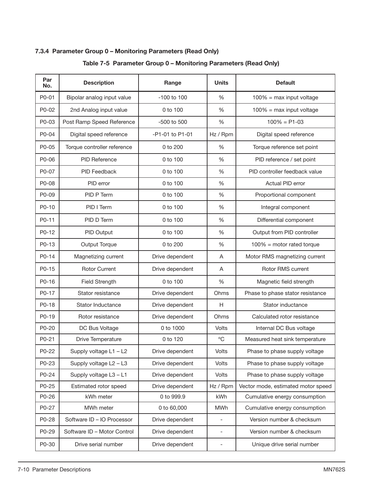## **7.3.4 Parameter Group 0 – Monitoring Parameters (Read Only)**

# **Table 7-5 Parameter Group 0 – Monitoring Parameters (Read Only)**

| Par<br>No. | <b>Description</b>          | Range           | <b>Units</b>                 | <b>Default</b>                     |
|------------|-----------------------------|-----------------|------------------------------|------------------------------------|
| P0-01      | Bipolar analog input value  | $-100$ to $100$ | $\%$                         | $100\%$ = max input voltage        |
| P0-02      | 2nd Analog input value      | 0 to 100        | %                            | $100\%$ = max input voltage        |
| P0-03      | Post Ramp Speed Reference   | -500 to 500     | %                            | $100\% = P1-03$                    |
| P0-04      | Digital speed reference     | -P1-01 to P1-01 | Hz / Rpm                     | Digital speed reference            |
| P0-05      | Torque controller reference | 0 to 200        | %                            | Torque reference set point         |
| P0-06      | <b>PID Reference</b>        | 0 to 100        | %                            | PID reference / set point          |
| P0-07      | <b>PID Feedback</b>         | 0 to 100        | $\frac{0}{0}$                | PID controller feedback value      |
| P0-08      | PID error                   | 0 to 100        | %                            | Actual PID error                   |
| P0-09      | PID P Term                  | 0 to 100        | %                            | Proportional component             |
| P0-10      | PID I Term                  | 0 to 100        | %                            | Integral component                 |
| P0-11      | PID D Term                  | 0 to 100        | $\frac{0}{0}$                | Differential component             |
| P0-12      | PID Output                  | 0 to 100        | %                            | Output from PID controller         |
| P0-13      | Output Torque               | 0 to 200        | $\frac{0}{0}$                | $100\%$ = motor rated torque       |
| P0-14      | Magnetizing current         | Drive dependent | A                            | Motor RMS magnetizing current      |
| P0-15      | <b>Rotor Current</b>        | Drive dependent | A                            | Rotor RMS current                  |
| P0-16      | <b>Field Strength</b>       | 0 to 100        | %                            | Magnetic field strength            |
| P0-17      | Stator resistance           | Drive dependent | Ohms                         | Phase to phase stator resistance   |
| P0-18      | Stator Inductance           | Drive dependent | H                            | Stator inductance                  |
| P0-19      | Rotor resistance            | Drive dependent | Ohms                         | Calculated rotor resistance        |
| P0-20      | DC Bus Voltage              | 0 to 1000       | <b>Volts</b>                 | Internal DC Bus voltage            |
| P0-21      | Drive Temperature           | 0 to 120        | °C                           | Measured heat sink temperature     |
| P0-22      | Supply voltage L1 - L2      | Drive dependent | Volts                        | Phase to phase supply voltage      |
| P0-23      | Supply voltage L2 - L3      | Drive dependent | <b>Volts</b>                 | Phase to phase supply voltage      |
| P0-24      | Supply voltage L3 - L1      | Drive dependent | Volts                        | Phase to phase supply voltage      |
| P0-25      | Estimated rotor speed       | Drive dependent | Hz / Rpm                     | Vector mode, estimated motor speed |
| P0-26      | kWh meter                   | 0 to 999.9      | kWh                          | Cumulative energy consumption      |
| P0-27      | MWh meter                   | 0 to 60,000     | <b>MWh</b>                   | Cumulative energy consumption      |
| P0-28      | Software ID - IO Processor  | Drive dependent | $\qquad \qquad \blacksquare$ | Version number & checksum          |
| P0-29      | Software ID - Motor Control | Drive dependent | $\overline{\phantom{0}}$     | Version number & checksum          |
| P0-30      | Drive serial number         | Drive dependent | $\qquad \qquad -$            | Unique drive serial number         |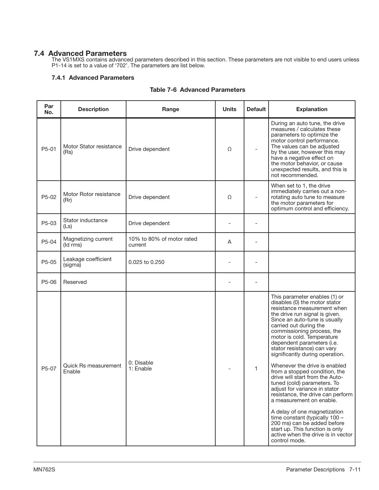### **7.4 Advanced Parameters**

The VS1MXS contains advanced parameters described in this section. These parameters are not visible to end users unless P1-14 is set to a value of '702'. The parameters are list below.

#### **7.4.1 Advanced Parameters**

| Par<br>No. | <b>Description</b>                    | Range                                | <b>Units</b> | <b>Default</b> | <b>Explanation</b>                                                                                                                                                                                                                                                                                                                                                                     |  |  |  |
|------------|---------------------------------------|--------------------------------------|--------------|----------------|----------------------------------------------------------------------------------------------------------------------------------------------------------------------------------------------------------------------------------------------------------------------------------------------------------------------------------------------------------------------------------------|--|--|--|
| P5-01      | Motor Stator resistance<br>(Rs)       | Drive dependent                      | Ω            |                | During an auto tune, the drive<br>measures / calculates these<br>parameters to optimize the<br>motor control performance.<br>The values can be adjusted<br>by the user, however this may<br>have a negative effect on<br>the motor behavior, or cause<br>unexpected results, and this is<br>not recommended.                                                                           |  |  |  |
| P5-02      | Motor Rotor resistance<br>(Rr)        | Drive dependent                      | $\Omega$     |                | When set to 1, the drive<br>immediately carries out a non-<br>rotating auto tune to measure<br>the motor parameters for<br>optimum control and efficiency.                                                                                                                                                                                                                             |  |  |  |
| P5-03      | Stator inductance<br>(Ls)             | Drive dependent                      |              |                |                                                                                                                                                                                                                                                                                                                                                                                        |  |  |  |
| P5-04      | Magnetizing current<br>(Id rms)       | 10% to 80% of motor rated<br>current | A            |                |                                                                                                                                                                                                                                                                                                                                                                                        |  |  |  |
| P5-05      | Leakage coefficient<br>(sigma)        | 0.025 to 0.250                       |              |                |                                                                                                                                                                                                                                                                                                                                                                                        |  |  |  |
| P5-06      | Reserved                              |                                      |              |                |                                                                                                                                                                                                                                                                                                                                                                                        |  |  |  |
|            | $Q_{\text{right}}$ $Q_{\text{right}}$ | 0: Disable                           |              |                | This parameter enables (1) or<br>disables (0) the motor stator<br>resistance measurement when<br>the drive run signal is given.<br>Since an auto-tune is usually<br>carried out during the<br>commissioning process, the<br>motor is cold. Temperature<br>dependent parameters (i.e.<br>stator resistance) can vary<br>significantly during operation.<br>Whanavartha driva is anablad |  |  |  |

### **Table 7-6 Advanced Parameters**

| P5-07 | Quick Rs measurement<br>Enable | 0: Disable<br>1: Enable |  | stator resistance) can vary<br>significantly during operation.<br>Whenever the drive is enabled<br>from a stopped condition, the<br>drive will start from the Auto-<br>tuned (cold) parameters. To<br>adjust for variance in stator<br>resistance, the drive can perform<br>a measurement on enable. |
|-------|--------------------------------|-------------------------|--|------------------------------------------------------------------------------------------------------------------------------------------------------------------------------------------------------------------------------------------------------------------------------------------------------|
|       |                                |                         |  | A delay of one magnetization<br>time constant (typically 100 -<br>200 ms) can be added before<br>start up. This function is only<br>active when the drive is in vector<br>control mode.                                                                                                              |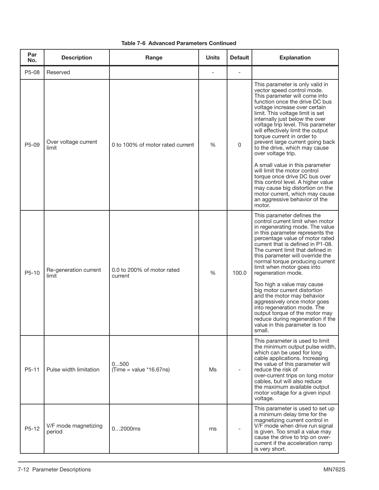| Par<br>No.     | <b>Description</b>             | Range                                 | Units | <b>Default</b> | <b>Explanation</b>                                                                                                                                                                                                                                                                                                                                                                                                                          |
|----------------|--------------------------------|---------------------------------------|-------|----------------|---------------------------------------------------------------------------------------------------------------------------------------------------------------------------------------------------------------------------------------------------------------------------------------------------------------------------------------------------------------------------------------------------------------------------------------------|
| P5-08          | Reserved                       |                                       |       |                |                                                                                                                                                                                                                                                                                                                                                                                                                                             |
| P5-09          | Over voltage current<br>limit  | 0 to 100% of motor rated current      | %     | 0              | This parameter is only valid in<br>vector speed control mode.<br>This parameter will come into<br>function once the drive DC bus<br>voltage increase over certain<br>limit. This voltage limit is set<br>internally just below the over<br>voltage trip level. This parameter<br>will effectively limit the output<br>torque current in order to<br>prevent large current going back<br>to the drive, which may cause<br>over voltage trip. |
|                |                                |                                       |       |                | A small value in this parameter<br>will limit the motor control<br>torque once drive DC bus over<br>this control level. A higher value<br>may cause big distortion on the<br>motor current, which may cause<br>an aggressive behavior of the<br>motor.                                                                                                                                                                                      |
| P5-10<br>limit | Re-generation current          | 0.0 to 200% of motor rated<br>current | %     | 100.0          | This parameter defines the<br>control current limit when motor<br>in regenerating mode. The value<br>in this parameter represents the<br>percentage value of motor rated<br>current that is defined in P1-08.<br>The current limit that defined in<br>this parameter will override the<br>normal torque producing current<br>limit when motor goes into<br>regeneration mode.                                                               |
|                |                                |                                       |       |                | Too high a value may cause<br>big motor current distortion<br>and the motor may behavior<br>aggressively once motor goes<br>into regeneration mode. The<br>output torque of the motor may<br>reduce during regeneration if the<br>value in this parameter is too<br>small.                                                                                                                                                                  |
| P5-11          | Pulse width limitation         | 0500<br>$(Time = value *16.67ns)$     | Ms    |                | This parameter is used to limit<br>the minimum output pulse width,<br>which can be used for long<br>cable applications. Increasing<br>the value of this parameter will<br>reduce the risk of<br>over-current trips on long motor<br>cables, but will also reduce<br>the maximum available output<br>motor voltage for a given input<br>voltage.                                                                                             |
| P5-12          | V/F mode magnetizing<br>period | 02000ms                               | ms    |                | This parameter is used to set up<br>a minimum delay time for the<br>magnetizing current control in<br>V/F mode when drive run signal<br>is given. Too small a value may<br>cause the drive to trip on over-<br>current if the acceleration ramp<br>is very short.                                                                                                                                                                           |

#### **Table 7-6 Advanced Parameters Continued**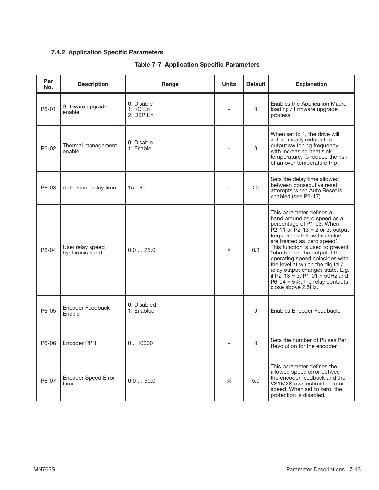# **7.4.2 Application Specific Parameters**

| Par<br>No. | <b>Description</b>                  | Range                                | <b>Units</b> | <b>Default</b> | <b>Explanation</b>                                                                                                                                                                                                                                                                                                                                                                                                                                                                      |
|------------|-------------------------------------|--------------------------------------|--------------|----------------|-----------------------------------------------------------------------------------------------------------------------------------------------------------------------------------------------------------------------------------------------------------------------------------------------------------------------------------------------------------------------------------------------------------------------------------------------------------------------------------------|
| P6-01      | Software upgrade<br>enable          | 0: Disable<br>1: I/O En<br>2: DSP En |              | $\Omega$       | Enables the Application Macro<br>loading / firmware upgrade<br>process.                                                                                                                                                                                                                                                                                                                                                                                                                 |
| P6-02      | Thermal management<br>enable        | 0: Disable<br>1: Enable              |              | $\mathbf{0}$   | When set to 1, the drive will<br>automatically reduce the<br>output switching frequency<br>with increasing heat sink<br>temperature, to reduce the risk<br>of an over temperature trip.                                                                                                                                                                                                                                                                                                 |
| P6-03      | Auto-reset delay time               | 1s60                                 | S            | 20             | Sets the delay time allowed<br>between consecutive reset<br>attempts when Auto Reset is<br>enabled (see P2-17).                                                                                                                                                                                                                                                                                                                                                                         |
| P6-04      | User relay speed<br>hysteresis band | 0.025.0                              | %            | 0.3            | This parameter defines a<br>band around zero speed as a<br>percentage of P1-03. When<br>P2-11 or $P2-13 = 2$ or 3, output<br>frequencies below this value<br>are treated as 'zero speed'.<br>This function is used to prevent<br>"chatter" on the output if the<br>operating speed coincides with<br>the level at which the digital /<br>relay output changes state. E.g.<br>if $P\dot{2} - 13 = 3$ , $P1 - 01 = 50$ Hz and<br>$P6-04 = 5\%$ , the relay contacts<br>close above 2.5Hz. |
| P6-05      | Encoder Feedback<br>Enable          | 0: Disabled<br>1: Enabled            |              | 0              | Enables Encoder Feedback.                                                                                                                                                                                                                                                                                                                                                                                                                                                               |
| P6-06      | <b>Encoder PPR</b>                  | 0.10000                              |              | 0              | Sets the number of Pulses Per<br>Revolution for the encoder                                                                                                                                                                                                                                                                                                                                                                                                                             |
| P6-07      | Encoder Speed Error<br>Limit        | 0.050.0                              | %            | 5.0            | This parameter defines the<br>allowed speed error between<br>the encoder feedback and the<br>VS1MXS own estimated rotor<br>speed. When set to zero, the<br>protection is disabled.                                                                                                                                                                                                                                                                                                      |

# **Table 7-7 Application Specific Parameters**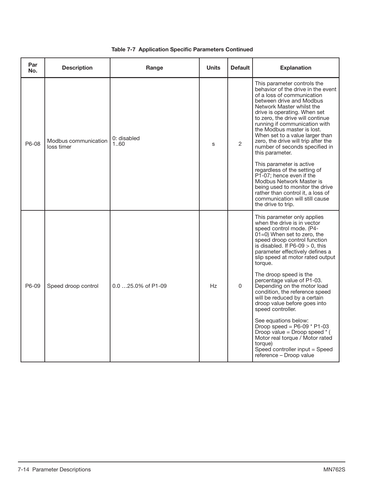| Par<br>No. | <b>Description</b>                 | Range              | <b>Units</b> | <b>Default</b> | <b>Explanation</b>                                                                                                                                                                                                                                                                                                                                                                                                         |
|------------|------------------------------------|--------------------|--------------|----------------|----------------------------------------------------------------------------------------------------------------------------------------------------------------------------------------------------------------------------------------------------------------------------------------------------------------------------------------------------------------------------------------------------------------------------|
| P6-08      | Modbus communication<br>loss timer | 0: disabled<br>160 | S            | $\overline{2}$ | This parameter controls the<br>behavior of the drive in the event<br>of a loss of communication<br>between drive and Modbus<br>Network Master whilst the<br>drive is operating. When set<br>to zero, the drive will continue<br>running if communication with<br>the Modbus master is lost.<br>When set to a value larger than<br>zero, the drive will trip after the<br>number of seconds specified in<br>this parameter. |
|            |                                    |                    |              |                | This parameter is active<br>regardless of the setting of<br>P1-07; hence even if the<br>Modbus Network Master is<br>being used to monitor the drive<br>rather than control it, a loss of<br>communication will still cause<br>the drive to trip.                                                                                                                                                                           |
| P6-09      | Speed droop control                | 0.0 25.0% of P1-09 | Hz           | $\Omega$       | This parameter only applies<br>when the drive is in vector<br>speed control mode. (P4-<br>$01=0$ ) When set to zero, the<br>speed droop control function<br>is disabled. If $P6-09 > 0$ , this<br>parameter effectively defines a<br>slip speed at motor rated output<br>torque.                                                                                                                                           |
|            |                                    |                    |              |                | The droop speed is the<br>percentage value of P1-03.<br>Depending on the motor load<br>condition, the reference speed<br>will be reduced by a certain<br>droop value before goes into<br>speed controller.                                                                                                                                                                                                                 |
|            |                                    |                    |              |                | See equations below:<br>Droop speed = $P6-09$ * $P1-03$<br>Droop value = Droop speed $*$ (<br>Motor real torque / Motor rated<br>toraue)<br>Speed controller input = Speed<br>reference - Droop value                                                                                                                                                                                                                      |

### **Table 7-7 Application Specific Parameters Continued**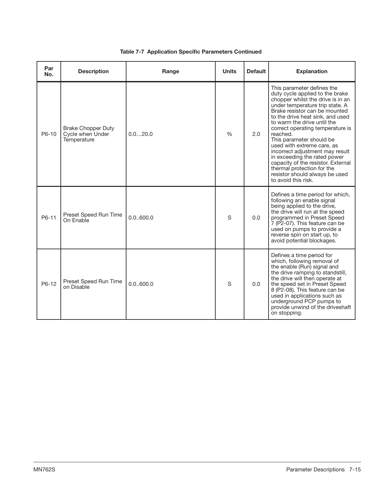| Par<br>No. | <b>Description</b>                                           | Range     | <b>Units</b>  | <b>Default</b> | <b>Explanation</b>                                                                                                                                                                                                                                                                                                                                                                                                                                                                                                                                  |
|------------|--------------------------------------------------------------|-----------|---------------|----------------|-----------------------------------------------------------------------------------------------------------------------------------------------------------------------------------------------------------------------------------------------------------------------------------------------------------------------------------------------------------------------------------------------------------------------------------------------------------------------------------------------------------------------------------------------------|
| P6-10      | <b>Brake Chopper Duty</b><br>Cycle when Under<br>Temperature | 0.020.0   | $\frac{9}{6}$ | 2.0            | This parameter defines the<br>duty cycle applied to the brake<br>chopper whilst the drive is in an<br>under temperature trip state. A<br>Brake resistor can be mounted<br>to the drive heat sink, and used<br>to warm the drive until the<br>correct operating temperature is<br>reached.<br>This parameter should be<br>used with extreme care, as<br>incorrect adjustment may result<br>in exceeding the rated power<br>capacity of the resistor. External<br>thermal protection for the<br>resistor should always be used<br>to avoid this risk. |
| P6-11      | Preset Speed Run Time<br>On Fnable                           | 0.0.600.0 | S             | 0.0            | Defines a time period for which,<br>following an enable signal<br>being applied to the drive,<br>the drive will run at the speed<br>programmed in Preset Speed<br>7 (P2-07). This feature can be<br>used on pumps to provide a<br>reverse spin on start up, to<br>avoid potential blockages.                                                                                                                                                                                                                                                        |
| P6-12      | Preset Speed Run Time<br>on Disable                          | 0.0.600.0 | S             | 0.0            | Defines a time period for<br>which, following removal of<br>the enable (Run) signal and<br>the drive ramping to standstill,<br>the drive will then operate at<br>the speed set in Preset Speed<br>8 (P2-08). This feature can be<br>used in applications such as<br>underground PCP pumps to<br>provide unwind of the driveshaft<br>on stopping.                                                                                                                                                                                                    |

### **Table 7-7 Application Specific Parameters Continued**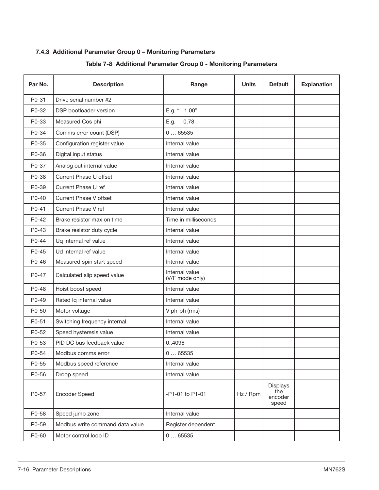## **7.4.3 Additional Parameter Group 0 – Monitoring Parameters**

## **Table 7-8 Additional Parameter Group 0 - Monitoring Parameters**

| Par No. | <b>Description</b>              | Range                             | <b>Units</b> | <b>Default</b>                      | <b>Explanation</b> |
|---------|---------------------------------|-----------------------------------|--------------|-------------------------------------|--------------------|
| P0-31   | Drive serial number #2          |                                   |              |                                     |                    |
| P0-32   | DSP bootloader version          | E.g. " 1.00"                      |              |                                     |                    |
| P0-33   | Measured Cos phi                | E.g.<br>0.78                      |              |                                     |                    |
| P0-34   | Comms error count (DSP)         | 065535                            |              |                                     |                    |
| P0-35   | Configuration register value    | Internal value                    |              |                                     |                    |
| P0-36   | Digital input status            | Internal value                    |              |                                     |                    |
| P0-37   | Analog out internal value       | Internal value                    |              |                                     |                    |
| P0-38   | Current Phase U offset          | Internal value                    |              |                                     |                    |
| P0-39   | Current Phase U ref             | Internal value                    |              |                                     |                    |
| P0-40   | <b>Current Phase V offset</b>   | Internal value                    |              |                                     |                    |
| P0-41   | Current Phase V ref             | Internal value                    |              |                                     |                    |
| P0-42   | Brake resistor max on time      | Time in milliseconds              |              |                                     |                    |
| P0-43   | Brake resistor duty cycle       | Internal value                    |              |                                     |                    |
| P0-44   | Uq internal ref value           | Internal value                    |              |                                     |                    |
| P0-45   | Ud internal ref value           | Internal value                    |              |                                     |                    |
| P0-46   | Measured spin start speed       | Internal value                    |              |                                     |                    |
| P0-47   | Calculated slip speed value     | Internal value<br>(V/F mode only) |              |                                     |                    |
| P0-48   | Hoist boost speed               | Internal value                    |              |                                     |                    |
| P0-49   | Rated Iq internal value         | Internal value                    |              |                                     |                    |
| P0-50   | Motor voltage                   | V ph-ph (rms)                     |              |                                     |                    |
| P0-51   | Switching frequency internal    | Internal value                    |              |                                     |                    |
| P0-52   | Speed hysteresis value          | Internal value                    |              |                                     |                    |
| P0-53   | PID DC bus feedback value       | 04096                             |              |                                     |                    |
| P0-54   | Modbus comms error              | 065535                            |              |                                     |                    |
| P0-55   | Modbus speed reference          | Internal value                    |              |                                     |                    |
| P0-56   | Droop speed                     | Internal value                    |              |                                     |                    |
| P0-57   | Encoder Speed                   | -P1-01 to P1-01                   | Hz / Rpm     | Displays<br>the<br>encoder<br>speed |                    |
| P0-58   | Speed jump zone                 | Internal value                    |              |                                     |                    |
| P0-59   | Modbus write command data value | Register dependent                |              |                                     |                    |
| P0-60   | Motor control loop ID           | 065535                            |              |                                     |                    |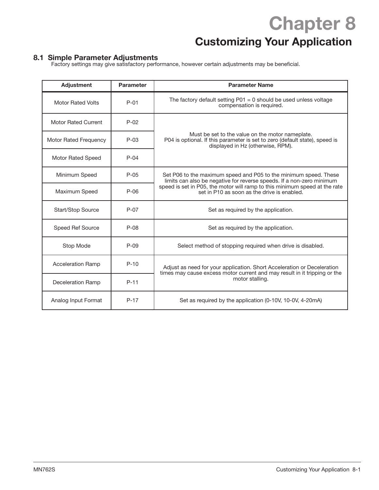**Chapter 8 Customizing Your Application** 

## **8.1 Simple Parameter Adjustments**

Factory settings may give satisfactory performance, however certain adjustments may be beneficial.

| <b>Adjustment</b>          | <b>Parameter</b> | <b>Parameter Name</b>                                                                                                                                                |  |
|----------------------------|------------------|----------------------------------------------------------------------------------------------------------------------------------------------------------------------|--|
| <b>Motor Rated Volts</b>   | $P-01$           | The factory default setting $P01 = 0$ should be used unless voltage<br>compensation is required.                                                                     |  |
| <b>Motor Rated Current</b> | $P-02$           |                                                                                                                                                                      |  |
| Motor Rated Frequency      | $P-03$           | Must be set to the value on the motor nameplate.<br>P04 is optional. If this parameter is set to zero (default state), speed is<br>displayed in Hz (otherwise, RPM). |  |
| <b>Motor Rated Speed</b>   | $P-04$           |                                                                                                                                                                      |  |
| Minimum Speed              | $P - 0.5$        | Set P06 to the maximum speed and P05 to the minimum speed. These<br>limits can also be negative for reverse speeds. If a non-zero minimum                            |  |
| Maximum Speed              | $P-06$           | speed is set in P05, the motor will ramp to this minimum speed at the rate<br>set in P10 as soon as the drive is enabled.                                            |  |
| <b>Start/Stop Source</b>   | $P - 07$         | Set as required by the application.                                                                                                                                  |  |
| Speed Ref Source           | $P-08$           | Set as required by the application.                                                                                                                                  |  |
| Stop Mode                  | $P-09$           | Select method of stopping required when drive is disabled.                                                                                                           |  |
| <b>Acceleration Ramp</b>   | $P-10$           | Adjust as need for your application. Short Acceleration or Deceleration                                                                                              |  |
| <b>Deceleration Ramp</b>   | $P-11$           | times may cause excess motor current and may result in it tripping or the<br>motor stalling.                                                                         |  |
| Analog Input Format        | $P-17$           | Set as required by the application (0-10V, 10-0V, 4-20mA)                                                                                                            |  |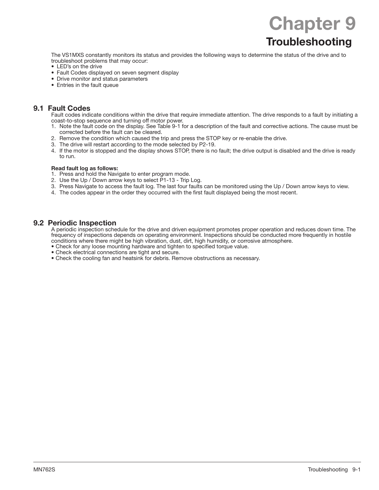# **Chapter 9 Troubleshooting**

The VS1MXS constantly monitors its status and provides the following ways to determine the status of the drive and to troubleshoot problems that may occur:

- LED's on the drive
- Fault Codes displayed on seven segment display
- Drive monitor and status parameters
- Entries in the fault queue

### **9.1 Fault Codes**

Fault codes indicate conditions within the drive that require immediate attention. The drive responds to a fault by initiating a coast-to-stop sequence and turning off motor power.

- 1. Note the fault code on the display. See Table 9-1 for a description of the fault and corrective actions. The cause must be corrected before the fault can be cleared.
- 2. Remove the condition which caused the trip and press the STOP key or re-enable the drive.
- 3. The drive will restart according to the mode selected by P2-19.
- 4. If the motor is stopped and the display shows STOP, there is no fault; the drive output is disabled and the drive is ready to run.

#### **Read fault log as follows:**

- 1. Press and hold the Navigate to enter program mode.
- 2. Use the Up / Down arrow keys to select P1-13 Trip Log.
- 3. Press Navigate to access the fault log. The last four faults can be monitored using the Up / Down arrow keys to view.
- 4. The codes appear in the order they occurred with the first fault displayed being the most recent.

#### **9.2 Periodic Inspection**

A periodic inspection schedule for the drive and driven equipment promotes proper operation and reduces down time. The frequency of inspections depends on operating environment. Inspections should be conducted more frequently in hostile conditions where there might be high vibration, dust, dirt, high humidity, or corrosive atmosphere.

- Check for any loose mounting hardware and tighten to specified torque value.
- Check electrical connections are tight and secure.
- Check the cooling fan and heatsink for debris. Remove obstructions as necessary.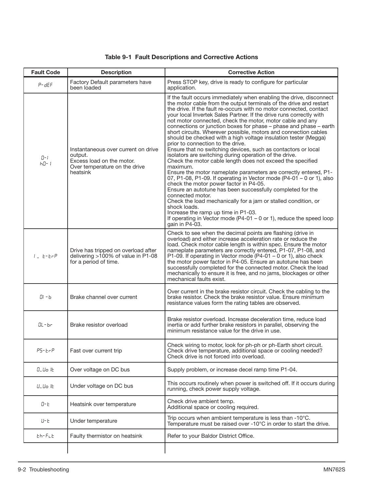| <b>Fault Code</b>         | <b>Description</b>                                                                                                       | <b>Corrective Action</b>                                                                                                                                                                                                                                                                                                                                                                                                                                                                                                                                                                                                                                                                                                                                                                                                                                                                                                                                                                                                                                                                                                                                                                                                                                                                           |
|---------------------------|--------------------------------------------------------------------------------------------------------------------------|----------------------------------------------------------------------------------------------------------------------------------------------------------------------------------------------------------------------------------------------------------------------------------------------------------------------------------------------------------------------------------------------------------------------------------------------------------------------------------------------------------------------------------------------------------------------------------------------------------------------------------------------------------------------------------------------------------------------------------------------------------------------------------------------------------------------------------------------------------------------------------------------------------------------------------------------------------------------------------------------------------------------------------------------------------------------------------------------------------------------------------------------------------------------------------------------------------------------------------------------------------------------------------------------------|
| P-dEF                     | Factory Default parameters have<br>been loaded                                                                           | Press STOP key, drive is ready to configure for particular<br>application.                                                                                                                                                                                                                                                                                                                                                                                                                                                                                                                                                                                                                                                                                                                                                                                                                                                                                                                                                                                                                                                                                                                                                                                                                         |
| $\Box$ - I<br>$h\Omega-1$ | Instantaneous over current on drive<br>output.<br>Excess load on the motor.<br>Over temperature on the drive<br>heatsink | If the fault occurs immediately when enabling the drive, disconnect<br>the motor cable from the output terminals of the drive and restart<br>the drive. If the fault re-occurs with no motor connected, contact<br>your local Invertek Sales Partner. If the drive runs correctly with<br>not motor connected, check the motor, motor cable and any<br>connections or junction boxes for phase - phase and phase - earth<br>short circuits. Wherever possible, motors and connection cables<br>should be checked with a high voltage insulation tester (Megga)<br>prior to connection to the drive.<br>Ensure that no switching devices, such as contactors or local<br>isolators are switching during operation of the drive.<br>Check the motor cable length does not exceed the specified<br>maximum.<br>Ensure the motor nameplate parameters are correctly entered, P1-<br>07, P1-08, P1-09. If operating in Vector mode (P4-01 - 0 or 1), also<br>check the motor power factor in P4-05.<br>Ensure an autotune has been successfully completed for the<br>connected motor.<br>Check the load mechanically for a jam or stalled condition, or<br>shock loads.<br>Increase the ramp up time in P1-03.<br>If operating in Vector mode (P4-01 - 0 or 1), reduce the speed loop<br>gain in P4-03. |
| $1 - E^{-}E^{-}P$         | Drive has tripped on overload after<br>delivering >100% of value in P1-08<br>for a period of time.                       | Check to see when the decimal points are flashing (drive in<br>overload) and either increase acceleration rate or reduce the<br>load. Check motor cable length is within spec. Ensure the motor<br>nameplate parameters are correctly entered, P1-07, P1-08, and<br>P1-09. If operating in Vector mode (P4-01 – 0 or 1), also check<br>the motor power factor in P4-05. Ensure an autotune has been<br>successfully completed for the connected motor. Check the load<br>mechanically to ensure it is free, and no jams, blockages or other<br>mechanical faults exist.                                                                                                                                                                                                                                                                                                                                                                                                                                                                                                                                                                                                                                                                                                                            |
| 01 - Б                    | Brake channel over current                                                                                               | Over current in the brake resistor circuit. Check the cabling to the<br>brake resistor. Check the brake resistor value. Ensure minimum<br>resistance values form the rating tables are observed.                                                                                                                                                                                                                                                                                                                                                                                                                                                                                                                                                                                                                                                                                                                                                                                                                                                                                                                                                                                                                                                                                                   |
| $OL - br$                 | Brake resistor overload                                                                                                  | Brake resistor overload. Increase deceleration time, reduce load<br>inertia or add further brake resistors in parallel, observing the<br>minimum resistance value for the drive in use.                                                                                                                                                                                                                                                                                                                                                                                                                                                                                                                                                                                                                                                                                                                                                                                                                                                                                                                                                                                                                                                                                                            |
| $P5-EFP$                  | Fast over current trip                                                                                                   | Check wiring to motor, look for ph-ph or ph-Earth short circuit.<br>Check drive temperature, additional space or cooling needed?<br>Check drive is not forced into overload.                                                                                                                                                                                                                                                                                                                                                                                                                                                                                                                                                                                                                                                                                                                                                                                                                                                                                                                                                                                                                                                                                                                       |
| 0_Uo It                   | Over voltage on DC bus                                                                                                   | Supply problem, or increase decel ramp time P1-04.                                                                                                                                                                                                                                                                                                                                                                                                                                                                                                                                                                                                                                                                                                                                                                                                                                                                                                                                                                                                                                                                                                                                                                                                                                                 |
| U_Uo IE                   | Under voltage on DC bus                                                                                                  | This occurs routinely when power is switched off. If it occurs during<br>running, check power supply voltage.                                                                                                                                                                                                                                                                                                                                                                                                                                                                                                                                                                                                                                                                                                                                                                                                                                                                                                                                                                                                                                                                                                                                                                                      |
| 0- E                      | Heatsink over temperature                                                                                                | Check drive ambient temp.<br>Additional space or cooling required.                                                                                                                                                                                                                                                                                                                                                                                                                                                                                                                                                                                                                                                                                                                                                                                                                                                                                                                                                                                                                                                                                                                                                                                                                                 |
| $U - E$                   | Under temperature                                                                                                        | Trip occurs when ambient temperature is less than -10°C.<br>Temperature must be raised over -10°C in order to start the drive.                                                                                                                                                                                                                                                                                                                                                                                                                                                                                                                                                                                                                                                                                                                                                                                                                                                                                                                                                                                                                                                                                                                                                                     |
| Eh-FLE                    | Faulty thermistor on heatsink                                                                                            | Refer to your Baldor District Office.                                                                                                                                                                                                                                                                                                                                                                                                                                                                                                                                                                                                                                                                                                                                                                                                                                                                                                                                                                                                                                                                                                                                                                                                                                                              |
|                           |                                                                                                                          |                                                                                                                                                                                                                                                                                                                                                                                                                                                                                                                                                                                                                                                                                                                                                                                                                                                                                                                                                                                                                                                                                                                                                                                                                                                                                                    |

# **Table 9-1 Fault Descriptions and Corrective Actions**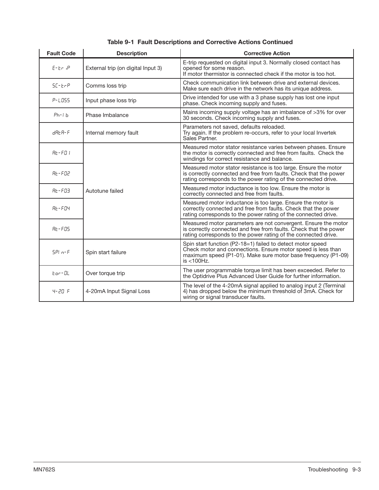| <b>Fault Code</b>              | <b>Description</b>                 | <b>Corrective Action</b>                                                                                                                                                                                      |
|--------------------------------|------------------------------------|---------------------------------------------------------------------------------------------------------------------------------------------------------------------------------------------------------------|
| $F-FF$                         | External trip (on digital Input 3) | E-trip requested on digital input 3. Normally closed contact has<br>opened for some reason.<br>If motor thermistor is connected check if the motor is too hot.                                                |
| $5L - E - P$                   | Comms loss trip                    | Check communication link between drive and external devices.<br>Make sure each drive in the network has its unique address.                                                                                   |
| $P - L$ 055                    | Input phase loss trip              | Drive intended for use with a 3 phase supply has lost one input<br>phase. Check incoming supply and fuses.                                                                                                    |
| $Ph-1h$                        | Phase Imbalance                    | Mains incoming supply voltage has an imbalance of >3% for over<br>30 seconds. Check incoming supply and fuses.                                                                                                |
| $H$ R $H$ - $F$                | Internal memory fault              | Parameters not saved, defaults reloaded.<br>Try again. If the problem re-occurs, refer to your local Invertek<br>Sales Partner.                                                                               |
| $B - F I$                      |                                    | Measured motor stator resistance varies between phases. Ensure<br>the motor is correctly connected and free from faults. Check the<br>windings for correct resistance and balance.                            |
| $Bb - FdZ$                     |                                    | Measured motor stator resistance is too large. Ensure the motor<br>is correctly connected and free from faults. Check that the power<br>rating corresponds to the power rating of the connected drive.        |
| $Rt - FQ$                      | Autotune failed                    | Measured motor inductance is too low. Ensure the motor is<br>correctly connected and free from faults.                                                                                                        |
| $R$ <sub>E</sub> - $F$ $Q$ $4$ |                                    | Measured motor inductance is too large. Ensure the motor is<br>correctly connected and free from faults. Check that the power<br>rating corresponds to the power rating of the connected drive.               |
| $Rt$ - $F05$                   |                                    | Measured motor parameters are not convergent. Ensure the motor<br>is correctly connected and free from faults. Check that the power<br>rating corresponds to the power rating of the connected drive.         |
| $SPI n-F$                      | Spin start failure                 | Spin start function (P2-18=1) failed to detect motor speed<br>Check motor and connections. Ensure motor speed is less than<br>maximum speed (P1-01). Make sure motor base frequency (P1-09)<br>$is < 100$ Hz. |
| Eor-OL                         | Over torque trip                   | The user programmable torque limit has been exceeded. Refer to<br>the Optidrive Plus Advanced User Guide for further information.                                                                             |
| $4 - 20 F$                     | 4-20mA Input Signal Loss           | The level of the 4-20mA signal applied to analog input 2 (Terminal<br>4) has dropped below the minimum threshold of 3mA. Check for<br>wiring or signal transducer faults.                                     |

# **Table 9-1 Fault Descriptions and Corrective Actions Continued**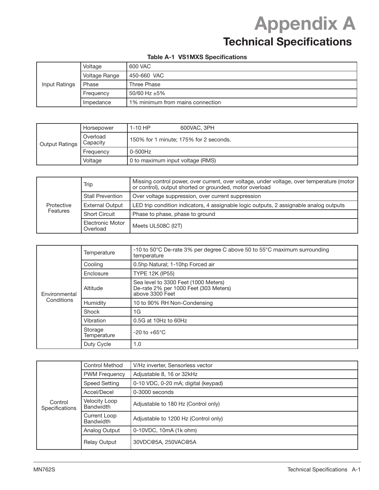# **Appendix A Technical Specifications**

#### **Table A-1 VS1MXS Specifications**

|               | Voltage       | 600 VAC                          |
|---------------|---------------|----------------------------------|
|               | Voltage Range | 450-660 VAC                      |
| Input Ratings | Phase         | Three Phase                      |
|               | Frequency     | 50/60 Hz $\pm$ 5%                |
|               | Impedance     | 1% minimum from mains connection |

|                       | Horsepower           | $1-10$ HP                        | 600VAC, 3PH                            |
|-----------------------|----------------------|----------------------------------|----------------------------------------|
| <b>Output Ratings</b> | Overload<br>Capacity |                                  | 150% for 1 minute; 175% for 2 seconds. |
|                       | Frequency            | $0-500$ Hz                       |                                        |
|                       | Voltage              | 0 to maximum input voltage (RMS) |                                        |

|            | Trip                         | Missing control power, over current, over voltage, under voltage, over temperature (motor<br>or control), output shorted or grounded, motor overload |
|------------|------------------------------|------------------------------------------------------------------------------------------------------------------------------------------------------|
|            | <b>Stall Prevention</b>      | Over voltage suppression, over current suppression                                                                                                   |
| Protective | <b>External Output</b>       | LED trip condition indicators, 4 assignable logic outputs, 2 assignable analog outputs                                                               |
| Features   | <b>Short Circuit</b>         | Phase to phase, phase to ground                                                                                                                      |
|            | Electronic Motor<br>Overload | Meets UL508C (I2T)                                                                                                                                   |

|               | Temperature            | -10 to 50°C De-rate 3% per degree C above 50 to 55°C maximum surrounding<br>temperature          |
|---------------|------------------------|--------------------------------------------------------------------------------------------------|
|               | Cooling                | 0.5hp Natural; 1-10hp Forced air                                                                 |
|               | Enclosure              | <b>TYPE 12K (IP55)</b>                                                                           |
| Environmental | Altitude               | Sea level to 3300 Feet (1000 Meters)<br>De-rate 2% per 1000 Feet (303 Meters)<br>above 3300 Feet |
| Conditions    | Humidity               | 10 to 90% RH Non-Condensing                                                                      |
|               | Shock                  | 1G                                                                                               |
|               | Vibration              | $0.5G$ at 10Hz to 60Hz                                                                           |
|               | Storage<br>Temperature | $-20$ to $+65^{\circ}$ C                                                                         |
|               | Duty Cycle             | 1.0                                                                                              |

|                           | <b>Control Method</b>                    | V/Hz inverter, Sensorless vector     |
|---------------------------|------------------------------------------|--------------------------------------|
|                           | <b>PWM Frequency</b>                     | Adjustable 8, 16 or 32kHz            |
|                           | <b>Speed Setting</b>                     | 0-10 VDC, 0-20 mA; digital (keypad)  |
|                           | Accel/Decel                              | $0-3000$ seconds                     |
| Control<br>Specifications | <b>Velocity Loop</b><br><b>Bandwidth</b> | Adjustable to 180 Hz (Control only)  |
|                           | Current Loop<br><b>Bandwidth</b>         | Adjustable to 1200 Hz (Control only) |
|                           | Analog Output                            | 0-10VDC, 10mA (1k ohm)               |
|                           | <b>Relay Output</b>                      | 30VDC@5A, 250VAC@5A                  |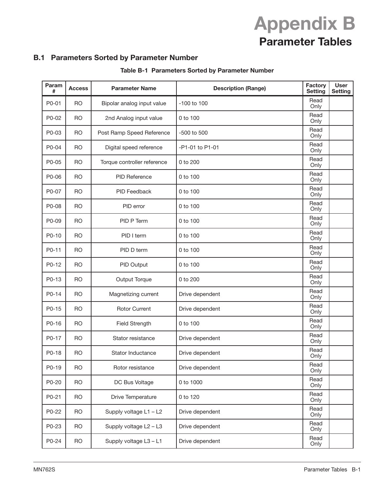# **Appendix B Parameter Tables**

# **B.1 Parameters Sorted by Parameter Number**

| Param<br># | <b>Access</b> | <b>Parameter Name</b>       | <b>Description (Range)</b> | <b>Factory</b><br><b>Setting</b> | <b>User</b><br><b>Setting</b> |
|------------|---------------|-----------------------------|----------------------------|----------------------------------|-------------------------------|
| P0-01      | <b>RO</b>     | Bipolar analog input value  | $-100$ to $100$            | Read<br>Only                     |                               |
| P0-02      | <b>RO</b>     | 2nd Analog input value      | 0 to 100                   | Read<br>Only                     |                               |
| P0-03      | <b>RO</b>     | Post Ramp Speed Reference   | -500 to 500                | Read<br>Only                     |                               |
| P0-04      | <b>RO</b>     | Digital speed reference     | -P1-01 to P1-01            | Read<br>Only                     |                               |
| P0-05      | <b>RO</b>     | Torque controller reference | 0 to 200                   | Read<br>Only                     |                               |
| P0-06      | <b>RO</b>     | <b>PID Reference</b>        | 0 to 100                   | Read<br>Only                     |                               |
| P0-07      | <b>RO</b>     | <b>PID Feedback</b>         | 0 to 100                   | Read<br>Only                     |                               |
| P0-08      | <b>RO</b>     | PID error                   | 0 to 100                   | Read<br>Only                     |                               |
| P0-09      | <b>RO</b>     | PID P Term                  | 0 to 100                   | Read<br>Only                     |                               |
| P0-10      | <b>RO</b>     | PID I term                  | 0 to 100                   | Read<br>Only                     |                               |
| P0-11      | <b>RO</b>     | PID D term                  | 0 to 100                   | Read<br>Only                     |                               |
| P0-12      | <b>RO</b>     | PID Output                  | 0 to 100                   | Read<br>Only                     |                               |
| P0-13      | <b>RO</b>     | Output Torque               | 0 to 200                   | Read<br>Only                     |                               |
| P0-14      | <b>RO</b>     | Magnetizing current         | Drive dependent            | Read<br>Only                     |                               |
| P0-15      | <b>RO</b>     | <b>Rotor Current</b>        | Drive dependent            | Read<br>Only                     |                               |
| P0-16      | <b>RO</b>     | <b>Field Strength</b>       | 0 to 100                   | Read<br>Only                     |                               |
| P0-17      | <b>RO</b>     | Stator resistance           | Drive dependent            | Read<br>Only                     |                               |
| P0-18      | <b>RO</b>     | Stator Inductance           | Drive dependent            | Read<br>Only                     |                               |
| P0-19      | <b>RO</b>     | Rotor resistance            | Drive dependent            | Read<br>Only                     |                               |
| P0-20      | <b>RO</b>     | DC Bus Voltage              | 0 to 1000                  | Read<br>Only                     |                               |
| P0-21      | <b>RO</b>     | Drive Temperature           | 0 to 120                   | Read<br>Only                     |                               |
| P0-22      | <b>RO</b>     | Supply voltage L1 - L2      | Drive dependent            | Read<br>Only                     |                               |
| P0-23      | <b>RO</b>     | Supply voltage L2 - L3      | Drive dependent            | Read<br>Only                     |                               |
| P0-24      | <b>RO</b>     | Supply voltage L3 - L1      | Drive dependent            | Read<br>Only                     |                               |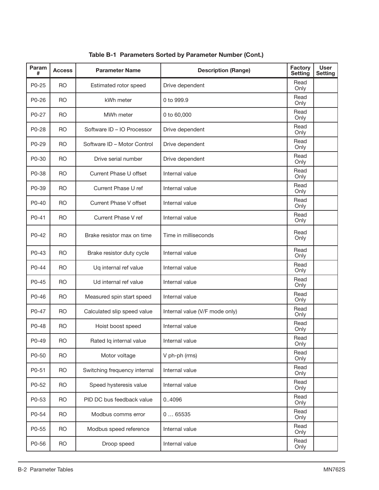| Param<br># | Access    | <b>Parameter Name</b>         | <b>Description (Range)</b>     | Factory<br>Setting | <b>User</b><br><b>Setting</b> |
|------------|-----------|-------------------------------|--------------------------------|--------------------|-------------------------------|
| P0-25      | <b>RO</b> | Estimated rotor speed         | Drive dependent                | Read<br>Only       |                               |
| P0-26      | <b>RO</b> | kWh meter                     | 0 to 999.9                     | Read<br>Only       |                               |
| P0-27      | <b>RO</b> | MWh meter                     | 0 to 60,000                    | Read<br>Only       |                               |
| P0-28      | <b>RO</b> | Software ID - IO Processor    | Drive dependent                | Read<br>Only       |                               |
| P0-29      | <b>RO</b> | Software ID - Motor Control   | Drive dependent                | Read<br>Only       |                               |
| P0-30      | <b>RO</b> | Drive serial number           | Drive dependent                | Read<br>Only       |                               |
| P0-38      | <b>RO</b> | Current Phase U offset        | Internal value                 | Read<br>Only       |                               |
| P0-39      | <b>RO</b> | Current Phase U ref           | Internal value                 | Read<br>Only       |                               |
| P0-40      | <b>RO</b> | <b>Current Phase V offset</b> | Internal value                 | Read<br>Only       |                               |
| P0-41      | <b>RO</b> | Current Phase V ref           | Internal value                 | Read<br>Only       |                               |
| P0-42      | RO        | Brake resistor max on time    | Time in milliseconds           | Read<br>Only       |                               |
| P0-43      | <b>RO</b> | Brake resistor duty cycle     | Internal value                 | Read<br>Only       |                               |
| P0-44      | <b>RO</b> | Uq internal ref value         | Internal value                 | Read<br>Only       |                               |
| P0-45      | <b>RO</b> | Ud internal ref value         | Internal value                 | Read<br>Only       |                               |
| P0-46      | <b>RO</b> | Measured spin start speed     | Internal value                 | Read<br>Only       |                               |
| P0-47      | <b>RO</b> | Calculated slip speed value   | Internal value (V/F mode only) | Read<br>Only       |                               |
| P0-48      | <b>RO</b> | Hoist boost speed             | Internal value                 | Read<br>Only       |                               |
| P0-49      | <b>RO</b> | Rated Iq internal value       | Internal value                 | Read<br>Only       |                               |
| P0-50      | <b>RO</b> | Motor voltage                 | V ph-ph (rms)                  | Read<br>Only       |                               |
| P0-51      | <b>RO</b> | Switching frequency internal  | Internal value                 | Read<br>Only       |                               |
| P0-52      | <b>RO</b> | Speed hysteresis value        | Internal value                 | Read<br>Only       |                               |
| P0-53      | <b>RO</b> | PID DC bus feedback value     | 04096                          | Read<br>Only       |                               |
| P0-54      | <b>RO</b> | Modbus comms error            | 065535                         | Read<br>Only       |                               |
| P0-55      | <b>RO</b> | Modbus speed reference        | Internal value                 | Read<br>Only       |                               |
| P0-56      | <b>RO</b> | Droop speed                   | Internal value                 | Read<br>Only       |                               |

**Table B-1 Parameters Sorted by Parameter Number (Cont.)**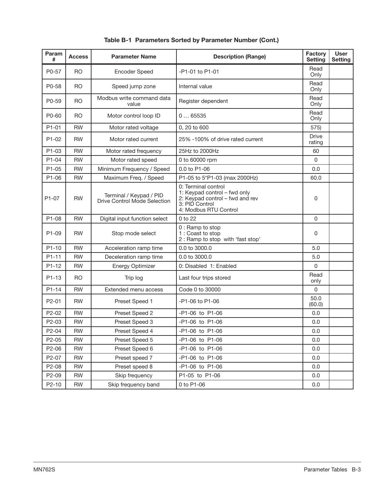| Param<br>#         | <b>Access</b> | <b>Parameter Name</b>                                   | <b>Description (Range)</b>                                                                                                        | <b>Factory</b><br><b>Setting</b> | <b>User</b><br><b>Setting</b> |
|--------------------|---------------|---------------------------------------------------------|-----------------------------------------------------------------------------------------------------------------------------------|----------------------------------|-------------------------------|
| P0-57              | RO.           | <b>Encoder Speed</b>                                    | -P1-01 to P1-01                                                                                                                   | Read<br>Only                     |                               |
| P0-58              | RO.           | Speed jump zone                                         | Internal value                                                                                                                    | Read<br>Only                     |                               |
| P0-59              | <b>RO</b>     | Modbus write command data<br>value                      | Register dependent                                                                                                                | Read<br>Only                     |                               |
| P0-60              | RO.           | Motor control loop ID                                   | 065535                                                                                                                            | Read<br>Only                     |                               |
| P1-01              | <b>RW</b>     | Motor rated voltage                                     | 0, 20 to 600                                                                                                                      | 575)                             |                               |
| P <sub>1</sub> -02 | <b>RW</b>     | Motor rated current                                     | 25% -100% of drive rated current                                                                                                  | <b>Drive</b><br>rating           |                               |
| P1-03              | <b>RW</b>     | Motor rated frequency                                   | 25Hz to 2000Hz                                                                                                                    | 60                               |                               |
| $P1 - 04$          | <b>RW</b>     | Motor rated speed                                       | 0 to 60000 rpm                                                                                                                    | $\mathbf 0$                      |                               |
| P1-05              | <b>RW</b>     | Minimum Frequency / Speed                               | 0.0 to P1-06                                                                                                                      | 0.0                              |                               |
| P <sub>1</sub> -06 | <b>RW</b>     | Maximum Freq. / Speed                                   | P1-05 to 5*P1-03 (max 2000Hz)                                                                                                     | 60.0                             |                               |
| P1-07              | <b>RW</b>     | Terminal / Keypad / PID<br>Drive Control Mode Selection | 0: Terminal control<br>1: Keypad control – fwd only<br>2: Keypad control - fwd and rev<br>3: PID Control<br>4: Modbus RTU Control | 0                                |                               |
| P1-08              | <b>RW</b>     | Digital input function select                           | 0 to 22                                                                                                                           | $\Omega$                         |                               |
| P1-09              | <b>RW</b>     | Stop mode select                                        | 0 : Ramp to stop<br>1: Coast to stop<br>2 : Ramp to stop with 'fast stop'                                                         | 0                                |                               |
| $P1-10$            | <b>RW</b>     | Acceleration ramp time                                  | 0.0 to 3000.0                                                                                                                     | 5.0                              |                               |
| P1-11              | <b>RW</b>     | Deceleration ramp time                                  | 0.0 to 3000.0                                                                                                                     | 5.0                              |                               |
| $P1-12$            | <b>RW</b>     | <b>Energy Optimizer</b>                                 | 0: Disabled 1: Enabled                                                                                                            | $\Omega$                         |                               |
| $P1 - 13$          | RO.           | Trip log                                                | Last four trips stored                                                                                                            | Read<br>only                     |                               |
| $P1 - 14$          | <b>RW</b>     | Extended menu access                                    | Code 0 to 30000                                                                                                                   | $\Omega$                         |                               |
| P2-01              | <b>RW</b>     | Preset Speed 1                                          | -P1-06 to P1-06                                                                                                                   | 50.0<br>(60.0)                   |                               |
| P <sub>2</sub> -02 | <b>RW</b>     | Preset Speed 2                                          | -P1-06 to P1-06                                                                                                                   | 0.0                              |                               |
| P2-03              | <b>RW</b>     | Preset Speed 3                                          | -P1-06 to P1-06                                                                                                                   | 0.0                              |                               |
| P2-04              | <b>RW</b>     | Preset Speed 4                                          | -P1-06 to P1-06                                                                                                                   | 0.0                              |                               |
| P2-05              | <b>RW</b>     | Preset Speed 5                                          | -P1-06 to P1-06                                                                                                                   | 0.0                              |                               |
| P2-06              | <b>RW</b>     | Preset Speed 6                                          | -P1-06 to P1-06                                                                                                                   | 0.0                              |                               |
| P2-07              | <b>RW</b>     | Preset speed 7                                          | -P1-06 to P1-06                                                                                                                   | 0.0                              |                               |
| P2-08              | <b>RW</b>     | Preset speed 8                                          | -P1-06 to P1-06                                                                                                                   | 0.0                              |                               |
| P2-09              | ${\sf RW}$    | Skip frequency                                          | P1-05 to P1-06                                                                                                                    | 0.0                              |                               |
| P2-10              | <b>RW</b>     | Skip frequency band                                     | 0 to P1-06                                                                                                                        | 0.0                              |                               |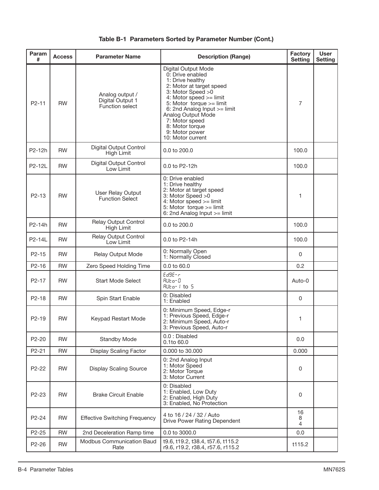| Param<br>#          | <b>Access</b> | <b>Parameter Name</b>                                  | <b>Description (Range)</b>                                                                                                                                                                                                                                                                                    | Factory<br><b>Setting</b> | <b>User</b><br><b>Setting</b> |
|---------------------|---------------|--------------------------------------------------------|---------------------------------------------------------------------------------------------------------------------------------------------------------------------------------------------------------------------------------------------------------------------------------------------------------------|---------------------------|-------------------------------|
| P <sub>2</sub> -11  | <b>RW</b>     | Analog output /<br>Digital Output 1<br>Function select | <b>Digital Output Mode</b><br>0: Drive enabled<br>1: Drive healthy<br>2: Motor at target speed<br>3: Motor Speed > 0<br>4: Motor speed >= limit<br>5: Motor torque >= limit<br>6: 2nd Analog Input >= limit<br>Analog Output Mode<br>7: Motor speed<br>8: Motor torque<br>9: Motor power<br>10: Motor current | 7                         |                               |
| P <sub>2</sub> -12h | <b>RW</b>     | Digital Output Control<br>High Limit                   | 0.0 to 200.0                                                                                                                                                                                                                                                                                                  | 100.0                     |                               |
| P2-12L              | <b>RW</b>     | Digital Output Control<br>Low Limit                    | 0.0 to P2-12h                                                                                                                                                                                                                                                                                                 | 100.0                     |                               |
| $P2 - 13$           | <b>RW</b>     | <b>User Relay Output</b><br><b>Function Select</b>     | 0: Drive enabled<br>1: Drive healthy<br>2: Motor at target speed<br>3: Motor Speed > 0<br>4: Motor speed >= limit<br>5: Motor torque >= limit<br>6: 2nd Analog Input $>=$ limit                                                                                                                               | 1                         |                               |
| P2-14h              | <b>RW</b>     | Relay Output Control<br>High Limit                     | 0.0 to 200.0                                                                                                                                                                                                                                                                                                  | 100.0                     |                               |
| P2-14L              | <b>RW</b>     | <b>Relay Output Control</b><br>Low Limit               | 0.0 to P2-14h                                                                                                                                                                                                                                                                                                 | 100.0                     |                               |
| P2-15               | <b>RW</b>     | Relay Output Mode                                      | 0: Normally Open<br>1: Normally Closed                                                                                                                                                                                                                                                                        | 0                         |                               |
| $P2 - 16$           | RW.           | Zero Speed Holding Time                                | 0.0 to 60.0                                                                                                                                                                                                                                                                                                   | 0.2                       |                               |
| P <sub>2</sub> -17  | <b>RW</b>     | <b>Start Mode Select</b>                               | $Ed9E-r$<br>AUE o- O<br>Ruto-I to 5                                                                                                                                                                                                                                                                           | Auto-0                    |                               |
| P <sub>2</sub> -18  | <b>RW</b>     | Spin Start Enable                                      | 0: Disabled<br>1: Enabled                                                                                                                                                                                                                                                                                     | 0                         |                               |
| P <sub>2</sub> -19  | <b>RW</b>     | Keypad Restart Mode                                    | 0: Minimum Speed, Edge-r<br>1: Previous Speed, Edge-r<br>2: Minimum Speed, Auto-r<br>3: Previous Speed, Auto-r                                                                                                                                                                                                | 1                         |                               |
| P2-20               | <b>RW</b>     | <b>Standby Mode</b>                                    | 0.0 : Disabled<br>0.1to 60.0                                                                                                                                                                                                                                                                                  | 0.0                       |                               |
| P2-21               | <b>RW</b>     | <b>Display Scaling Factor</b>                          | 0.000 to 30,000                                                                                                                                                                                                                                                                                               | 0.000                     |                               |
| P2-22               | <b>RW</b>     | <b>Display Scaling Source</b>                          | 0: 2nd Analog Input<br>1: Motor Speed<br>2: Motor Torque<br>3: Motor Current                                                                                                                                                                                                                                  | 0                         |                               |
| P2-23               | <b>RW</b>     | <b>Brake Circuit Enable</b>                            | 0: Disabled<br>1: Enabled, Low Duty<br>2: Enabled, High Duty<br>3: Enabled, No Protection                                                                                                                                                                                                                     | 0                         |                               |
| P <sub>2</sub> -24  | <b>RW</b>     | <b>Effective Switching Frequency</b>                   | 4 to 16 / 24 / 32 / Auto<br>Drive Power Rating Dependent                                                                                                                                                                                                                                                      | 16<br>8<br>4              |                               |
| P2-25               | <b>RW</b>     | 2nd Deceleration Ramp time                             | 0.0 to 3000.0                                                                                                                                                                                                                                                                                                 | 0.0                       |                               |
| P2-26               | <b>RW</b>     | Modbus Communication Baud<br>Rate                      | t9.6, t19.2, t38.4, t57.6, t115.2<br>r9.6, r19.2, r38.4, r57.6, r115.2                                                                                                                                                                                                                                        | t115.2                    |                               |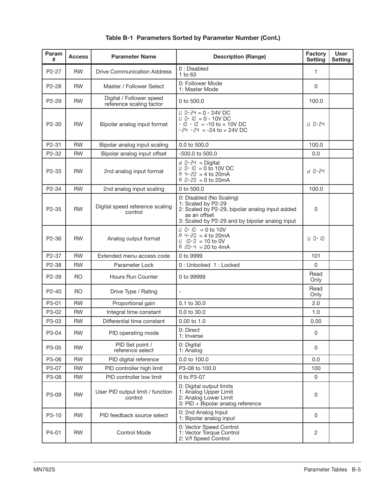| Param<br>#         | <b>Access</b> | <b>Parameter Name</b>                                | <b>Description (Range)</b>                                                                                                                                         | <b>Factory</b><br><b>Setting</b> | <b>User</b><br><b>Setting</b> |
|--------------------|---------------|------------------------------------------------------|--------------------------------------------------------------------------------------------------------------------------------------------------------------------|----------------------------------|-------------------------------|
| P <sub>2</sub> -27 | <b>RW</b>     | <b>Drive Communication Address</b>                   | 0: Disabled<br>1 to 63                                                                                                                                             | 1                                |                               |
| P <sub>2</sub> -28 | <b>RW</b>     | Master / Follower Select                             | 0: Follower Mode<br>1: Master Mode                                                                                                                                 | $\mathbf 0$                      |                               |
| P <sub>2</sub> -29 | <b>RW</b>     | Digital / Follower speed<br>reference scaling factor | 0 to 500.0                                                                                                                                                         | 100.0                            |                               |
| P <sub>2</sub> -30 | <b>RW</b>     | Bipolar analog input format                          | $U$ 0-24 = 0 - 24V DC<br>$U$ 0- $U$ = 0 - 10V DC<br>$-10 - 10 = -10$ to $+ 10V$ DC<br>$-24 - 24 = -24$ to $+ 24V$ DC                                               | u o-24                           |                               |
| P2-31              | <b>RW</b>     | Bipolar analog input scaling                         | 0.0 to 500.0                                                                                                                                                       | 100.0                            |                               |
| P2-32              | <b>RW</b>     | Bipolar analog input offset                          | -500.0 to 500.0                                                                                                                                                    | 0.0                              |                               |
| P2-33              | <b>RW</b>     | 2nd analog input format                              | $d \theta$ -24 = Digital<br>$U = 10 = 0$ to 10V DC<br>$A + 2D = 4$ to 20 mA<br>A 0-20 = 0 to 20mA                                                                  | d 0-24                           |                               |
| P2-34              | <b>RW</b>     | 2nd analog input scaling                             | 0 to 500.0                                                                                                                                                         | 100.0                            |                               |
| P2-35              | <b>RW</b>     | Digital speed reference scaling<br>control           | 0: Disabled (No Scaling)<br>1: Scaled by P2-29<br>2: Scaled by P2-29, bipolar analog input added<br>as an offset<br>3: Scaled by P2-29 and by bipolar analog input | 0                                |                               |
| P <sub>2</sub> -36 | <b>RW</b>     | Analog output format                                 | $U$ 0- $U$ = 0 to 10V<br>$A + 2D = 4$ to 20 mA<br>$U$ $10 - 0 = 10$ to 0V<br>$H \, 20 - 4 = 20$ to 4mA                                                             | u o- 10                          |                               |
| P2-37              | <b>RW</b>     | Extended menu access code                            | 0 to 9999                                                                                                                                                          | 101                              |                               |
| P2-38              | <b>RW</b>     | Parameter Lock                                       | 0: Unlocked 1: Locked                                                                                                                                              | $\mathbf{0}$                     |                               |
| P <sub>2</sub> -39 | RO.           | Hours Run Counter                                    | 0 to 99999                                                                                                                                                         | Read<br>Only                     |                               |
| $P2 - 40$          | RO.           | Drive Type / Rating                                  |                                                                                                                                                                    | Read<br>Only                     |                               |
| P3-01              | <b>RW</b>     | Proportional gain                                    | 0.1 to 30.0                                                                                                                                                        | 2.0                              |                               |
| P3-02              | <b>RW</b>     | Integral time constant                               | 0.0 to 30.0                                                                                                                                                        | 1.0                              |                               |
| P3-03              | <b>RW</b>     | Differential time constant                           | $0.00 \text{ to } 1.0$                                                                                                                                             | 0.00                             |                               |
| P3-04              | <b>RW</b>     | PID operating mode                                   | 0: Direct<br>1: Inverse                                                                                                                                            | 0                                |                               |
| P3-05              | <b>RW</b>     | PID Set point /<br>reference select                  | 0: Digital<br>1: Analog                                                                                                                                            | $\mathbf 0$                      |                               |
| P3-06              | <b>RW</b>     | PID digital reference                                | 0.0 to 100.0                                                                                                                                                       | 0.0                              |                               |
| P3-07              | <b>RW</b>     | PID controller high limit                            | P3-08 to 100.0                                                                                                                                                     | 100                              |                               |
| P3-08              | <b>RW</b>     | PID controller low limit                             | 0 to P3-07                                                                                                                                                         | $\mathbf 0$                      |                               |
| P3-09              | <b>RW</b>     | User PID output limit / function<br>control          | 0: Digital output limits<br>1: Analog Upper Limit<br>2: Analog Lower Limit<br>3: $PID + Bipolar$ analog reference                                                  | 0                                |                               |
| P3-10              | <b>RW</b>     | PID feedback source select                           | 0: 2nd Analog Input<br>1: Bipolar analog input                                                                                                                     | $\mathbf 0$                      |                               |
| P4-01              | <b>RW</b>     | <b>Control Mode</b>                                  | 0: Vector Speed Control<br>1: Vector Torque Control<br>2: V/f Speed Control                                                                                        | $\overline{2}$                   |                               |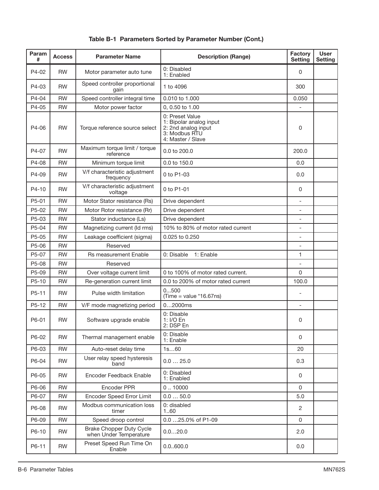| Param<br>#                     | <b>Access</b> | <b>Parameter Name</b>                                     | <b>Description (Range)</b>                                                                              | <b>Factory</b><br><b>Setting</b> | <b>User</b><br><b>Setting</b> |
|--------------------------------|---------------|-----------------------------------------------------------|---------------------------------------------------------------------------------------------------------|----------------------------------|-------------------------------|
| P4-02                          | <b>RW</b>     | Motor parameter auto tune                                 | 0: Disabled<br>1: Enabled                                                                               | 0                                |                               |
| P4-03                          | <b>RW</b>     | Speed controller proportional<br>gain                     | 1 to 4096                                                                                               | 300                              |                               |
| P4-04                          | <b>RW</b>     | Speed controller integral time                            | 0.010 to 1.000                                                                                          | 0.050                            |                               |
| P4-05                          | <b>RW</b>     | Motor power factor                                        | 0, 0.50 to 1.00                                                                                         |                                  |                               |
| P4-06                          | <b>RW</b>     | Torque reference source select                            | 0: Preset Value<br>1: Bipolar analog input<br>2: 2nd analog input<br>3: Modbus RTU<br>4: Master / Slave | 0                                |                               |
| P4-07                          | <b>RW</b>     | Maximum torque limit / torque<br>reference                | 0.0 to 200.0                                                                                            | 200.0                            |                               |
| P4-08                          | <b>RW</b>     | Minimum torque limit                                      | 0.0 to 150.0                                                                                            | 0.0                              |                               |
| P4-09                          | <b>RW</b>     | V/f characteristic adjustment<br>frequency                | 0 to P1-03                                                                                              | 0.0                              |                               |
| P4-10                          | <b>RW</b>     | V/f characteristic adjustment<br>voltage                  | 0 to P1-01                                                                                              | 0                                |                               |
| P5-01                          | <b>RW</b>     | Motor Stator resistance (Rs)                              | Drive dependent                                                                                         |                                  |                               |
| P5-02                          | <b>RW</b>     | Motor Rotor resistance (Rr)                               | Drive dependent                                                                                         | $\overline{\phantom{a}}$         |                               |
| P5-03                          | <b>RW</b>     | Stator inductance (Ls)                                    | Drive dependent                                                                                         |                                  |                               |
| P5-04                          | <b>RW</b>     | Magnetizing current (Id rms)                              | 10% to 80% of motor rated current                                                                       |                                  |                               |
| P <sub>5</sub> -0 <sub>5</sub> | <b>RW</b>     | Leakage coefficient (sigma)                               | 0.025 to 0.250                                                                                          |                                  |                               |
| P5-06                          | <b>RW</b>     | Reserved                                                  |                                                                                                         |                                  |                               |
| P5-07                          | <b>RW</b>     | <b>Rs measurement Enable</b>                              | 1: Enable<br>0: Disable                                                                                 | 1                                |                               |
| P5-08                          | <b>RW</b>     | Reserved                                                  |                                                                                                         |                                  |                               |
| P5-09                          | <b>RW</b>     | Over voltage current limit                                | 0 to 100% of motor rated current.                                                                       | 0                                |                               |
| P5-10                          | <b>RW</b>     | Re-generation current limit                               | 0.0 to 200% of motor rated current                                                                      | 100.0                            |                               |
| P5-11                          | <b>RW</b>     | Pulse width limitation                                    | 0500<br>$(Time = value *16.67ns)$                                                                       |                                  |                               |
| $P5-12$                        | <b>RW</b>     | V/F mode magnetizing period                               | 02000ms                                                                                                 |                                  |                               |
| P6-01                          | <b>RW</b>     | Software upgrade enable                                   | 0: Disable<br>1: I/O En<br>2: DSP En                                                                    | 0                                |                               |
| P6-02                          | <b>RW</b>     | Thermal management enable                                 | 0: Disable<br>1: Enable                                                                                 | 0                                |                               |
| P6-03                          | <b>RW</b>     | Auto-reset delay time                                     | 1s60                                                                                                    | 20                               |                               |
| P6-04                          | <b>RW</b>     | User relay speed hysteresis<br>band                       | 0.025.0                                                                                                 | 0.3                              |                               |
| P6-05                          | <b>RW</b>     | Encoder Feedback Enable                                   | 0: Disabled<br>1: Enabled                                                                               | 0                                |                               |
| P6-06                          | <b>RW</b>     | Encoder PPR                                               | 0.10000                                                                                                 | 0                                |                               |
| P6-07                          | <b>RW</b>     | Encoder Speed Error Limit                                 | 0.050.0                                                                                                 | 5.0                              |                               |
| P6-08                          | <b>RW</b>     | Modbus communication loss<br>timer                        | 0: disabled<br>1.60                                                                                     | $\mathbf{2}$                     |                               |
| P6-09                          | <b>RW</b>     | Speed droop control                                       | 0.0 25.0% of P1-09                                                                                      | $\Omega$                         |                               |
| P6-10                          | <b>RW</b>     | <b>Brake Chopper Duty Cycle</b><br>when Under Temperature | 0.020.0                                                                                                 | 2.0                              |                               |
| P6-11                          | <b>RW</b>     | Preset Speed Run Time On<br>Enable                        | 0.0.600.0                                                                                               | 0.0                              |                               |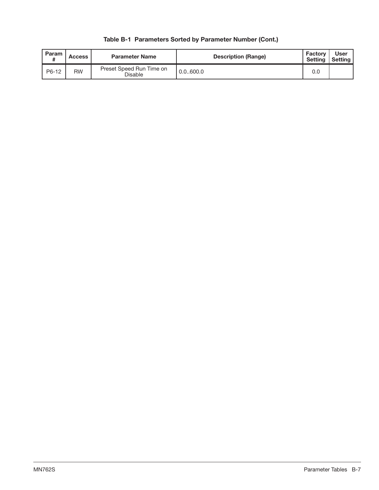| Param | <b>Access</b> | <b>Parameter Name</b>               | <b>Description (Range)</b> | Factory<br>Setting | User<br>' Setting |
|-------|---------------|-------------------------------------|----------------------------|--------------------|-------------------|
| P6-12 | <b>RW</b>     | Preset Speed Run Time on<br>Disable | 0.0.600.0                  | 0.0                |                   |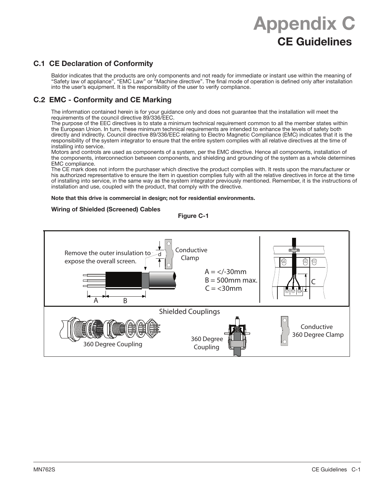# **Appendix C CE Guidelines**

# **C.1 CE Declaration of Conformity**

Baldor indicates that the products are only components and not ready for immediate or instant use within the meaning of "Safety law of appliance", "EMC Law" or "Machine directive". The final mode of operation is defined only after installation into the user's equipment. It is the responsibility of the user to verify compliance.

# **C.2 EMC - Conformity and CE Marking**

The information contained herein is for your guidance only and does not guarantee that the installation will meet the requirements of the council directive 89/336/EEC.

The purpose of the EEC directives is to state a minimum technical requirement common to all the member states within the European Union. In turn, these minimum technical requirements are intended to enhance the levels of safety both directly and indirectly. Council directive 89/336/EEC relating to Electro Magnetic Compliance (EMC) indicates that it is the responsibility of the system integrator to ensure that the entire system complies with all relative directives at the time of installing into service.

Motors and controls are used as components of a system, per the EMC directive. Hence all components, installation of the components, interconnection between components, and shielding and grounding of the system as a whole determines EMC compliance.

The CE mark does not inform the purchaser which directive the product complies with. It rests upon the manufacturer or his authorized representative to ensure the item in question complies fully with all the relative directives in force at the time of installing into service, in the same way as the system integrator previously mentioned. Remember, it is the instructions of installation and use, coupled with the product, that comply with the directive.

#### **Note that this drive is commercial in design; not for residential environments.**

#### **Wiring of Shielded (Screened) Cables**

**Figure C-1** 

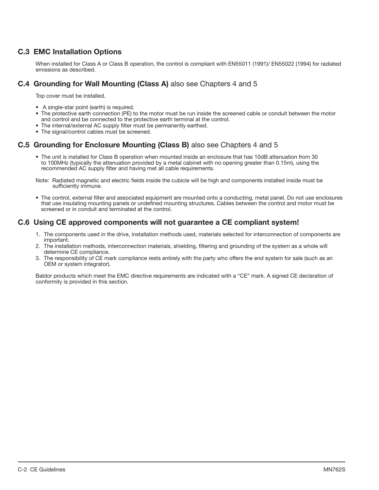# **C.3 EMC Installation Options**

When installed for Class A or Class B operation, the control is compliant with EN55011 (1991)/ EN55022 (1994) for radiated emissions as described.

# **C.4 Grounding for Wall Mounting (Class A)** also see Chapters 4 and 5

Top cover must be installed.

- A single-star point (earth) is required.
- The protective earth connection (PE) to the motor must be run inside the screened cable or conduit between the motor and control and be connected to the protective earth terminal at the control.
- The internal/external AC supply filter must be permanently earthed.
- The signal/control cables must be screened.

## **C.5 Grounding for Enclosure Mounting (Class B)** also see Chapters 4 and 5

- The unit is installed for Class B operation when mounted inside an enclosure that has 10dB attenuation from 30 to 100MHz (typically the attenuation provided by a metal cabinet with no opening greater than 0.15m), using the recommended AC supply filter and having met all cable requirements.
- Note: Radiated magnetic and electric fields inside the cubicle will be high and components installed inside must be sufficiently immune.
- The control, external filter and associated equipment are mounted onto a conducting, metal panel. Do not use enclosures that use insulating mounting panels or undefined mounting structures. Cables between the control and motor must be screened or in conduit and terminated at the control.

## **C.6 Using CE approved components will not guarantee a CE compliant system!**

- 1. The components used in the drive, installation methods used, materials selected for interconnection of components are important.
- 2. The installation methods, interconnection materials, shielding, filtering and grounding of the system as a whole will determine CE compliance.
- 3. The responsibility of CE mark compliance rests entirely with the party who offers the end system for sale (such as an OEM or system integrator).

Baldor products which meet the EMC directive requirements are indicated with a "CE" mark. A signed CE declaration of conformity is provided in this section.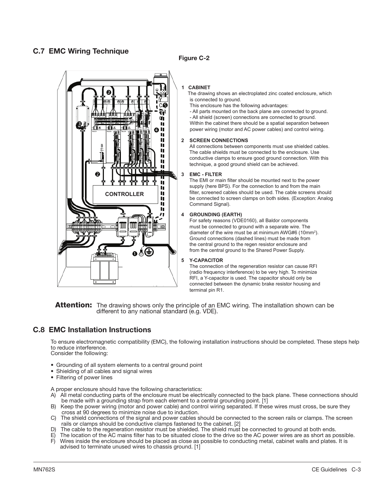## **C.7 EMC Wiring Technique**





#### **1 CABINET**

 The drawing shows an electroplated zinc coated enclosure, which is connected to ground.

This enclosure has the following advantages:

 - All parts mounted on the back plane are connected to ground. - All shield (screen) connections are connected to ground. Within the cabinet there should be a spatial separation between power wiring (motor and AC power cables) and control wiring.

#### **2 SCREEN CONNECTIONS**

All connections between components must use shielded cables. The cable shields must be connected to the enclosure. Use conductive clamps to ensure good ground connection. With this technique, a good ground shield can be achieved.

#### **3 EMC - FILTER**

 The EMI or main filter should be mounted next to the power supply (here BPS). For the connection to and from the main filter, screened cables should be used. The cable screens should be connected to screen clamps on both sides. (Exception: Analog Command Signal).

#### $\overline{\mathbf{4}}$ **4 GROUNDING (EARTH)**

For safety reasons (VDE0160), all Baldor components must be connected to ground with a separate wire. The diameter of the wire must be at minimum AWG#6 (10mm2 ). Ground connections (dashed lines) must be made from the central ground to the regen resistor enclosure and from the central ground to the Shared Power Supply.

#### **5 Y-CAPACITOR**

The connection of the regeneration resistor can cause RFI (radio frequency interference) to be very high. To minimize RFI, a Y-capacitor is used. The capacitor should only be connected between the dynamic brake resistor housing and terminal pin R1.

**Attention:** The drawing shows only the principle of an EMC wiring. The installation shown can be different to any national standard (e.g. VDE).

## **C.8 EMC Installation Instructions**

To ensure electromagnetic compatibility (EMC), the following installation instructions should be completed. These steps help to reduce interference.

Consider the following:

- Grounding of all system elements to a central ground point
- Shielding of all cables and signal wires
- Filtering of power lines

A proper enclosure should have the following characteristics:

- A) All metal conducting parts of the enclosure must be electrically connected to the back plane. These connections should be made with a grounding strap from each element to a central grounding point. [1]
- B) Keep the power wiring (motor and power cable) and control wiring separated. If these wires must cross, be sure they cross at 90 degrees to minimize noise due to induction.
- C) The shield connections of the signal and power cables should be connected to the screen rails or clamps. The screen rails or clamps should be conductive clamps fastened to the cabinet. [2]
- The cable to the regeneration resistor must be shielded. The shield must be connected to ground at both ends.
- E) The location of the AC mains filter has to be situated close to the drive so the AC power wires are as short as possible. Wires inside the enclosure should be placed as close as possible to conducting metal, cabinet walls and plates. It is advised to terminate unused wires to chassis ground. [1]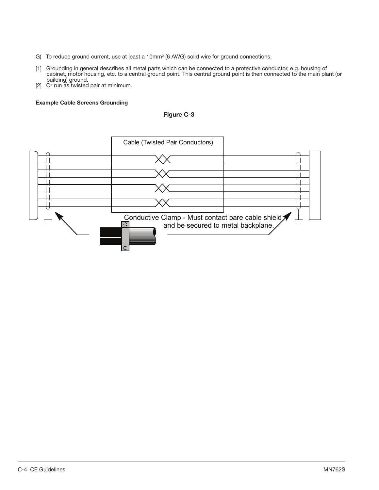- G) To reduce ground current, use at least a 10mm<sup>2</sup> (6 AWG) solid wire for ground connections.
- [1] Grounding in general describes all metal parts which can be connected to a protective conductor, e.g. housing of cabinet, motor housing, etc. to a central ground point. This central ground point is then connected to the main plant (or building) ground.
- [2] Or run as twisted pair at minimum.

#### **Example Cable Screens Grounding**



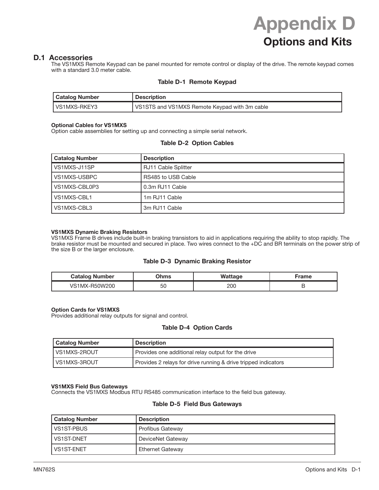# **Appendix D Options and Kits**

#### **D.1 Accessories**

The VS1MXS Remote Keypad can be panel mounted for remote control or display of the drive. The remote keypad comes with a standard 3.0 meter cable.

#### **Table D-1 Remote Keypad**

| Catalog Number | <b>Description</b>                            |
|----------------|-----------------------------------------------|
| I VS1MXS-RKEY3 | VS1STS and VS1MXS Remote Keypad with 3m cable |

#### **Optional Cables for VS1MXS**

Option cable assemblies for setting up and connecting a simple serial network.

#### **Table D-2 Option Cables**

| <b>Catalog Number</b> | <b>Description</b>         |
|-----------------------|----------------------------|
| VS1MXS-J11SP          | <b>RJ11 Cable Splitter</b> |
| VS1MXS-USBPC          | RS485 to USB Cable         |
| VS1MXS-CBL0P3         | 0.3m RJ11 Cable            |
| VS1MXS-CBL1           | 1m RJ11 Cable              |
| VS1MXS-CBL3           | 3m RJ11 Cable              |

#### **VS1MXS Dynamic Braking Resistors**

VS1MXS Frame B drives include built-in braking transistors to aid in applications requiring the ability to stop rapidly. The brake resistor must be mounted and secured in place. Two wires connect to the +DC and BR terminals on the power strip of the size B or the larger enclosure.

#### **Table D-3 Dynamic Braking Resistor**

| <b>Catalog Number</b> | $\sim$ | attage | rame |
|-----------------------|--------|--------|------|
| 31MX-R50W200          |        | 20C    | ◡    |
| 50                    |        | __     |      |

#### **Option Cards for VS1MXS**

Provides additional relay outputs for signal and control.

#### **Table D-4 Option Cards**

| Catalog Number | <b>Description</b>                                             |
|----------------|----------------------------------------------------------------|
| I VS1MXS-2ROUT | Provides one additional relay output for the drive             |
| l VS1MXS-3ROUT | Provides 2 relays for drive running & drive tripped indicators |

#### **VS1MXS Field Bus Gateways**

Connects the VS1MXS Modbus RTU RS485 communication interface to the field bus gateway.

#### **Table D-5 Field Bus Gateways**

| <b>Catalog Number</b> | <b>Description</b>      |
|-----------------------|-------------------------|
| I VS1ST-PBUS          | <b>Profibus Gateway</b> |
| I VS1ST-DNET          | DeviceNet Gateway       |
| l VS1ST-ENET          | <b>Ethernet Gateway</b> |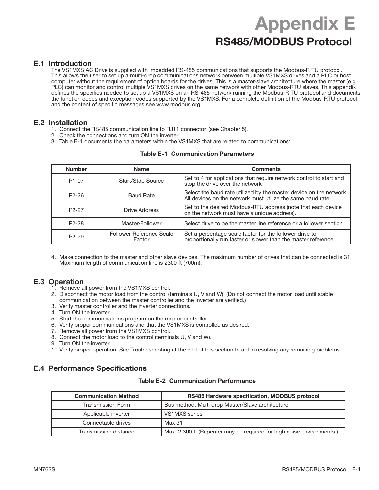# **Appendix E RS485/MODBUS Protocol**

#### **E.1 Introduction**

The VS1MXS AC Drive is supplied with imbedded RS-485 communications that supports the Modbus-R TU protocol. This allows the user to set up a multi-drop communications network between multiple VS1MXS drives and a PLC or host computer without the requirement of option boards for the drives. This is a master-slave architecture where the master (e.g. PLC) can monitor and control multiple VS1MXS drives on the same network with other Modbus-RTU slaves. This appendix defines the specifics needed to set up a VS1MXS on an RS-485 network running the Modbus-R TU protocol and documents the function codes and exception codes supported by the VS1MXS. For a complete definition of the Modbus-RTU protocol and the content of specific messages see www.modbus.org.

#### **E.2 Installation**

- 1. Connect the RS485 communication line to RJ11 connector, (see Chapter 5).
- 2. Check the connections and turn ON the inverter.
- 3. Table E-1 documents the parameters within the VS1MXS that are related to communications:

| <b>Number</b><br><b>Name</b> |                                           | <b>Comments</b>                                                                                                                   |  |  |
|------------------------------|-------------------------------------------|-----------------------------------------------------------------------------------------------------------------------------------|--|--|
| P <sub>1</sub> -07           | Start/Stop Source                         | Set to 4 for applications that require network control to start and<br>stop the drive over the network                            |  |  |
| $P2-26$<br><b>Baud Rate</b>  |                                           | Select the baud rate utilized by the master device on the network.<br>All devices on the network must utilize the same baud rate. |  |  |
| P <sub>2</sub> -27           | Drive Address                             | Set to the desired Modbus-RTU address (note that each device<br>on the network must have a unique address).                       |  |  |
| P <sub>2</sub> -28           | Master/Follower                           | Select drive to be the master line reference or a follower section.                                                               |  |  |
| P <sub>2</sub> -29           | <b>Follower Reference Scale</b><br>Factor | Set a percentage scale factor for the follower drive to<br>proportionally run faster or slower than the master reference.         |  |  |

#### **Table E-1 Communication Parameters**

4. Make connection to the master and other slave devices. The maximum number of drives that can be connected is 31. Maximum length of communication line is 2300 ft (700m).

#### **E.3 Operation**

- 1. Remove all power from the VS1MXS control.
- 2. Disconnect the motor load from the control (terminals U, V and W). (Do not connect the motor load until stable communication between the master controller and the inverter are verified.)
- 3. Verify master controller and the inverter connections.
- 4. Turn ON the inverter.
- 5. Start the communications program on the master controller.
- 6. Verify proper communications and that the VS1MXS is controlled as desired.
- 7. Remove all power from the VS1MXS control.
- 8. Connect the motor load to the control (terminals U, V and W).
- 9. Turn ON the inverter.

10. Verify proper operation. See Troubleshooting at the end of this section to aid in resolving any remaining problems.

#### **E.4 Performance Specifications**

|  | <b>Table E-2 Communication Performance</b> |  |
|--|--------------------------------------------|--|
|--|--------------------------------------------|--|

| <b>Communication Method</b> | RS485 Hardware specification, MODBUS protocol                         |
|-----------------------------|-----------------------------------------------------------------------|
| Transmission Form           | Bus method, Multi drop Master/Slave architecture                      |
| Applicable inverter         | VS1MXS series                                                         |
| Connectable drives          | Max 31                                                                |
| Transmission distance       | Max. 2,300 ft (Repeater may be required for high noise environments.) |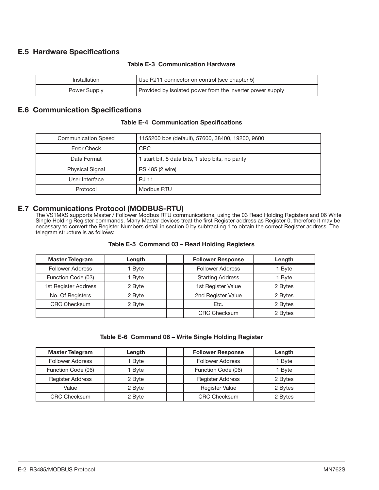### **E.5 Hardware Specifications**

#### **Table E-3 Communication Hardware**

| Installation | Use RJ11 connector on control (see chapter 5)             |  |  |
|--------------|-----------------------------------------------------------|--|--|
| Power Supply | Provided by isolated power from the inverter power supply |  |  |

#### **E.6 Communication Specifications**

#### **Table E-4 Communication Specifications**

| <b>Communication Speed</b> | 1155200 bbs (default), 57600, 38400, 19200, 9600 |  |  |
|----------------------------|--------------------------------------------------|--|--|
| <b>Error Check</b>         | <b>CRC</b>                                       |  |  |
| Data Format                | 1 start bit, 8 data bits, 1 stop bits, no parity |  |  |
| <b>Physical Signal</b>     | RS 485 (2 wire)                                  |  |  |
| User Interface.            | <b>RJ 11</b>                                     |  |  |
| Protocol                   | Modbus RTU                                       |  |  |

### **E.7 Communications Protocol (MODBUS-RTU)**

The VS1MXS supports Master / Follower Modbus RTU communications, using the 03 Read Holding Registers and 06 Write Single Holding Register commands. Many Master devices treat the first Register address as Register 0, therefore it may be necessary to convert the Register Numbers detail in section 0 by subtracting 1 to obtain the correct Register address. The telegram structure is as follows:

|  | Table E-5 Command 03 - Read Holding Registers |  |
|--|-----------------------------------------------|--|
|--|-----------------------------------------------|--|

| <b>Master Telegram</b>  | Length | <b>Follower Response</b> |                                   | Length  |
|-------------------------|--------|--------------------------|-----------------------------------|---------|
| <b>Follower Address</b> | l Byte | <b>Follower Address</b>  |                                   | 1 Byte  |
| Function Code (03)      | l Byte |                          | <b>Starting Address</b><br>1 Byte |         |
| 1st Register Address    | 2 Byte |                          | 1st Register Value                | 2 Bytes |
| No. Of Registers        | 2 Byte |                          | 2nd Register Value                | 2 Bytes |
| <b>CRC Checksum</b>     | 2 Byte | Etc.                     |                                   | 2 Bytes |
|                         |        |                          | <b>CRC Checksum</b>               | 2 Bytes |

#### **Table E-6 Command 06 – Write Single Holding Register**

| <b>Master Telegram</b>  | Length | <b>Follower Response</b> |                     | Length  |
|-------------------------|--------|--------------------------|---------------------|---------|
| <b>Follower Address</b> | 1 Byte | <b>Follower Address</b>  |                     | 1 Byte  |
| Function Code (06)      | 1 Byte |                          | Function Code (06)  | 1 Byte  |
| Register Address        | 2 Byte | <b>Register Address</b>  |                     | 2 Bytes |
| Value                   | 2 Byte | Register Value           |                     | 2 Bytes |
| <b>CRC Checksum</b>     | 2 Byte |                          | <b>CRC Checksum</b> | 2 Bytes |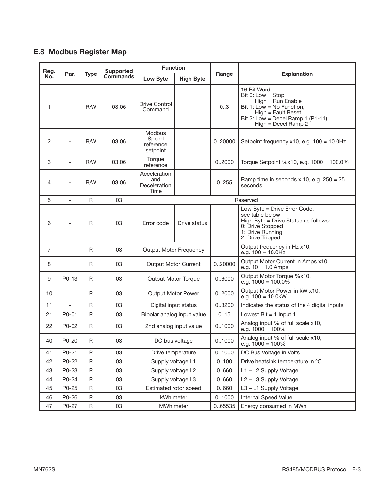## **E.8 Modbus Register Map**

| Reg.           |                |             | <b>Supported</b> | <b>Function</b>                                 |                           |         |                                                                                                                                                                                |
|----------------|----------------|-------------|------------------|-------------------------------------------------|---------------------------|---------|--------------------------------------------------------------------------------------------------------------------------------------------------------------------------------|
| No.            | Par.           | <b>Type</b> | <b>Commands</b>  | <b>Low Byte</b>                                 | <b>High Byte</b>          | Range   | <b>Explanation</b>                                                                                                                                                             |
| 1              |                | R/W         | 03,06            | <b>Drive Control</b><br>Command                 |                           | 03      | 16 Bit Word.<br>Bit 0: Low $=$ Stop<br>$High = Run Enable$<br>Bit 1: Low = No Function,<br>$High = Fault$ Reset<br>Bit 2: Low = Decel Ramp 1 (P1-11),<br>$High = Decel$ Ramp 2 |
| $\overline{2}$ |                | R/W         | 03,06            | <b>Modbus</b><br>Speed<br>reference<br>setpoint |                           | 020000  | Setpoint frequency $x10$ , e.g. $100 = 10.0$ Hz                                                                                                                                |
| 3              | L,             | R/W         | 03,06            | Torque<br>reference                             |                           | 0.2000  | Torque Setpoint %x10, e.g. 1000 = 100.0%                                                                                                                                       |
| 4              |                | R/W         | 03,06            | Acceleration<br>and<br>Deceleration<br>Time     |                           | 0.255   | Ramp time in seconds $x$ 10, e.g. 250 = 25<br>seconds                                                                                                                          |
| 5              |                | R           | 03               |                                                 |                           |         | Reserved                                                                                                                                                                       |
| 6              |                | R           | 03               | Error code                                      | Drive status              |         | Low Byte = Drive Error Code,<br>see table below<br>High Byte = Drive Status as follows:<br>0: Drive Stopped<br>1: Drive Running<br>2: Drive Tripped                            |
| 7              |                | R           | 03               | <b>Output Motor Frequency</b>                   |                           |         | Output frequency in Hz x10,<br>e.g. $100 = 10.0$ Hz                                                                                                                            |
| 8              |                | R           | 03               | Output Motor Current                            |                           | 020000  | Output Motor Current in Amps x10,<br>e.g. $10 = 1.0$ Amps                                                                                                                      |
| 9              | P0-13          | R           | 03               | <b>Output Motor Torque</b>                      |                           | 06000   | Output Motor Torque %x10,<br>e.g. $1000 = 100.0\%$                                                                                                                             |
| 10             |                | R           | 03               |                                                 | <b>Output Motor Power</b> |         | Output Motor Power in kW x10,<br>e.g. $100 = 10.0$ kW                                                                                                                          |
| 11             | $\overline{a}$ | $\mathsf R$ | 03               | Digital input status                            |                           | 03200   | Indicates the status of the 4 digital inputs                                                                                                                                   |
| 21             | P0-01          | R           | 03               | Bipolar analog input value                      |                           | 0.15    | Lowest $Bit = 1$ Input 1                                                                                                                                                       |
| 22             | P0-02          | R           | 03               | 2nd analog input value                          |                           | 01000   | Analog input % of full scale x10,<br>e.g. $1000 = 100\%$                                                                                                                       |
| 40             | P0-20          | $\mathsf R$ | 03               | DC bus voltage                                  |                           | 01000   | Analog input % of full scale x10,<br>e.g. $1000 = 100\%$                                                                                                                       |
| 41             | P0-21          | $\sf R$     | 03               | Drive temperature                               |                           | 0.1000  | DC Bus Voltage in Volts                                                                                                                                                        |
| 42             | P0-22          | $\sf R$     | 03               | Supply voltage L1                               |                           | 0.100   | Drive heatsink temperature in °C                                                                                                                                               |
| 43             | P0-23          | $\mathsf R$ | 03               | Supply voltage L2                               |                           | 0660    | L1 - L2 Supply Voltage                                                                                                                                                         |
| 44             | P0-24          | R           | 03               | Supply voltage L3                               |                           | 0660    | L <sub>2</sub> – L <sub>3</sub> Supply Voltage                                                                                                                                 |
| 45             | P0-25          | R           | 03               | Estimated rotor speed                           |                           | 0660    | L3 - L1 Supply Voltage                                                                                                                                                         |
| 46             | P0-26          | $\sf R$     | 03               | kWh meter                                       |                           | 0.1000  | Internal Speed Value                                                                                                                                                           |
| 47             | P0-27          | $\mathsf R$ | 03               | MWh meter                                       |                           | 0.65535 | Energy consumed in MWh                                                                                                                                                         |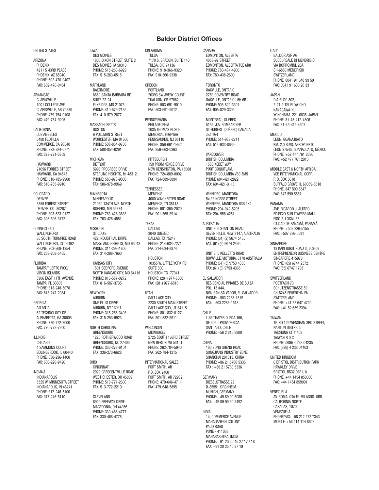UNITED STATES

ARIZONA PHOENIX 4211 S 43RD PLACE PHOENIX, AZ 85040 PHONE: 602-470-0407 FAX: 602-470-0464

ARKANSAS CLARKSVILLE 1001 COLLEGE AVE. CLARKSVILLE, AR 72830 PHONE: 479-754-9108 FAX: 479-754-9205

CALIFORNIA LOS ANGELES 6480 FLOTILLA COMMERCE, CA 90040 PHONE: 323-724-6771 FAX: 323-721-5859

 HAYWARD 21056 FORBES STREET HAYWARD, CA 94545 PHONE: 510-785-9900 FAX: 510-785-9910

COLORADO DENVER 3855 FOREST STREET DENVER, CO 80207 PHONE: 303-623-0127 FAX: 303-595-3772

CONNECTICUT WALLINGFORD 65 SOUTH TURNPIKE ROAD WALLINGFORD, CT 06492 PHONE: 203-269-1354 FAX: 203-269-5485

FLORIDA TAMPA/PUERTO RICO/ VIRGIN ISLANDS 3906 EAST 11TH AVENUE TAMPA, FL 33605 PHONE: 813-248-5078 FAX: 813-247-2984

GEORGIA ATLANTA 62 TECHNOLOGY DR. ALPHARETTA, GA 30005 PHONE: 770-772-7000 FAX: 770-772-7200

ILLINOIS CHICAGO 4 SAMMONS COURT BOLINGBROOK, IL 60440 PHONE: 630-296-1400 FAX: 630-226-9420

INDIANA INDIANAPOLIS 5525 W. MINNESOTA STREET INDIANAPOLIS, IN 46241 PHONE: 317-246-5100 FAX: 317-246-5110

#### IOWA DES MOINES 1800 DIXON STREET, SUITE C DES MOINES, IA 50316 PHONE: 515-263-6929 FAX: 515-263-6515

MARYLAND BALTIMORE 6660 SANTA BARBARA RD. SUITE 22-24 ELKRIDGE, MD 21075 PHONE: 410-579-2135 FAX: 410-579-2677

**MASSACHUSETTS**  BOSTON 6 PULLMAN STREET WORCESTER, MA 01606 PHONE: 508-854-0708 FAX: 508-854-0291

MICHIGAN DETROIT 5993 PROGRESS DRIVE STERLING HEIGHTS, MI 48312 PHONE: 586-978-9800 FAX: 586-978-9969

**MINNESOTA**  MINNEAPOLIS 21080 134TH AVE. NORTH ROGERS, MN 55374 PHONE: 763-428-3633 FAX: 763-428-4551

MISSOURI ST LOUIS 422 INDUSTRIAL DRIVE MARYLAND HEIGHTS, MO 63043 PHONE: 314-298-1800 FAX: 314-298-7660

 KANSAS CITY 1501 BEDFORD AVENUE NORTH KANSAS CITY, MO 64116 PHONE: 816-587-0272 FAX: 816-587-3735

NEW YORK AUBURN ONE ELLIS DRIVE AUBURN, NY 13021 PHONE: 315-255-3403 FAX: 315-253-9923

NORTH CAROLINA **GREENSBORO**  1220 ROTHERWOOD ROAD GREENSBORO, NC 27406 PHONE: 336-272-6104 FAX: 336-273-6628

OHIO CINCINNATI 2929 CRESCENTVILLE ROAD WEST CHESTER, OH 45069 PHONE: 513-771-2600 FAX: 513-772-2219

 CLEVELAND 8929 FREEWAY DRIVE MACEDONIA, OH 44056 PHONE: 330-468-4777 FAX: 330-468-4778

OKLAHOMA TULSA 7170 S. BRADEN, SUITE 140 TULSA, OK 74136 PHONE: 918-366-9320 FAX: 918-366-9338

OREGON PORTLAND 20393 SW AVERY COURT TUALATIN, OR 97062 PHONE: 503-691-9010 FAX: 503-691-9012

PENNSYLVANIA PHILADELPHIA 1035 THOMAS BUSCH MEMORIAL HIGHWAY PENNSAUKEN, NJ 08110 PHONE: 856-661-1442 FAX: 856-663-6363

 PITTSBURGH 159 PROMINENCE DRIVE NEW KENSINGTON, PA 15068 PHONE: 724-889-0092 FAX: 724-889-0094

**TENNESSEE MEMPHIS**  4000 WINCHESTER ROAD MEMPHIS, TN 38118 PHONE: 901-365-2020 FAX: 901-365-3914

TEXAS DALLAS 3040 QUEBEC DALLAS, TX 75247 PHONE: 214-634-7271 FAX: 214-634-8874

**HOUSTON**  10355 W. LITTLE YORK RD. SUITE 300 HOUSTON, TX 77041 PHONE: (281) 977-6500 FAX: (281) 977-6510

UTAH SALT LAKE CITY 2230 SOUTH MAIN STREET SALT LAKE CITY, UT 84115 PHONE: 801-832-0127 FAX: 801-832-8911

**WISCONSIN**  MILWAUKEE 2725 SOUTH 163RD STREET NEW BERLIN, WI 53151 PHONE: 262-784-5940 FAX: 262-784-1215

INTERNATIONAL SALES FORT SMITH, AR P.O. BOX 2400 FORT SMITH, AR 72902 PHONE: 479-646-4711 FAX: 479-648-5895

**CANADA**  EDMONTON, ALBERTA 4053-92 STREET EDMONTON, ALBERTA T6E 6R8 PHONE: 780-434-4900 FAX: 780-438-2600

 TORONTO OAKVILLE, ONTARIO 2750 COVENTRY ROAD OAKVILLE, ONTARIO L6H 6R1 PHONE: 905-829-3301 FAX: 905-829-3302

 MONTREAL, QUEBEC 5155, J.A. BOMBARDIER ST-HUBERT (QUÉBEC) CANADA J3Z 1G4 PHONE: 514-933-2711 FAX: 514-933-8639

**VANCOUVER**  BRITISH COLUMBIA 1538 KEBET WAY PORT COQUITLAM, BRITISH COLUMBIA V3C 5M5 PHONE 604-421-2822 FAX: 604-421-3113

WINNIPEG MANITORA 54 PRINCESS STREET WINNIPEG, MANITOBA R3B 1K2 PHONE: 204-942-5205 FAX: 204-956-4251

AUSTRALIA UNIT 3, 6 STANTON ROAD SEVEN HILLS, NSW 2147, AUSTRALIA PHONE: (61) (2) 9674 5455 FAX: (61) (2) 9674 2495

 UNIT 8, 5 KELLETTS ROAD ROWVILLE, VICTORIA, 3178 AUSTRALIA PHONE: (61) (3) 9753 4355 FAX: (61) (3) 9753 4366

EL SALVADOR RESIDENCIAL PINARES DE SUIZA POL. 15 #44, NVA. SAN SALVADOR, EL SALVADOR PHONE: +503 2288-1519 FAX: +503 2288-1518

CHILE LUIS THAYER OJEDA 166, OF 402 - PROVIDENCIA SANTIAGO, CHILE PHONE: +56 2 816 9900

**CHINA**  160 SONG SHENG ROAD SONGJIANG INDUSTRY ZONE SHANGHAI 201613, CHINA PHONE: +86 21 5760 5335 FAX : +86 21 5760 5336

GERMANY DIESELSTRASSE 22 D-85551 KIRCHHEIM MUNICH, GERMANY PHONE: +49 89 90 5080 FAX: +49 89 90 50 8492

INDIA 14, COMMERCE AVENUE MAHAGANESH COLONY PAUD ROAD PUNE - 411038 MAHARASHTRA, INDIA PHONE: +91 20 25 45 27 17 / 18 FAX: +91 20 25 45 27 19

**ITALY**  BALDOR ASR AG SUCCURSALE DI MENDRISIO VIA BORROMINI, 20A CH-6850 MENDRISIO SWITZERLAND PHONE: 0041 91 640 99 50 FAX: 0041 91 630 26 33

JAPAN DIA BLDG 802, 2-21-1 TSURUYA-CHO, KANAGAWA-KU YOKOHAMA, 221-0835, JAPAN PHONE: 81-45-412-4506 FAX: 81-45-412-4507

**MEXICO**  LEON, GUANAJUATO KM. 2.0 BLVD. AEROPUERTO LEÓN 37545, GUANAJUATO, MÉXICO PHONE: +52 477 761 2030 FAX: +52 477 761 2010

MIDDLE EAST & NORTH AFRICA VSE INTERNATIONAL CORP. P. O. BOX 5618 BUFFALO GROVE, IL 60089-5618 PHONE: 847 590 5547 FAX: 847 590 5587

PANAMA AVE. RICARDO J. ALFARO EDIFICIO SUN TOWERS MALL PISO 2, LOCAL 55 CIUDAD DE PANAMÁ, PANAMÁ PHONE: +507 236-5155 FAX: +507 236-0591

**SINGAPORE**  18 KAKI BUKIT ROAD 3, #03-09 ENTREPRENEUR BUSINESS CENTRE SINGAPORE 415978 PHONE: (65) 6744 2572 FAX: (65) 6747 1708

SWITZERLAND POSTFACH 73 SCHUTZENSTRASSE 59 CH-8245 FEUERTHALEN **SWITZERLAND**  PHONE: +41 52 647 4700 FAX: +41 52 659 2394

TAIWAN 1F, NO 126 WENSHAN 3RD STREET, NANTUN DISTRICT, TAICHLING CITY 408 TAIWAN R.O.C PHONE: (886) 4 238 04235 FAX: (886) 4 238 04463

UNITED KINGDOM 6 BRISTOL DISTRIBUTION PARK HAWKLEY DRIVE BRISTOL BS32 0BF U.K. PHONE: +44 1454 850000 FAX: +44 1454 859001

VENEZUELA AV. ROMA. QTA EL MILAGRO. URB. CALIFORNIA NORTE CARACAS, 1070 VENEZUELA PHONE/FAX: +58 212 272 7343 MOBILE: +58 414 114 8623

#### **Baldor District Offices**